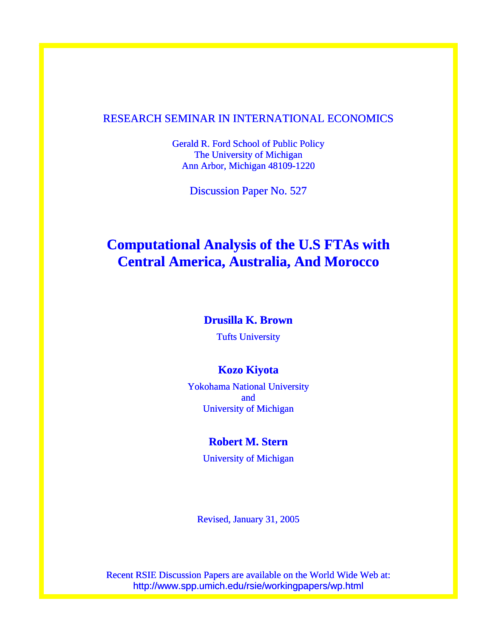# RESEARCH SEMINAR IN INTERNATIONAL ECONOMICS

Gerald R. Ford School of Public Policy The University of Michigan Ann Arbor, Michigan 48109-1220

Discussion Paper No. 527

# **Computational Analysis of the U.S FTAs with Central America, Australia, And Morocco**

# **Drusilla K. Brown**

Tufts University

# **Kozo Kiyota**

Yokohama National University and University of Michigan

# **Robert M. Stern**

University of Michigan

Revised, January 31, 2005

Recent RSIE Discussion Papers are available on the World Wide Web at: http://www.spp.umich.edu/rsie/workingpapers/wp.html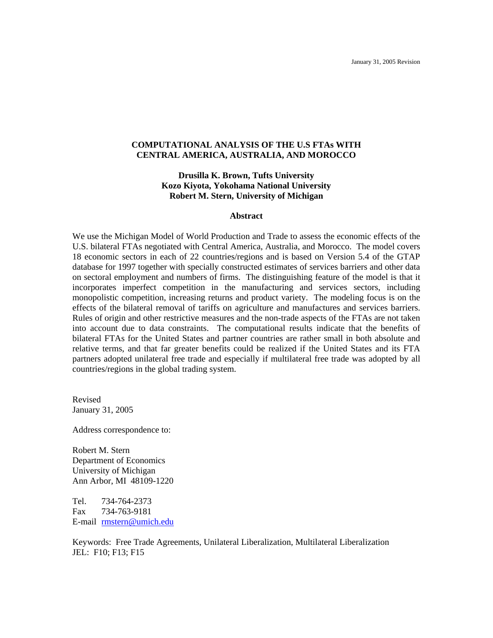## **COMPUTATIONAL ANALYSIS OF THE U.S FTAs WITH CENTRAL AMERICA, AUSTRALIA, AND MOROCCO**

### **Drusilla K. Brown, Tufts University Kozo Kiyota, Yokohama National University Robert M. Stern, University of Michigan**

#### **Abstract**

We use the Michigan Model of World Production and Trade to assess the economic effects of the U.S. bilateral FTAs negotiated with Central America, Australia, and Morocco. The model covers 18 economic sectors in each of 22 countries/regions and is based on Version 5.4 of the GTAP database for 1997 together with specially constructed estimates of services barriers and other data on sectoral employment and numbers of firms. The distinguishing feature of the model is that it incorporates imperfect competition in the manufacturing and services sectors, including monopolistic competition, increasing returns and product variety. The modeling focus is on the effects of the bilateral removal of tariffs on agriculture and manufactures and services barriers. Rules of origin and other restrictive measures and the non-trade aspects of the FTAs are not taken into account due to data constraints. The computational results indicate that the benefits of bilateral FTAs for the United States and partner countries are rather small in both absolute and relative terms, and that far greater benefits could be realized if the United States and its FTA partners adopted unilateral free trade and especially if multilateral free trade was adopted by all countries/regions in the global trading system.

Revised January 31, 2005

Address correspondence to:

Robert M. Stern Department of Economics University of Michigan Ann Arbor, MI 48109-1220

Tel. 734-764-2373 Fax 734-763-9181 E-mail [rmstern@umich.edu](mailto:rmstern@umich.edu)

Keywords: Free Trade Agreements, Unilateral Liberalization, Multilateral Liberalization JEL: F10; F13; F15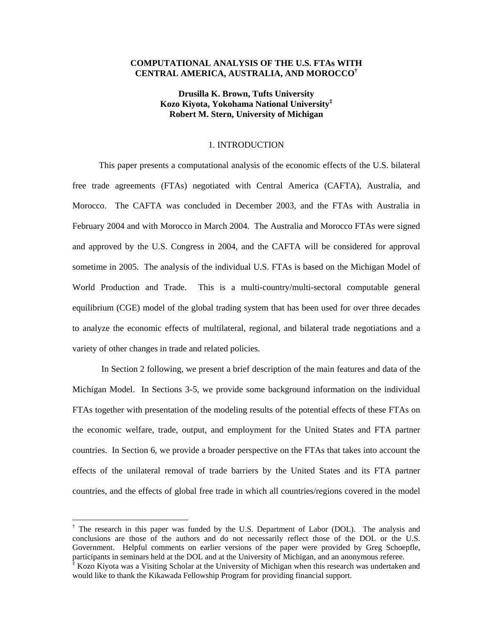#### **COMPUTATIONAL ANALYSIS OF THE U.S. FTAs WITH CENTRAL AMERICA, AUSTRALIA, AND MOROCCO[†](#page-2-0)**

**Drusilla K. Brown, Tufts University Kozo Kiyota, Yokohama National University[‡](#page-2-1) Robert M. Stern, University of Michigan** 

#### 1. INTRODUCTION

This paper presents a computational analysis of the economic effects of the U.S. bilateral free trade agreements (FTAs) negotiated with Central America (CAFTA), Australia, and Morocco. The CAFTA was concluded in December 2003, and the FTAs with Australia in February 2004 and with Morocco in March 2004. The Australia and Morocco FTAs were signed and approved by the U.S. Congress in 2004, and the CAFTA will be considered for approval sometime in 2005. The analysis of the individual U.S. FTAs is based on the Michigan Model of World Production and Trade. This is a multi-country/multi-sectoral computable general equilibrium (CGE) model of the global trading system that has been used for over three decades to analyze the economic effects of multilateral, regional, and bilateral trade negotiations and a variety of other changes in trade and related policies.

In Section 2 following, we present a brief description of the main features and data of the Michigan Model. In Sections 3-5, we provide some background information on the individual FTAs together with presentation of the modeling results of the potential effects of these FTAs on the economic welfare, trade, output, and employment for the United States and FTA partner countries. In Section 6, we provide a broader perspective on the FTAs that takes into account the effects of the unilateral removal of trade barriers by the United States and its FTA partner countries, and the effects of global free trade in which all countries/regions covered in the model

 $\overline{a}$ 

<span id="page-2-0"></span><sup>&</sup>lt;sup>†</sup> The research in this paper was funded by the U.S. Department of Labor (DOL). The analysis and conclusions are those of the authors and do not necessarily reflect those of the DOL or the U.S. Government. Helpful comments on earlier versions of the paper were provided by Greg Schoepfle, participants in seminars held at the DOL and at the University of Michigan, and an anonymous referee.

<span id="page-2-1"></span><sup>‡</sup> Kozo Kiyota was a Visiting Scholar at the University of Michigan when this research was undertaken and would like to thank the Kikawada Fellowship Program for providing financial support.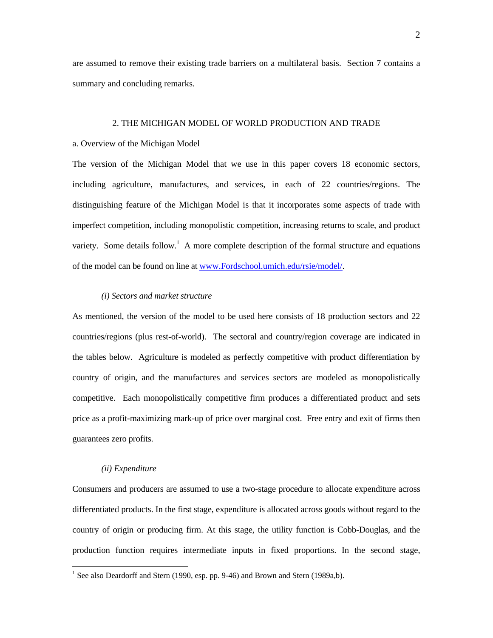are assumed to remove their existing trade barriers on a multilateral basis. Section 7 contains a summary and concluding remarks.

#### 2. THE MICHIGAN MODEL OF WORLD PRODUCTION AND TRADE

#### a. Overview of the Michigan Model

The version of the Michigan Model that we use in this paper covers 18 economic sectors, including agriculture, manufactures, and services, in each of 22 countries/regions. The distinguishing feature of the Michigan Model is that it incorporates some aspects of trade with imperfect competition, including monopolistic competition, increasing returns to scale, and product variety. Some details follow.<sup>[1](#page-3-0)</sup> A more complete description of the formal structure and equations of the model can be found on line at [www.Fordschool.umich.edu/rsie/model/](http://www.fordschool.umich.edu/rsie/model/).

## *(i) Sectors and market structure*

As mentioned, the version of the model to be used here consists of 18 production sectors and 22 countries/regions (plus rest-of-world). The sectoral and country/region coverage are indicated in the tables below. Agriculture is modeled as perfectly competitive with product differentiation by country of origin, and the manufactures and services sectors are modeled as monopolistically competitive. Each monopolistically competitive firm produces a differentiated product and sets price as a profit-maximizing mark-up of price over marginal cost. Free entry and exit of firms then guarantees zero profits.

#### *(ii) Expenditure*

 $\overline{a}$ 

Consumers and producers are assumed to use a two-stage procedure to allocate expenditure across differentiated products. In the first stage, expenditure is allocated across goods without regard to the country of origin or producing firm. At this stage, the utility function is Cobb-Douglas, and the production function requires intermediate inputs in fixed proportions. In the second stage,

<span id="page-3-0"></span><sup>&</sup>lt;sup>1</sup> See also Deardorff and Stern (1990, esp. pp. 9-46) and Brown and Stern (1989a,b).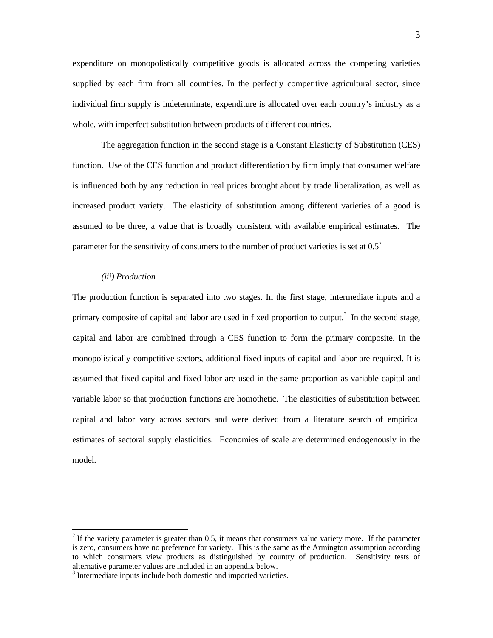expenditure on monopolistically competitive goods is allocated across the competing varieties supplied by each firm from all countries. In the perfectly competitive agricultural sector, since individual firm supply is indeterminate, expenditure is allocated over each country's industry as a whole, with imperfect substitution between products of different countries.

 The aggregation function in the second stage is a Constant Elasticity of Substitution (CES) function. Use of the CES function and product differentiation by firm imply that consumer welfare is influenced both by any reduction in real prices brought about by trade liberalization, as well as increased product variety. The elasticity of substitution among different varieties of a good is assumed to be three, a value that is broadly consistent with available empirical estimates. The parameter for the sensitivity of consumers to the number of product varieties is set at  $0.5<sup>2</sup>$  $0.5<sup>2</sup>$  $0.5<sup>2</sup>$ 

#### *(iii) Production*

 $\overline{a}$ 

The production function is separated into two stages. In the first stage, intermediate inputs and a primary composite of capital and labor are used in fixed proportion to output.<sup>[3](#page-4-1)</sup> In the second stage, capital and labor are combined through a CES function to form the primary composite. In the monopolistically competitive sectors, additional fixed inputs of capital and labor are required. It is assumed that fixed capital and fixed labor are used in the same proportion as variable capital and variable labor so that production functions are homothetic. The elasticities of substitution between capital and labor vary across sectors and were derived from a literature search of empirical estimates of sectoral supply elasticities. Economies of scale are determined endogenously in the model.

<span id="page-4-0"></span> $2<sup>2</sup>$  If the variety parameter is greater than 0.5, it means that consumers value variety more. If the parameter is zero, consumers have no preference for variety. This is the same as the Armington assumption according to which consumers view products as distinguished by country of production. Sensitivity tests of alternative parameter values are included in an appendix below.

<span id="page-4-1"></span><sup>&</sup>lt;sup>3</sup> Intermediate inputs include both domestic and imported varieties.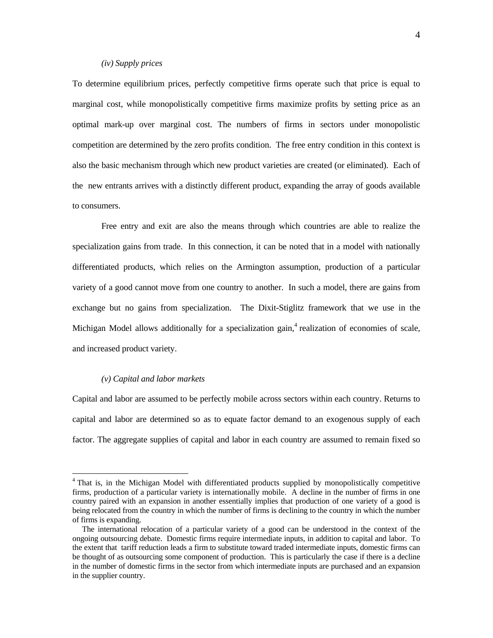#### *(iv) Supply prices*

To determine equilibrium prices, perfectly competitive firms operate such that price is equal to marginal cost, while monopolistically competitive firms maximize profits by setting price as an optimal mark-up over marginal cost. The numbers of firms in sectors under monopolistic competition are determined by the zero profits condition. The free entry condition in this context is also the basic mechanism through which new product varieties are created (or eliminated). Each of the new entrants arrives with a distinctly different product, expanding the array of goods available to consumers.

 Free entry and exit are also the means through which countries are able to realize the specialization gains from trade. In this connection, it can be noted that in a model with nationally differentiated products, which relies on the Armington assumption, production of a particular variety of a good cannot move from one country to another. In such a model, there are gains from exchange but no gains from specialization. The Dixit-Stiglitz framework that we use in the Michigan Model allows additionally for a specialization gain,<sup>4</sup> [r](#page-5-0)ealization of economies of scale, and increased product variety.

#### *(v) Capital and labor markets*

 $\overline{a}$ 

Capital and labor are assumed to be perfectly mobile across sectors within each country. Returns to capital and labor are determined so as to equate factor demand to an exogenous supply of each factor. The aggregate supplies of capital and labor in each country are assumed to remain fixed so

<span id="page-5-0"></span><sup>&</sup>lt;sup>4</sup> That is, in the Michigan Model with differentiated products supplied by monopolistically competitive firms, production of a particular variety is internationally mobile. A decline in the number of firms in one country paired with an expansion in another essentially implies that production of one variety of a good is being relocated from the country in which the number of firms is declining to the country in which the number of firms is expanding.

The international relocation of a particular variety of a good can be understood in the context of the ongoing outsourcing debate. Domestic firms require intermediate inputs, in addition to capital and labor. To the extent that tariff reduction leads a firm to substitute toward traded intermediate inputs, domestic firms can be thought of as outsourcing some component of production. This is particularly the case if there is a decline in the number of domestic firms in the sector from which intermediate inputs are purchased and an expansion in the supplier country.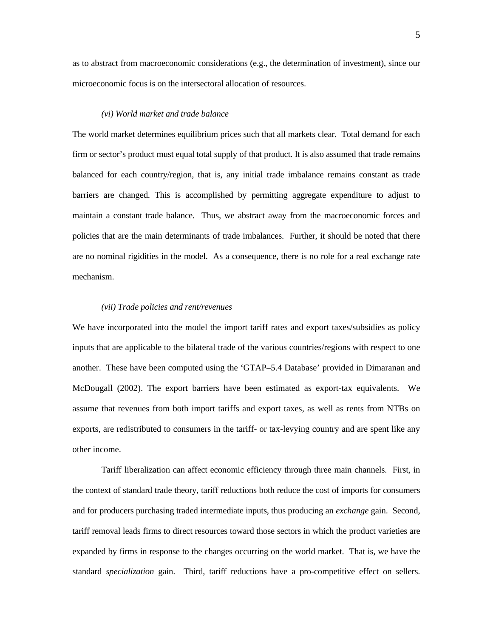as to abstract from macroeconomic considerations (e.g., the determination of investment), since our microeconomic focus is on the intersectoral allocation of resources.

#### *(vi) World market and trade balance*

The world market determines equilibrium prices such that all markets clear. Total demand for each firm or sector's product must equal total supply of that product. It is also assumed that trade remains balanced for each country/region, that is, any initial trade imbalance remains constant as trade barriers are changed. This is accomplished by permitting aggregate expenditure to adjust to maintain a constant trade balance. Thus, we abstract away from the macroeconomic forces and policies that are the main determinants of trade imbalances. Further, it should be noted that there are no nominal rigidities in the model. As a consequence, there is no role for a real exchange rate mechanism.

#### *(vii) Trade policies and rent/revenues*

We have incorporated into the model the import tariff rates and export taxes/subsidies as policy inputs that are applicable to the bilateral trade of the various countries/regions with respect to one another. These have been computed using the 'GTAP–5.4 Database' provided in Dimaranan and McDougall (2002). The export barriers have been estimated as export-tax equivalents. We assume that revenues from both import tariffs and export taxes, as well as rents from NTBs on exports, are redistributed to consumers in the tariff- or tax-levying country and are spent like any other income.

 Tariff liberalization can affect economic efficiency through three main channels. First, in the context of standard trade theory, tariff reductions both reduce the cost of imports for consumers and for producers purchasing traded intermediate inputs, thus producing an *exchange* gain. Second, tariff removal leads firms to direct resources toward those sectors in which the product varieties are expanded by firms in response to the changes occurring on the world market. That is, we have the standard *specialization* gain. Third, tariff reductions have a pro-competitive effect on sellers.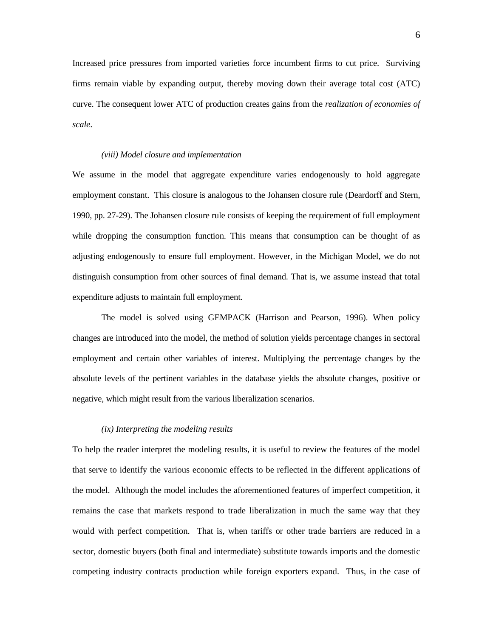Increased price pressures from imported varieties force incumbent firms to cut price. Surviving firms remain viable by expanding output, thereby moving down their average total cost (ATC) curve. The consequent lower ATC of production creates gains from the *realization of economies of scale*.

#### *(viii) Model closure and implementation*

We assume in the model that aggregate expenditure varies endogenously to hold aggregate employment constant. This closure is analogous to the Johansen closure rule (Deardorff and Stern, 1990, pp. 27-29). The Johansen closure rule consists of keeping the requirement of full employment while dropping the consumption function. This means that consumption can be thought of as adjusting endogenously to ensure full employment. However, in the Michigan Model, we do not distinguish consumption from other sources of final demand. That is, we assume instead that total expenditure adjusts to maintain full employment.

 The model is solved using GEMPACK (Harrison and Pearson, 1996). When policy changes are introduced into the model, the method of solution yields percentage changes in sectoral employment and certain other variables of interest. Multiplying the percentage changes by the absolute levels of the pertinent variables in the database yields the absolute changes, positive or negative, which might result from the various liberalization scenarios.

#### *(ix) Interpreting the modeling results*

To help the reader interpret the modeling results, it is useful to review the features of the model that serve to identify the various economic effects to be reflected in the different applications of the model. Although the model includes the aforementioned features of imperfect competition, it remains the case that markets respond to trade liberalization in much the same way that they would with perfect competition. That is, when tariffs or other trade barriers are reduced in a sector, domestic buyers (both final and intermediate) substitute towards imports and the domestic competing industry contracts production while foreign exporters expand. Thus, in the case of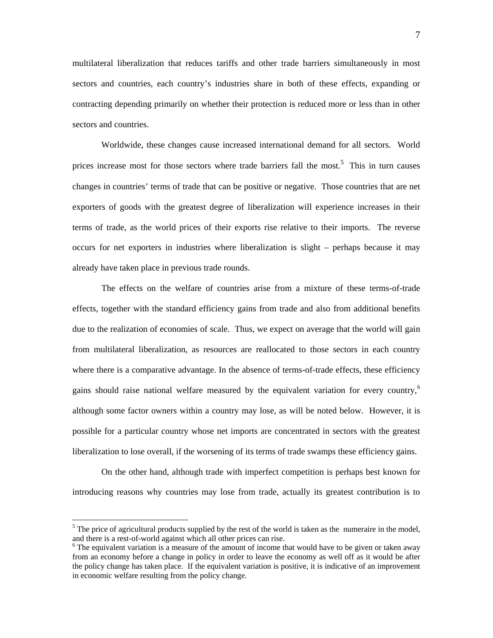multilateral liberalization that reduces tariffs and other trade barriers simultaneously in most sectors and countries, each country's industries share in both of these effects, expanding or contracting depending primarily on whether their protection is reduced more or less than in other sectors and countries.

 Worldwide, these changes cause increased international demand for all sectors. World prices increase most for those sectors where trade barriers fall the most.<sup>[5](#page-8-0)</sup> This in turn causes changes in countries' terms of trade that can be positive or negative. Those countries that are net exporters of goods with the greatest degree of liberalization will experience increases in their terms of trade, as the world prices of their exports rise relative to their imports. The reverse occurs for net exporters in industries where liberalization is slight – perhaps because it may already have taken place in previous trade rounds.

 The effects on the welfare of countries arise from a mixture of these terms-of-trade effects, together with the standard efficiency gains from trade and also from additional benefits due to the realization of economies of scale. Thus, we expect on average that the world will gain from multilateral liberalization, as resources are reallocated to those sectors in each country where there is a comparative advantage. In the absence of terms-of-trade effects, these efficiency gains should raise national welfare measured by the equivalent variation for every country,<sup>[6](#page-8-1)</sup> although some factor owners within a country may lose, as will be noted below. However, it is possible for a particular country whose net imports are concentrated in sectors with the greatest liberalization to lose overall, if the worsening of its terms of trade swamps these efficiency gains.

 On the other hand, although trade with imperfect competition is perhaps best known for introducing reasons why countries may lose from trade, actually its greatest contribution is to

 $\overline{a}$ 

<span id="page-8-0"></span> $<sup>5</sup>$  The price of agricultural products supplied by the rest of the world is taken as the numeraire in the model,</sup> and there is a rest-of-world against which all other prices can rise. 6

<span id="page-8-1"></span> $6$  The equivalent variation is a measure of the amount of income that would have to be given or taken away from an economy before a change in policy in order to leave the economy as well off as it would be after the policy change has taken place. If the equivalent variation is positive, it is indicative of an improvement in economic welfare resulting from the policy change.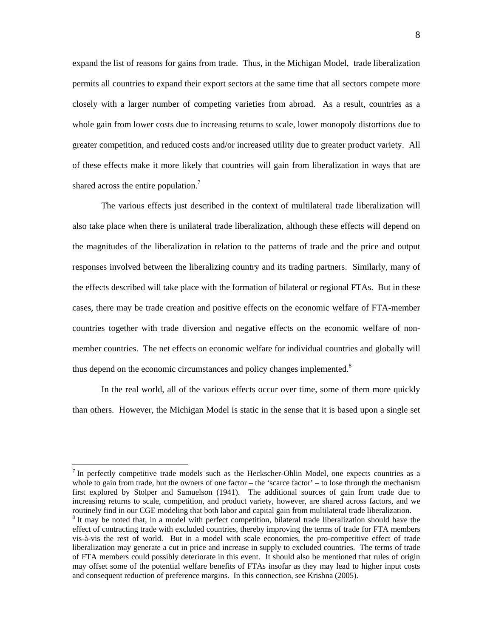expand the list of reasons for gains from trade. Thus, in the Michigan Model, trade liberalization permits all countries to expand their export sectors at the same time that all sectors compete more closely with a larger number of competing varieties from abroad. As a result, countries as a whole gain from lower costs due to increasing returns to scale, lower monopoly distortions due to greater competition, and reduced costs and/or increased utility due to greater product variety. All of these effects make it more likely that countries will gain from liberalization in ways that are shared across the entire population.<sup>7</sup>

 The various effects just described in the context of multilateral trade liberalization will also take place when there is unilateral trade liberalization, although these effects will depend on the magnitudes of the liberalization in relation to the patterns of trade and the price and output responses involved between the liberalizing country and its trading partners. Similarly, many of the effects described will take place with the formation of bilateral or regional FTAs. But in these cases, there may be trade creation and positive effects on the economic welfare of FTA-member countries together with trade diversion and negative effects on the economic welfare of nonmember countries. The net effects on economic welfare for individual countries and globally will thus depend on the economic circumstances and policy changes implemented.<sup>[8](#page-9-1)</sup>

In the real world, all of the various effects occur over time, some of them more quickly than others. However, the Michigan Model is static in the sense that it is based upon a single set

 $\overline{a}$ 

<span id="page-9-1"></span><span id="page-9-0"></span> $<sup>7</sup>$  In perfectly competitive trade models such as the Heckscher-Ohlin Model, one expects countries as a</sup> whole to gain from trade, but the owners of one factor – the 'scarce factor' – to lose through the mechanism first explored by Stolper and Samuelson (1941). The additional sources of gain from trade due to increasing returns to scale, competition, and product variety, however, are shared across factors, and we routinely find in our CGE modeling that both labor and capital gain from multilateral trade liberalization. <sup>8</sup> It may be noted that, in a model with perfect competition, bilateral trade liberalization should have the effect of contracting trade with excluded countries, thereby improving the terms of trade for FTA members vis-à-vis the rest of world. But in a model with scale economies, the pro-competitive effect of trade liberalization may generate a cut in price and increase in supply to excluded countries. The terms of trade of FTA members could possibly deteriorate in this event. It should also be mentioned that rules of origin may offset some of the potential welfare benefits of FTAs insofar as they may lead to higher input costs and consequent reduction of preference margins. In this connection, see Krishna (2005).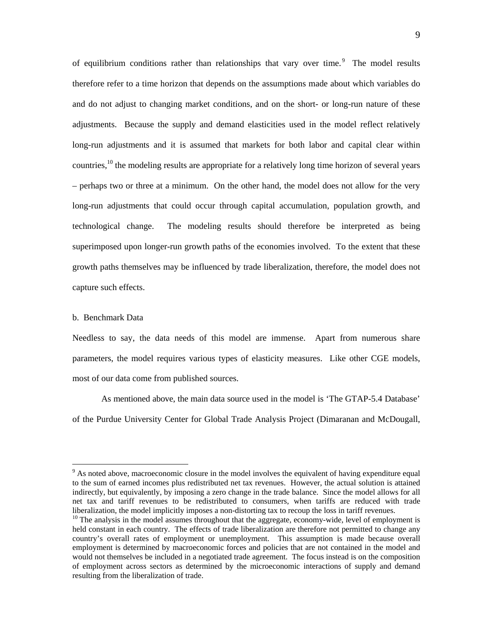of equilibrium conditions rather than relationships that vary over time.<sup>[9](#page-10-0)</sup> The model results therefore refer to a time horizon that depends on the assumptions made about which variables do and do not adjust to changing market conditions, and on the short- or long-run nature of these adjustments. Because the supply and demand elasticities used in the model reflect relatively long-run adjustments and it is assumed that markets for both labor and capital clear within countries,<sup>10</sup> the modeling results are appropriate for a relatively long time horizon of several years – perhaps two or three at a minimum. On the other hand, the model does not allow for the very long-run adjustments that could occur through capital accumulation, population growth, and technological change. The modeling results should therefore be interpreted as being superimposed upon longer-run growth paths of the economies involved. To the extent that these growth paths themselves may be influenced by trade liberalization, therefore, the model does not capture such effects.

#### b. Benchmark Data

 $\overline{a}$ 

Needless to say, the data needs of this model are immense. Apart from numerous share parameters, the model requires various types of elasticity measures. Like other CGE models, most of our data come from published sources.

 As mentioned above, the main data source used in the model is 'The GTAP-5.4 Database' of the Purdue University Center for Global Trade Analysis Project (Dimaranan and McDougall,

<span id="page-10-0"></span> $9<sup>9</sup>$  As noted above, macroeconomic closure in the model involves the equivalent of having expenditure equal to the sum of earned incomes plus redistributed net tax revenues. However, the actual solution is attained indirectly, but equivalently, by imposing a zero change in the trade balance. Since the model allows for all net tax and tariff revenues to be redistributed to consumers, when tariffs are reduced with trade liberalization, the model implicitly imposes a non-distorting tax to recoup the loss in tariff revenues.

<span id="page-10-1"></span><sup>&</sup>lt;sup>10</sup> The analysis in the model assumes throughout that the aggregate, economy-wide, level of employment is held constant in each country. The effects of trade liberalization are therefore not permitted to change any country's overall rates of employment or unemployment. This assumption is made because overall employment is determined by macroeconomic forces and policies that are not contained in the model and would not themselves be included in a negotiated trade agreement. The focus instead is on the composition of employment across sectors as determined by the microeconomic interactions of supply and demand resulting from the liberalization of trade.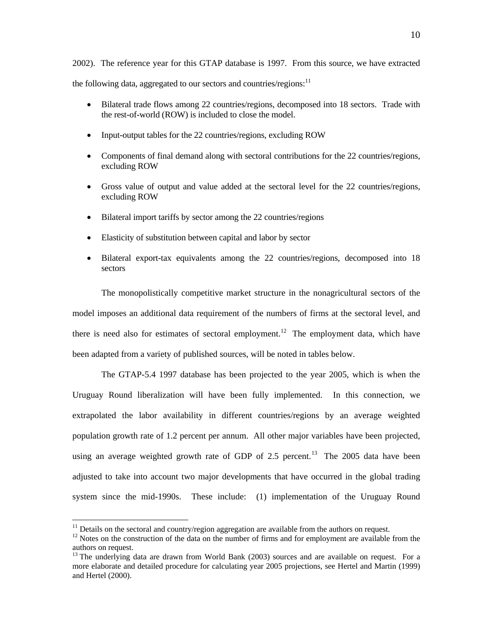2002). The reference year for this GTAP database is 1997. From this source, we have extracted the following data, aggregated to our sectors and countries/regions:  $11$ 

- Bilateral trade flows among 22 countries/regions, decomposed into 18 sectors. Trade with the rest-of-world (ROW) is included to close the model.
- Input-output tables for the 22 countries/regions, excluding ROW
- Components of final demand along with sectoral contributions for the 22 countries/regions, excluding ROW
- Gross value of output and value added at the sectoral level for the 22 countries/regions, excluding ROW
- Bilateral import tariffs by sector among the 22 countries/regions
- Elasticity of substitution between capital and labor by sector
- Bilateral export-tax equivalents among the 22 countries/regions, decomposed into 18 sectors

The monopolistically competitive market structure in the nonagricultural sectors of the model imposes an additional data requirement of the numbers of firms at the sectoral level, and there is need also for estimates of sectoral employment.<sup>12</sup> The employment data, which have been adapted from a variety of published sources, will be [not](#page-11-1)ed in tables below.

 The GTAP-5.4 1997 database has been projected to the year 2005, which is when the Uruguay Round liberalization will have been fully implemented. In this connection, we extrapolated the labor availability in different countries/regions by an average weighted population growth rate of 1.2 percent per annum. All other major variables have been projected, using an average weighted growth rate of GDP of 2.5 percent.<sup>13</sup> The 2005 data have been adjusted to take into account two major developments that have occurred in the global trading system since the mid-1990s. These include: (1) implementation of the Uruguay Round

<span id="page-11-0"></span> $11$  Details on the sectoral and country/region aggregation are available from the authors on request.

<span id="page-11-1"></span> $12$  Notes on the construction of the data on the number of firms and for employment are available from the authors on request.

<span id="page-11-2"></span><sup>&</sup>lt;sup>13</sup> The underlying data are drawn from World Bank (2003) sources and are available on request. For a more elaborate and detailed procedure for calculating year 2005 projections, see Hertel and Martin (1999) and Hertel (2000).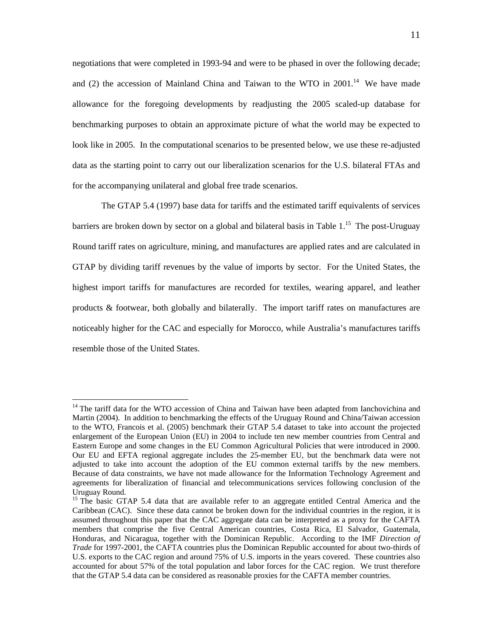negotiations that were completed in 1993-94 and were to be phased in over the following decade; and (2) the accession of Mainland China and Taiwan to the WTO in  $2001$ .<sup>14</sup> We have made allowance for the foregoing developments by readjusting the 2005 scaled-up database for benchmarking purposes to obtain an approximate picture of what the world may be expected to look like in 2005. In the computational scenarios to be presented below, we use these re-adjusted data as the starting point to carry out our liberalization scenarios for the U.S. bilateral FTAs and for the accompanying unilateral and global free trade scenarios.

 The GTAP 5.4 (1997) base data for tariffs and the estimated tariff equivalents of services barriers are broken down by sector on a global and bilateral basis in Table  $1<sup>15</sup>$ . The post-Uruguay Round tariff rates on agriculture, mining, and manufactures are applied rates and are calculated in GTAP by dividing tariff revenues by the value of imports by sector. For the United States, the highest import tariffs for manufactures are recorded for textiles, wearing apparel, and leather products & footwear, both globally and bilaterally. The import tariff rates on manufactures are noticeably higher for the CAC and especially for Morocco, while Australia's manufactures tariffs resemble those of the United States.

 $\overline{a}$ 

<span id="page-12-0"></span><sup>&</sup>lt;sup>14</sup> The tariff data for the WTO accession of China and Taiwan have been adapted from Ianchovichina and Martin (2004). In addition to benchmarking the effects of the Uruguay Round and China/Taiwan accession to the WTO, Francois et al. (2005) benchmark their GTAP 5.4 dataset to take into account the projected enlargement of the European Union (EU) in 2004 to include ten new member countries from Central and Eastern Europe and some changes in the EU Common Agricultural Policies that were introduced in 2000. Our EU and EFTA regional aggregate includes the 25-member EU, but the benchmark data were not adjusted to take into account the adoption of the EU common external tariffs by the new members. Because of data constraints, we have not made allowance for the Information Technology Agreement and agreements for liberalization of financial and telecommunications services following conclusion of the Uruguay Round.

<span id="page-12-1"></span><sup>&</sup>lt;sup>15</sup> The basic GTAP 5.4 data that are available refer to an aggregate entitled Central America and the Caribbean (CAC). Since these data cannot be broken down for the individual countries in the region, it is assumed throughout this paper that the CAC aggregate data can be interpreted as a proxy for the CAFTA members that comprise the five Central American countries, Costa Rica, El Salvador, Guatemala, Honduras, and Nicaragua, together with the Dominican Republic. According to the IMF *Direction of Trade* for 1997-2001, the CAFTA countries plus the Dominican Republic accounted for about two-thirds of U.S. exports to the CAC region and around 75% of U.S. imports in the years covered. These countries also accounted for about 57% of the total population and labor forces for the CAC region. We trust therefore that the GTAP 5.4 data can be considered as reasonable proxies for the CAFTA member countries.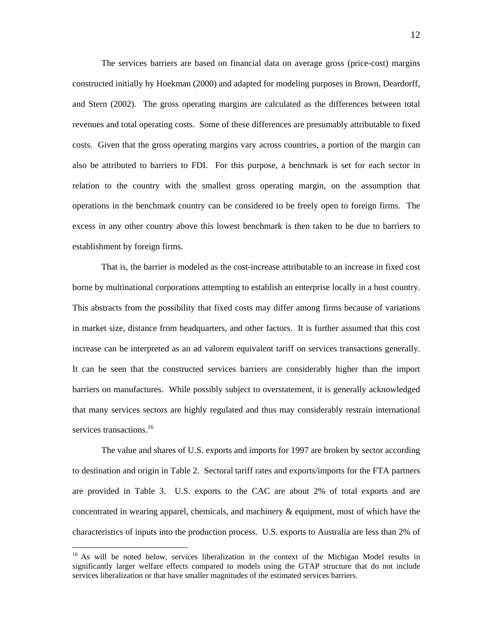The services barriers are based on financial data on average gross (price-cost) margins constructed initially by Hoekman (2000) and adapted for modeling purposes in Brown, Deardorff, and Stern (2002). The gross operating margins are calculated as the differences between total revenues and total operating costs. Some of these differences are presumably attributable to fixed costs. Given that the gross operating margins vary across countries, a portion of the margin can also be attributed to barriers to FDI. For this purpose, a benchmark is set for each sector in relation to the country with the smallest gross operating margin, on the assumption that operations in the benchmark country can be considered to be freely open to foreign firms. The excess in any other country above this lowest benchmark is then taken to be due to barriers to establishment by foreign firms.

 That is, the barrier is modeled as the cost-increase attributable to an increase in fixed cost borne by multinational corporations attempting to establish an enterprise locally in a host country. This abstracts from the possibility that fixed costs may differ among firms because of variations in market size, distance from headquarters, and other factors. It is further assumed that this cost increase can be interpreted as an ad valorem equivalent tariff on services transactions generally. It can be seen that the constructed services barriers are considerably higher than the import barriers on manufactures. While possibly subject to overstatement, it is generally acknowledged that many services sectors are highly regulated and thus may considerably restrain international services transactions.<sup>[16](#page-13-0)</sup>

 The value and shares of U.S. exports and imports for 1997 are broken by sector according to destination and origin in Table 2. Sectoral tariff rates and exports/imports for the FTA partners are provided in Table 3. U.S. exports to the CAC are about 2% of total exports and are concentrated in wearing apparel, chemicals, and machinery & equipment, most of which have the characteristics of inputs into the production process. U.S. exports to Australia are less than 2% of

 $\overline{a}$ 

<span id="page-13-0"></span><sup>&</sup>lt;sup>16</sup> As will be noted below, services liberalization in the context of the Michigan Model results in significantly larger welfare effects compared to models using the GTAP structure that do not include services liberalization or that have smaller magnitudes of the estimated services barriers.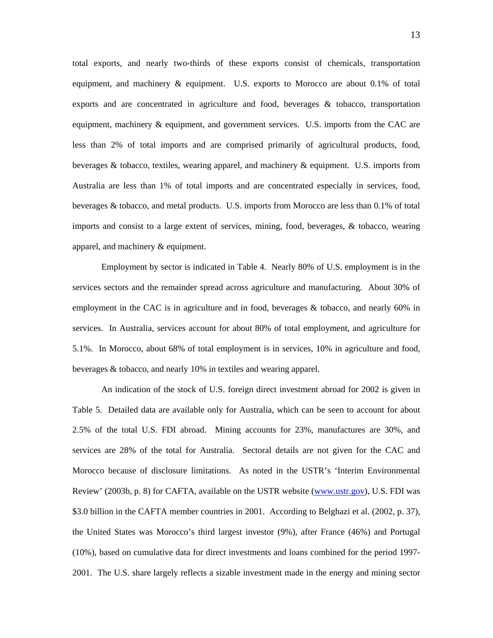total exports, and nearly two-thirds of these exports consist of chemicals, transportation equipment, and machinery & equipment. U.S. exports to Morocco are about 0.1% of total exports and are concentrated in agriculture and food, beverages & tobacco, transportation equipment, machinery & equipment, and government services. U.S. imports from the CAC are less than 2% of total imports and are comprised primarily of agricultural products, food, beverages & tobacco, textiles, wearing apparel, and machinery & equipment. U.S. imports from Australia are less than 1% of total imports and are concentrated especially in services, food, beverages & tobacco, and metal products. U.S. imports from Morocco are less than 0.1% of total imports and consist to a large extent of services, mining, food, beverages, & tobacco, wearing apparel, and machinery & equipment.

 Employment by sector is indicated in Table 4. Nearly 80% of U.S. employment is in the services sectors and the remainder spread across agriculture and manufacturing. About 30% of employment in the CAC is in agriculture and in food, beverages & tobacco, and nearly 60% in services. In Australia, services account for about 80% of total employment, and agriculture for 5.1%. In Morocco, about 68% of total employment is in services, 10% in agriculture and food, beverages & tobacco, and nearly 10% in textiles and wearing apparel.

 An indication of the stock of U.S. foreign direct investment abroad for 2002 is given in Table 5. Detailed data are available only for Australia, which can be seen to account for about 2.5% of the total U.S. FDI abroad. Mining accounts for 23%, manufactures are 30%, and services are 28% of the total for Australia. Sectoral details are not given for the CAC and Morocco because of disclosure limitations. As noted in the USTR's 'Interim Environmental Review' (2003b, p. 8) for CAFTA, available on the USTR website [\(www.ustr.gov\)](http://www.ustr.gov/), U.S. FDI was \$3.0 billion in the CAFTA member countries in 2001. According to Belghazi et al. (2002, p. 37), the United States was Morocco's third largest investor (9%), after France (46%) and Portugal (10%), based on cumulative data for direct investments and loans combined for the period 1997- 2001. The U.S. share largely reflects a sizable investment made in the energy and mining sector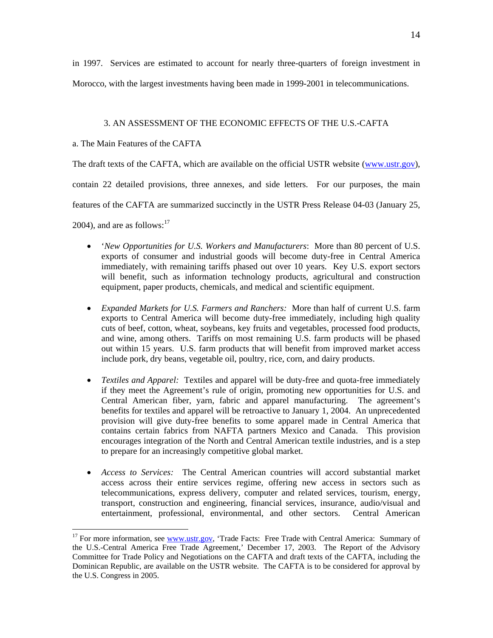in 1997. Services are estimated to account for nearly three-quarters of foreign investment in

Morocco, with the largest investments having been made in 1999-2001 in telecommunications.

## 3. AN ASSESSMENT OF THE ECONOMIC EFFECTS OF THE U.S.-CAFTA

## a. The Main Features of the CAFTA

The draft texts of the CAFTA, which are available on the official USTR website [\(www.ustr.gov\)](http://www.ustr.gov/),

contain 22 detailed provisions, three annexes, and side letters. For our purposes, the main

features of the CAFTA are summarized succinctly in the USTR Press Release 04-03 (January 25,

2004), and are as follows: $17$ 

 $\overline{a}$ 

- '*New Opportunities for U.S. Workers and Manufacturers*: More than 80 percent of U.S. exports of consumer and industrial goods will become duty-free in Central America immediately, with remaining tariffs phased out over 10 years. Key U.S. export sectors will benefit, such as information technology products, agricultural and construction equipment, paper products, chemicals, and medical and scientific equipment.
- *Expanded Markets for U.S. Farmers and Ranchers:* More than half of current U.S. farm exports to Central America will become duty-free immediately, including high quality cuts of beef, cotton, wheat, soybeans, key fruits and vegetables, processed food products, and wine, among others. Tariffs on most remaining U.S. farm products will be phased out within 15 years. U.S. farm products that will benefit from improved market access include pork, dry beans, vegetable oil, poultry, rice, corn, and dairy products.
- *Textiles and Apparel:* Textiles and apparel will be duty-free and quota-free immediately if they meet the Agreement's rule of origin, promoting new opportunities for U.S. and Central American fiber, yarn, fabric and apparel manufacturing. The agreement's benefits for textiles and apparel will be retroactive to January 1, 2004. An unprecedented provision will give duty-free benefits to some apparel made in Central America that contains certain fabrics from NAFTA partners Mexico and Canada. This provision encourages integration of the North and Central American textile industries, and is a step to prepare for an increasingly competitive global market.
- *Access to Services:* The Central American countries will accord substantial market access across their entire services regime, offering new access in sectors such as telecommunications, express delivery, computer and related services, tourism, energy, transport, construction and engineering, financial services, insurance, audio/visual and entertainment, professional, environmental, and other sectors. Central American

<span id="page-15-0"></span><sup>&</sup>lt;sup>17</sup> For more information, see [www.ustr.gov](http://www.ustr.gov/), 'Trade Facts: Free Trade with Central America: Summary of the U.S.-Central America Free Trade Agreement,' December 17, 2003. The Report of the Advisory Committee for Trade Policy and Negotiations on the CAFTA and draft texts of the CAFTA, including the Dominican Republic, are available on the USTR website. The CAFTA is to be considered for approval by the U.S. Congress in 2005.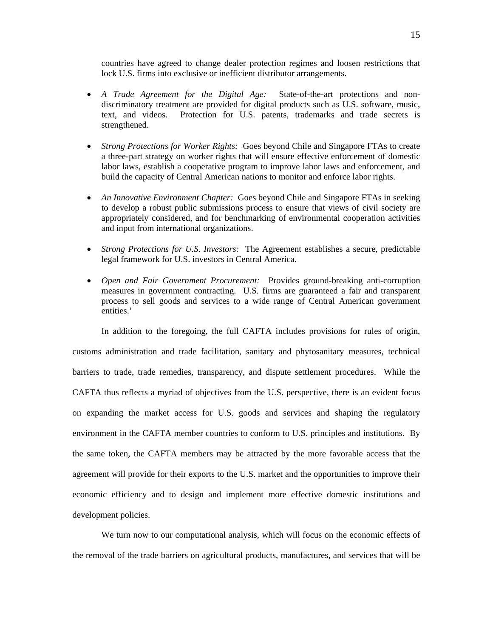countries have agreed to change dealer protection regimes and loosen restrictions that lock U.S. firms into exclusive or inefficient distributor arrangements.

- *A Trade Agreement for the Digital Age:* State-of-the-art protections and nondiscriminatory treatment are provided for digital products such as U.S. software, music, text, and videos. Protection for U.S. patents, trademarks and trade secrets is strengthened.
- *Strong Protections for Worker Rights:* Goes beyond Chile and Singapore FTAs to create a three-part strategy on worker rights that will ensure effective enforcement of domestic labor laws, establish a cooperative program to improve labor laws and enforcement, and build the capacity of Central American nations to monitor and enforce labor rights.
- *An Innovative Environment Chapter:* Goes beyond Chile and Singapore FTAs in seeking to develop a robust public submissions process to ensure that views of civil society are appropriately considered, and for benchmarking of environmental cooperation activities and input from international organizations.
- *Strong Protections for U.S. Investors:* The Agreement establishes a secure, predictable legal framework for U.S. investors in Central America.
- *Open and Fair Government Procurement:* Provides ground-breaking anti-corruption measures in government contracting. U.S. firms are guaranteed a fair and transparent process to sell goods and services to a wide range of Central American government entities.'

In addition to the foregoing, the full CAFTA includes provisions for rules of origin, customs administration and trade facilitation, sanitary and phytosanitary measures, technical barriers to trade, trade remedies, transparency, and dispute settlement procedures. While the CAFTA thus reflects a myriad of objectives from the U.S. perspective, there is an evident focus on expanding the market access for U.S. goods and services and shaping the regulatory environment in the CAFTA member countries to conform to U.S. principles and institutions. By the same token, the CAFTA members may be attracted by the more favorable access that the agreement will provide for their exports to the U.S. market and the opportunities to improve their economic efficiency and to design and implement more effective domestic institutions and development policies.

We turn now to our computational analysis, which will focus on the economic effects of the removal of the trade barriers on agricultural products, manufactures, and services that will be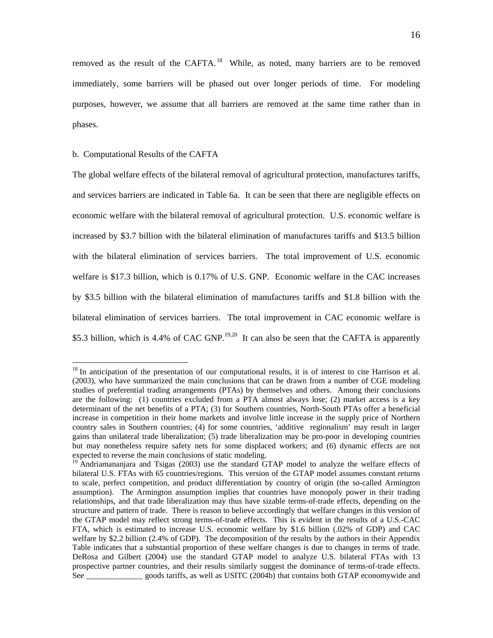removed as the result of the CAFTA.<sup>18</sup> While, as noted, many barriers are to be removed immediately, some barriers will be phased out over longer periods of time. For modeling purposes, however, we assume that all barriers are removed at the same time rather than in phases.

#### b. Computational Results of the CAFTA

 $\overline{a}$ 

The global welfare effects of the bilateral removal of agricultural protection, manufactures tariffs, and services barriers are indicated in Table 6a. It can be seen that there are negligible effects on economic welfare with the bilateral removal of agricultural protection. U.S. economic welfare is increased by \$3.7 billion with the bilateral elimination of manufactures tariffs and \$13.5 billion with the bilateral elimination of services barriers. The total improvement of U.S. economic welfare is \$17.3 billion, which is 0.17% of U.S. GNP. Economic welfare in the CAC increases by \$3.5 billion with the bilateral elimination of manufactures tariffs and \$1.8 billion with the bilateral elimination of services barriers. The total improvement in CAC economic welfare is \$5.3 billion, which is 4.4% of CAC GNP.<sup>[19,](#page-17-1)20</sup> It can also be seen that the CAFTA is apparently

<span id="page-17-2"></span><span id="page-17-0"></span><sup>&</sup>lt;sup>18</sup> In anticipation of the presentation of our computational results, it is of interest to cite Harrison et al. (2003), who have summarized the main conclusions that can be drawn from a number of CGE modeling studies of preferential trading arrangements (PTAs) by themselves and others. Among their conclusions are the following: (1) countries excluded from a PTA almost always lose; (2) market access is a key determinant of the net benefits of a PTA; (3) for Southern countries, North-South PTAs offer a beneficial increase in competition in their home markets and involve little increase in the supply price of Northern country sales in Southern countries; (4) for some countries, 'additive regionalism' may result in larger gains than unilateral trade liberalization; (5) trade liberalization may be pro-poor in developing countries but may nonetheless require safety nets for some displaced workers; and (6) dynamic effects are not expected to reverse the main conclusions of static modeling.

<span id="page-17-1"></span><sup>&</sup>lt;sup>19</sup> Andriamananjara and Tsigas (2003) use the standard GTAP model to analyze the welfare effects of bilateral U.S. FTAs with 65 countries/regions. This version of the GTAP model assumes constant returns to scale, perfect competition, and product differentiation by country of origin (the so-called Armington assumption). The Armington assumption implies that countries have monopoly power in their trading relationships, and that trade liberalization may thus have sizable terms-of-trade effects, depending on the structure and pattern of trade. There is reason to believe accordingly that welfare changes in this version of the GTAP model may reflect strong terms-of-trade effects. This is evident in the results of a U.S.-CAC FTA, which is estimated to increase U.S. economic welfare by \$1.6 billion (.02% of GDP) and CAC welfare by \$2.2 billion (2.4% of GDP). The decomposition of the results by the authors in their Appendix Table indicates that a substantial proportion of these welfare changes is due to changes in terms of trade. DeRosa and Gilbert (2004) use the standard GTAP model to analyze U.S. bilateral FTAs with 13 prospective partner countries, and their results similarly suggest the dominance of terms-of-trade effects. See \_\_\_\_\_\_\_\_\_\_\_\_\_\_\_\_ goods tariffs, as well as USITC (2004b) that contains both GTAP economywide and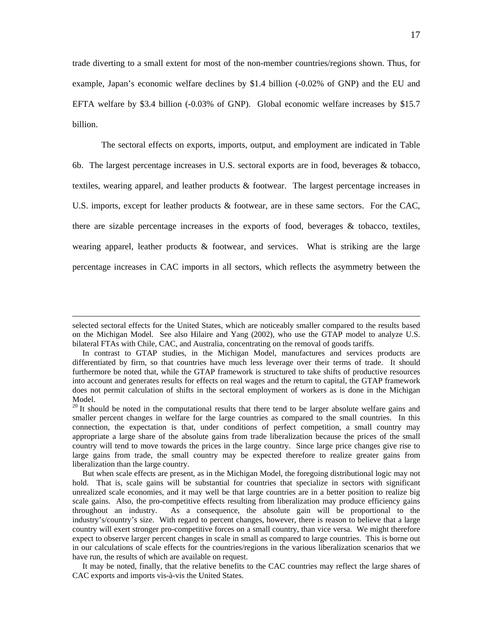trade diverting to a small extent for most of the non-member countries/regions shown. Thus, for example, Japan's economic welfare declines by \$1.4 billion (-0.02% of GNP) and the EU and EFTA welfare by \$3.4 billion (-0.03% of GNP). Global economic welfare increases by \$15.7 billion.

 The sectoral effects on exports, imports, output, and employment are indicated in Table 6b. The largest percentage increases in U.S. sectoral exports are in food, beverages & tobacco, textiles, wearing apparel, and leather products & footwear. The largest percentage increases in U.S. imports, except for leather products & footwear, are in these same sectors. For the CAC, there are sizable percentage increases in the exports of food, beverages & tobacco, textiles, wearing apparel, leather products & footwear, and services. What is striking are the large percentage increases in CAC imports in all sectors, which reflects the asymmetry between the

selected sectoral effects for the United States, which are noticeably smaller compared to the results based on the Michigan Model. See also Hilaire and Yang (2002), who use the GTAP model to analyze U.S. bilateral FTAs with Chile, CAC, and Australia, concentrating on the removal of goods tariffs.

In contrast to GTAP studies, in the Michigan Model, manufactures and services products are differentiated by firm, so that countries have much less leverage over their terms of trade. It should furthermore be noted that, while the GTAP framework is structured to take shifts of productive resources into account and generates results for effects on real wages and the return to capital, the GTAP framework does not permit calculation of shifts in the sectoral employment of workers as is done in the Michigan Model.

 $20$  It should be noted in the computational results that there tend to be larger absolute welfare gains and smaller percent changes in welfare for the large countries as compared to the small countries. In this connection, the expectation is that, under conditions of perfect competition, a small country may appropriate a large share of the absolute gains from trade liberalization because the prices of the small country will tend to move towards the prices in the large country. Since large price changes give rise to large gains from trade, the small country may be expected therefore to realize greater gains from liberalization than the large country.

But when scale effects are present, as in the Michigan Model, the foregoing distributional logic may not hold. That is, scale gains will be substantial for countries that specialize in sectors with significant unrealized scale economies, and it may well be that large countries are in a better position to realize big scale gains. Also, the pro-competitive effects resulting from liberalization may produce efficiency gains throughout an industry. As a consequence, the absolute gain will be proportional to the industry's/country's size. With regard to percent changes, however, there is reason to believe that a large country will exert stronger pro-competitive forces on a small country, than vice versa. We might therefore expect to observe larger percent changes in scale in small as compared to large countries. This is borne out in our calculations of scale effects for the countries/regions in the various liberalization scenarios that we have run, the results of which are available on request.

It may be noted, finally, that the relative benefits to the CAC countries may reflect the large shares of CAC exports and imports vis-à-vis the United States.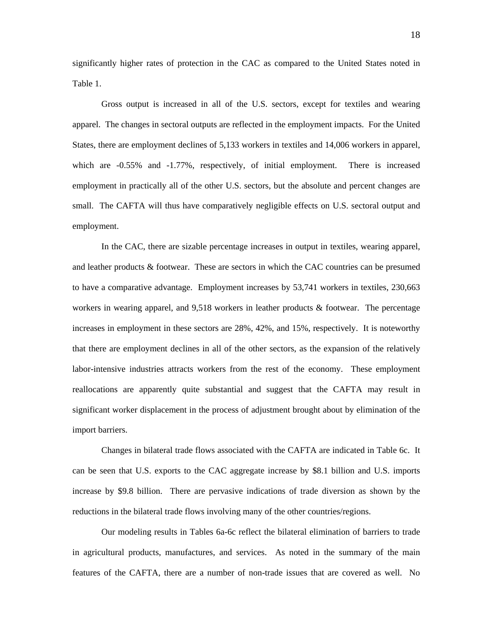significantly higher rates of protection in the CAC as compared to the United States noted in Table 1.

 Gross output is increased in all of the U.S. sectors, except for textiles and wearing apparel. The changes in sectoral outputs are reflected in the employment impacts. For the United States, there are employment declines of 5,133 workers in textiles and 14,006 workers in apparel, which are -0.55% and -1.77%, respectively, of initial employment. There is increased employment in practically all of the other U.S. sectors, but the absolute and percent changes are small. The CAFTA will thus have comparatively negligible effects on U.S. sectoral output and employment.

In the CAC, there are sizable percentage increases in output in textiles, wearing apparel, and leather products & footwear. These are sectors in which the CAC countries can be presumed to have a comparative advantage. Employment increases by 53,741 workers in textiles, 230,663 workers in wearing apparel, and 9,518 workers in leather products & footwear. The percentage increases in employment in these sectors are 28%, 42%, and 15%, respectively. It is noteworthy that there are employment declines in all of the other sectors, as the expansion of the relatively labor-intensive industries attracts workers from the rest of the economy. These employment reallocations are apparently quite substantial and suggest that the CAFTA may result in significant worker displacement in the process of adjustment brought about by elimination of the import barriers.

Changes in bilateral trade flows associated with the CAFTA are indicated in Table 6c. It can be seen that U.S. exports to the CAC aggregate increase by \$8.1 billion and U.S. imports increase by \$9.8 billion. There are pervasive indications of trade diversion as shown by the reductions in the bilateral trade flows involving many of the other countries/regions.

Our modeling results in Tables 6a-6c reflect the bilateral elimination of barriers to trade in agricultural products, manufactures, and services. As noted in the summary of the main features of the CAFTA, there are a number of non-trade issues that are covered as well. No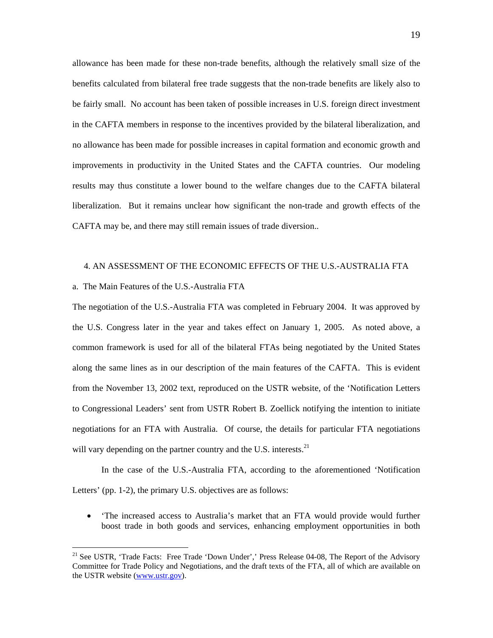allowance has been made for these non-trade benefits, although the relatively small size of the benefits calculated from bilateral free trade suggests that the non-trade benefits are likely also to be fairly small. No account has been taken of possible increases in U.S. foreign direct investment in the CAFTA members in response to the incentives provided by the bilateral liberalization, and no allowance has been made for possible increases in capital formation and economic growth and improvements in productivity in the United States and the CAFTA countries. Our modeling results may thus constitute a lower bound to the welfare changes due to the CAFTA bilateral liberalization. But it remains unclear how significant the non-trade and growth effects of the CAFTA may be, and there may still remain issues of trade diversion..

### 4. AN ASSESSMENT OF THE ECONOMIC EFFECTS OF THE U.S.-AUSTRALIA FTA

a. The Main Features of the U.S.-Australia FTA

 $\overline{a}$ 

The negotiation of the U.S.-Australia FTA was completed in February 2004. It was approved by the U.S. Congress later in the year and takes effect on January 1, 2005. As noted above, a common framework is used for all of the bilateral FTAs being negotiated by the United States along the same lines as in our description of the main features of the CAFTA. This is evident from the November 13, 2002 text, reproduced on the USTR website, of the 'Notification Letters to Congressional Leaders' sent from USTR Robert B. Zoellick notifying the intention to initiate negotiations for an FTA with Australia. Of course, the details for particular FTA negotiations will vary depending on the partner country and the U.S. interests. $^{21}$ 

 In the case of the U.S.-Australia FTA, according to the aforementioned 'Notification Letters' (pp. 1-2), the primary U.S. objectives are as follows:

• The increased access to Australia's market that an FTA would provide would further boost trade in both goods and services, enhancing employment opportunities in both

<span id="page-20-0"></span><sup>&</sup>lt;sup>21</sup> See USTR, 'Trade Facts: Free Trade 'Down Under',' Press Release 04-08, The Report of the Advisory Committee for Trade Policy and Negotiations, and the draft texts of the FTA, all of which are available on the USTR website [\(www.ustr.gov\)](http://www.ustr.gov/).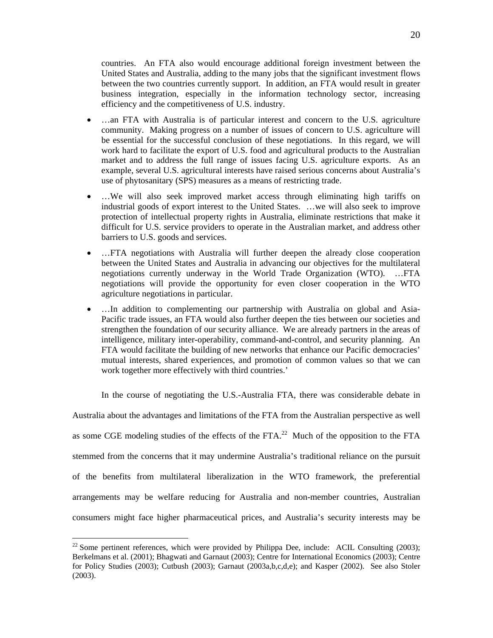countries. An FTA also would encourage additional foreign investment between the United States and Australia, adding to the many jobs that the significant investment flows between the two countries currently support. In addition, an FTA would result in greater business integration, especially in the information technology sector, increasing efficiency and the competitiveness of U.S. industry.

- …an FTA with Australia is of particular interest and concern to the U.S. agriculture community. Making progress on a number of issues of concern to U.S. agriculture will be essential for the successful conclusion of these negotiations. In this regard, we will work hard to facilitate the export of U.S. food and agricultural products to the Australian market and to address the full range of issues facing U.S. agriculture exports. As an example, several U.S. agricultural interests have raised serious concerns about Australia's use of phytosanitary (SPS) measures as a means of restricting trade.
- …We will also seek improved market access through eliminating high tariffs on industrial goods of export interest to the United States. …we will also seek to improve protection of intellectual property rights in Australia, eliminate restrictions that make it difficult for U.S. service providers to operate in the Australian market, and address other barriers to U.S. goods and services.
- …FTA negotiations with Australia will further deepen the already close cooperation between the United States and Australia in advancing our objectives for the multilateral negotiations currently underway in the World Trade Organization (WTO). …FTA negotiations will provide the opportunity for even closer cooperation in the WTO agriculture negotiations in particular.
- …In addition to complementing our partnership with Australia on global and Asia-Pacific trade issues, an FTA would also further deepen the ties between our societies and strengthen the foundation of our security alliance. We are already partners in the areas of intelligence, military inter-operability, command-and-control, and security planning. An FTA would facilitate the building of new networks that enhance our Pacific democracies' mutual interests, shared experiences, and promotion of common values so that we can work together more effectively with third countries.'

In the course of negotiating the U.S.-Australia FTA, there was considerable debate in

Australia about the advantages and limitations of the FTA from the Australian perspective as well as some CGE modeling studies of the effects of the FTA.<sup>22</sup> Much of the opposition to the FTA stemmed from the concerns that it may undermine Austr[alia](#page-21-0)'s traditional reliance on the pursuit of the benefits from multilateral liberalization in the WTO framework, the preferential arrangements may be welfare reducing for Australia and non-member countries, Australian consumers might face higher pharmaceutical prices, and Australia's security interests may be

 $\overline{a}$ 

<span id="page-21-0"></span> $^{22}$  Some pertinent references, which were provided by Philippa Dee, include: ACIL Consulting (2003); Berkelmans et al. (2001); Bhagwati and Garnaut (2003); Centre for International Economics (2003); Centre for Policy Studies (2003); Cutbush (2003); Garnaut (2003a,b,c,d,e); and Kasper (2002). See also Stoler (2003).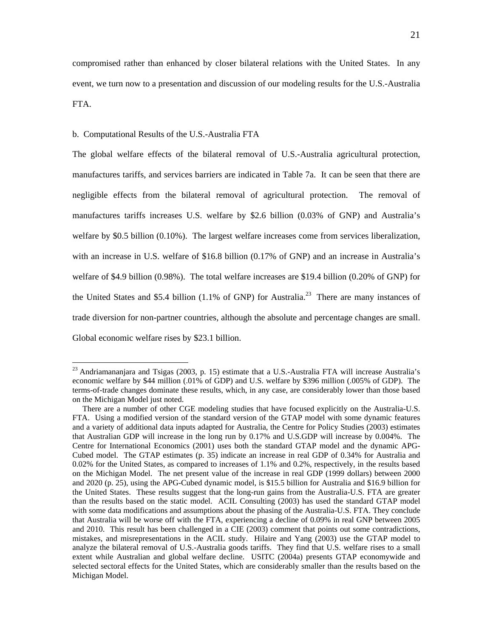compromised rather than enhanced by closer bilateral relations with the United States. In any event, we turn now to a presentation and discussion of our modeling results for the U.S.-Australia FTA.

#### b. Computational Results of the U.S.-Australia FTA

 $\overline{a}$ 

The global welfare effects of the bilateral removal of U.S.-Australia agricultural protection, manufactures tariffs, and services barriers are indicated in Table 7a. It can be seen that there are negligible effects from the bilateral removal of agricultural protection. The removal of manufactures tariffs increases U.S. welfare by \$2.6 billion (0.03% of GNP) and Australia's welfare by \$0.5 billion (0.10%). The largest welfare increases come from services liberalization, with an increase in U.S. welfare of \$16.8 billion (0.17% of GNP) and an increase in Australia's welfare of \$4.9 billion (0.98%). The total welfare increases are \$19.4 billion (0.20% of GNP) for the United States and \$5.4 billion (1.1% of GNP) for Australia.<sup>23</sup> There are many instances of trade diversion for non-partner countries, although the absolute and percentage changes are small. Global economic welfare rises by \$23.1 billion.

<span id="page-22-0"></span><sup>&</sup>lt;sup>23</sup> Andriamananjara and Tsigas (2003, p. 15) estimate that a U.S.-Australia FTA will increase Australia's economic welfare by \$44 million (.01% of GDP) and U.S. welfare by \$396 million (.005% of GDP). The terms-of-trade changes dominate these results, which, in any case, are considerably lower than those based on the Michigan Model just noted.

There are a number of other CGE modeling studies that have focused explicitly on the Australia-U.S. FTA. Using a modified version of the standard version of the GTAP model with some dynamic features and a variety of additional data inputs adapted for Australia, the Centre for Policy Studies (2003) estimates that Australian GDP will increase in the long run by 0.17% and U.S.GDP will increase by 0.004%. The Centre for International Economics (2001) uses both the standard GTAP model and the dynamic APG-Cubed model. The GTAP estimates (p. 35) indicate an increase in real GDP of 0.34% for Australia and 0.02% for the United States, as compared to increases of 1.1% and 0.2%, respectively, in the results based on the Michigan Model. The net present value of the increase in real GDP (1999 dollars) between 2000 and 2020 (p. 25), using the APG-Cubed dynamic model, is \$15.5 billion for Australia and \$16.9 billion for the United States. These results suggest that the long-run gains from the Australia-U.S. FTA are greater than the results based on the static model. ACIL Consulting (2003) has used the standard GTAP model with some data modifications and assumptions about the phasing of the Australia-U.S. FTA. They conclude that Australia will be worse off with the FTA, experiencing a decline of 0.09% in real GNP between 2005 and 2010. This result has been challenged in a CIE (2003) comment that points out some contradictions, mistakes, and misrepresentations in the ACIL study. Hilaire and Yang (2003) use the GTAP model to analyze the bilateral removal of U.S.-Australia goods tariffs. They find that U.S. welfare rises to a small extent while Australian and global welfare decline. USITC (2004a) presents GTAP economywide and selected sectoral effects for the United States, which are considerably smaller than the results based on the Michigan Model.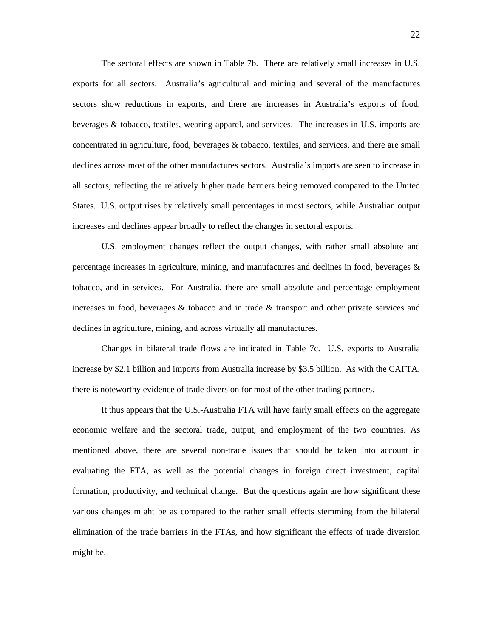The sectoral effects are shown in Table 7b. There are relatively small increases in U.S. exports for all sectors. Australia's agricultural and mining and several of the manufactures sectors show reductions in exports, and there are increases in Australia's exports of food, beverages & tobacco, textiles, wearing apparel, and services. The increases in U.S. imports are concentrated in agriculture, food, beverages & tobacco, textiles, and services, and there are small declines across most of the other manufactures sectors. Australia's imports are seen to increase in all sectors, reflecting the relatively higher trade barriers being removed compared to the United States. U.S. output rises by relatively small percentages in most sectors, while Australian output increases and declines appear broadly to reflect the changes in sectoral exports.

 U.S. employment changes reflect the output changes, with rather small absolute and percentage increases in agriculture, mining, and manufactures and declines in food, beverages & tobacco, and in services. For Australia, there are small absolute and percentage employment increases in food, beverages & tobacco and in trade & transport and other private services and declines in agriculture, mining, and across virtually all manufactures.

 Changes in bilateral trade flows are indicated in Table 7c. U.S. exports to Australia increase by \$2.1 billion and imports from Australia increase by \$3.5 billion. As with the CAFTA, there is noteworthy evidence of trade diversion for most of the other trading partners.

It thus appears that the U.S.-Australia FTA will have fairly small effects on the aggregate economic welfare and the sectoral trade, output, and employment of the two countries. As mentioned above, there are several non-trade issues that should be taken into account in evaluating the FTA, as well as the potential changes in foreign direct investment, capital formation, productivity, and technical change. But the questions again are how significant these various changes might be as compared to the rather small effects stemming from the bilateral elimination of the trade barriers in the FTAs, and how significant the effects of trade diversion might be.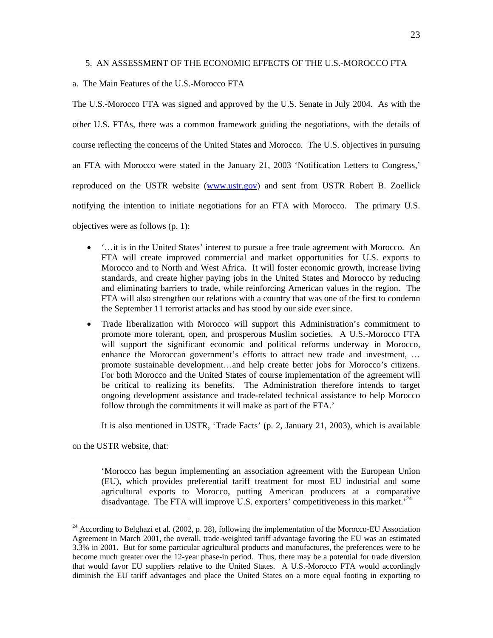#### 5. AN ASSESSMENT OF THE ECONOMIC EFFECTS OF THE U.S.-MOROCCO FTA

#### a. The Main Features of the U.S.-Morocco FTA

The U.S.-Morocco FTA was signed and approved by the U.S. Senate in July 2004. As with the other U.S. FTAs, there was a common framework guiding the negotiations, with the details of course reflecting the concerns of the United States and Morocco. The U.S. objectives in pursuing an FTA with Morocco were stated in the January 21, 2003 'Notification Letters to Congress,' reproduced on the USTR website [\(www.ustr.gov](http://www.ustr.gov/)) and sent from USTR Robert B. Zoellick notifying the intention to initiate negotiations for an FTA with Morocco. The primary U.S. objectives were as follows (p. 1):

- '…it is in the United States' interest to pursue a free trade agreement with Morocco. An FTA will create improved commercial and market opportunities for U.S. exports to Morocco and to North and West Africa. It will foster economic growth, increase living standards, and create higher paying jobs in the United States and Morocco by reducing and eliminating barriers to trade, while reinforcing American values in the region. The FTA will also strengthen our relations with a country that was one of the first to condemn the September 11 terrorist attacks and has stood by our side ever since.
- Trade liberalization with Morocco will support this Administration's commitment to promote more tolerant, open, and prosperous Muslim societies. A U.S.-Morocco FTA will support the significant economic and political reforms underway in Morocco, enhance the Moroccan government's efforts to attract new trade and investment, … promote sustainable development…and help create better jobs for Morocco's citizens. For both Morocco and the United States of course implementation of the agreement will be critical to realizing its benefits. The Administration therefore intends to target ongoing development assistance and trade-related technical assistance to help Morocco follow through the commitments it will make as part of the FTA.'

It is also mentioned in USTR, 'Trade Facts' (p. 2, January 21, 2003), which is available

on the USTR website, that:

 $\overline{a}$ 

'Morocco has begun implementing an association agreement with the European Union (EU), which provides preferential tariff treatment for most EU industrial and some agricultural exports to Morocco, putting American producers at a comparative disadvantage. The FTA will improve U.S. exporters' competitiveness in this market.'[24](#page-24-0)

<span id="page-24-0"></span> $^{24}$  According to Belghazi et al. (2002, p. 28), following the implementation of the Morocco-EU Association Agreement in March 2001, the overall, trade-weighted tariff advantage favoring the EU was an estimated 3.3% in 2001. But for some particular agricultural products and manufactures, the preferences were to be become much greater over the 12-year phase-in period. Thus, there may be a potential for trade diversion that would favor EU suppliers relative to the United States. A U.S.-Morocco FTA would accordingly diminish the EU tariff advantages and place the United States on a more equal footing in exporting to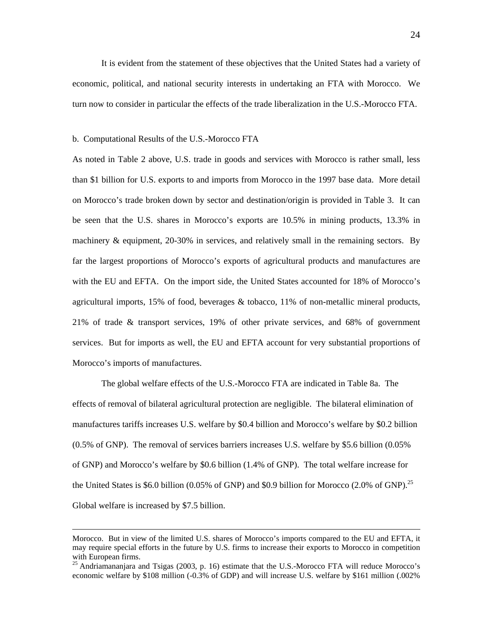It is evident from the statement of these objectives that the United States had a variety of economic, political, and national security interests in undertaking an FTA with Morocco. We turn now to consider in particular the effects of the trade liberalization in the U.S.-Morocco FTA.

#### b. Computational Results of the U.S.-Morocco FTA

As noted in Table 2 above, U.S. trade in goods and services with Morocco is rather small, less than \$1 billion for U.S. exports to and imports from Morocco in the 1997 base data. More detail on Morocco's trade broken down by sector and destination/origin is provided in Table 3. It can be seen that the U.S. shares in Morocco's exports are 10.5% in mining products, 13.3% in machinery & equipment, 20-30% in services, and relatively small in the remaining sectors. By far the largest proportions of Morocco's exports of agricultural products and manufactures are with the EU and EFTA. On the import side, the United States accounted for 18% of Morocco's agricultural imports, 15% of food, beverages & tobacco, 11% of non-metallic mineral products, 21% of trade & transport services, 19% of other private services, and 68% of government services. But for imports as well, the EU and EFTA account for very substantial proportions of Morocco's imports of manufactures.

 The global welfare effects of the U.S.-Morocco FTA are indicated in Table 8a. The effects of removal of bilateral agricultural protection are negligible. The bilateral elimination of manufactures tariffs increases U.S. welfare by \$0.4 billion and Morocco's welfare by \$0.2 billion (0.5% of GNP). The removal of services barriers increases U.S. welfare by \$5.6 billion (0.05% of GNP) and Morocco's welfare by \$0.6 billion (1.4% of GNP). The total welfare increase for the United States is \$6.0 billion (0.05% of GNP) and \$0.9 billion for Morocco (2.0% of GNP).<sup>25</sup> Global welfare is increased by \$7.5 billion.

Morocco. But in view of the limited U.S. shares of Morocco's imports compared to the EU and EFTA, it may require special efforts in the future by U.S. firms to increase their exports to Morocco in competition with European firms.

<span id="page-25-0"></span><sup>&</sup>lt;sup>25</sup> Andriamananjara and Tsigas (2003, p. 16) estimate that the U.S.-Morocco FTA will reduce Morocco's economic welfare by \$108 million (-0.3% of GDP) and will increase U.S. welfare by \$161 million (.002%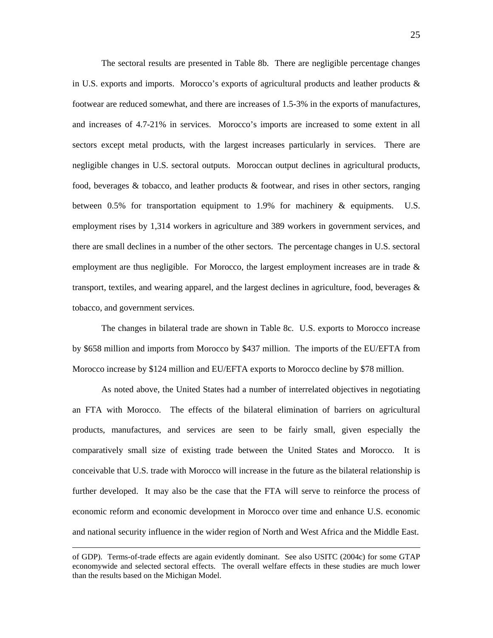The sectoral results are presented in Table 8b. There are negligible percentage changes in U.S. exports and imports. Morocco's exports of agricultural products and leather products & footwear are reduced somewhat, and there are increases of 1.5-3% in the exports of manufactures, and increases of 4.7-21% in services. Morocco's imports are increased to some extent in all sectors except metal products, with the largest increases particularly in services. There are negligible changes in U.S. sectoral outputs. Moroccan output declines in agricultural products, food, beverages & tobacco, and leather products & footwear, and rises in other sectors, ranging between 0.5% for transportation equipment to 1.9% for machinery & equipments. U.S. employment rises by 1,314 workers in agriculture and 389 workers in government services, and there are small declines in a number of the other sectors. The percentage changes in U.S. sectoral employment are thus negligible. For Morocco, the largest employment increases are in trade  $\&$ transport, textiles, and wearing apparel, and the largest declines in agriculture, food, beverages & tobacco, and government services.

The changes in bilateral trade are shown in Table 8c. U.S. exports to Morocco increase by \$658 million and imports from Morocco by \$437 million. The imports of the EU/EFTA from Morocco increase by \$124 million and EU/EFTA exports to Morocco decline by \$78 million.

As noted above, the United States had a number of interrelated objectives in negotiating an FTA with Morocco. The effects of the bilateral elimination of barriers on agricultural products, manufactures, and services are seen to be fairly small, given especially the comparatively small size of existing trade between the United States and Morocco. It is conceivable that U.S. trade with Morocco will increase in the future as the bilateral relationship is further developed. It may also be the case that the FTA will serve to reinforce the process of economic reform and economic development in Morocco over time and enhance U.S. economic and national security influence in the wider region of North and West Africa and the Middle East.

of GDP). Terms-of-trade effects are again evidently dominant. See also USITC (2004c) for some GTAP economywide and selected sectoral effects. The overall welfare effects in these studies are much lower than the results based on the Michigan Model.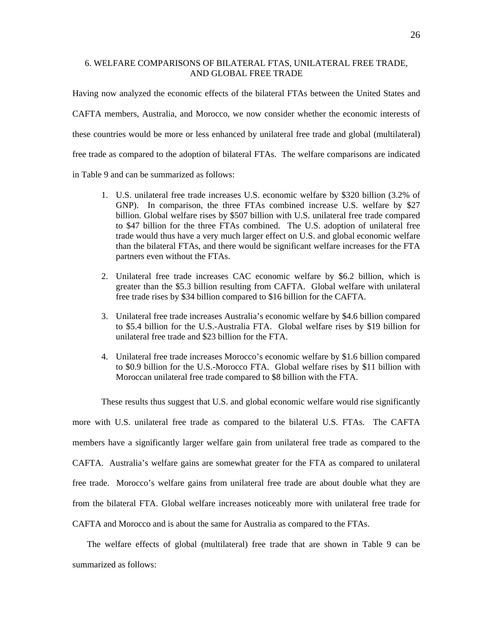#### 6. WELFARE COMPARISONS OF BILATERAL FTAS, UNILATERAL FREE TRADE, AND GLOBAL FREE TRADE

Having now analyzed the economic effects of the bilateral FTAs between the United States and CAFTA members, Australia, and Morocco, we now consider whether the economic interests of these countries would be more or less enhanced by unilateral free trade and global (multilateral) free trade as compared to the adoption of bilateral FTAs. The welfare comparisons are indicated

in Table 9 and can be summarized as follows:

- 1. U.S. unilateral free trade increases U.S. economic welfare by \$320 billion (3.2% of GNP). In comparison, the three FTAs combined increase U.S. welfare by \$27 billion. Global welfare rises by \$507 billion with U.S. unilateral free trade compared to \$47 billion for the three FTAs combined. The U.S. adoption of unilateral free trade would thus have a very much larger effect on U.S. and global economic welfare than the bilateral FTAs, and there would be significant welfare increases for the FTA partners even without the FTAs.
- 2. Unilateral free trade increases CAC economic welfare by \$6.2 billion, which is greater than the \$5.3 billion resulting from CAFTA. Global welfare with unilateral free trade rises by \$34 billion compared to \$16 billion for the CAFTA.
- 3. Unilateral free trade increases Australia's economic welfare by \$4.6 billion compared to \$5.4 billion for the U.S.-Australia FTA. Global welfare rises by \$19 billion for unilateral free trade and \$23 billion for the FTA.
- 4. Unilateral free trade increases Morocco's economic welfare by \$1.6 billion compared to \$0.9 billion for the U.S.-Morocco FTA. Global welfare rises by \$11 billion with Moroccan unilateral free trade compared to \$8 billion with the FTA.

These results thus suggest that U.S. and global economic welfare would rise significantly more with U.S. unilateral free trade as compared to the bilateral U.S. FTAs. The CAFTA members have a significantly larger welfare gain from unilateral free trade as compared to the CAFTA. Australia's welfare gains are somewhat greater for the FTA as compared to unilateral free trade. Morocco's welfare gains from unilateral free trade are about double what they are from the bilateral FTA. Global welfare increases noticeably more with unilateral free trade for CAFTA and Morocco and is about the same for Australia as compared to the FTAs.

The welfare effects of global (multilateral) free trade that are shown in Table 9 can be summarized as follows: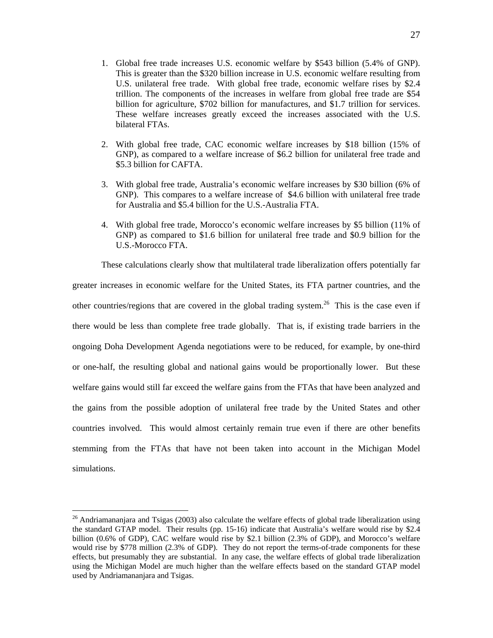- 1. Global free trade increases U.S. economic welfare by \$543 billion (5.4% of GNP). This is greater than the \$320 billion increase in U.S. economic welfare resulting from U.S. unilateral free trade. With global free trade, economic welfare rises by \$2.4 trillion. The components of the increases in welfare from global free trade are \$54 billion for agriculture, \$702 billion for manufactures, and \$1.7 trillion for services. These welfare increases greatly exceed the increases associated with the U.S. bilateral FTAs.
- 2. With global free trade, CAC economic welfare increases by \$18 billion (15% of GNP), as compared to a welfare increase of \$6.2 billion for unilateral free trade and \$5.3 billion for CAFTA.
- 3. With global free trade, Australia's economic welfare increases by \$30 billion (6% of GNP). This compares to a welfare increase of \$4.6 billion with unilateral free trade for Australia and \$5.4 billion for the U.S.-Australia FTA.
- 4. With global free trade, Morocco's economic welfare increases by \$5 billion (11% of GNP) as compared to \$1.6 billion for unilateral free trade and \$0.9 billion for the U.S.-Morocco FTA.

These calculations clearly show that multilateral trade liberalization offers potentially far greater increases in economic welfare for the United States, its FTA partner countries, and the other countries/regions that are covered in the global trading system[.](#page-28-0)<sup>26</sup>This is the case even if there would be less than complete free trade globally. That is, if existing trade barriers in the ongoing Doha Development Agenda negotiations were to be reduced, for example, by one-third or one-half, the resulting global and national gains would be proportionally lower. But these welfare gains would still far exceed the welfare gains from the FTAs that have been analyzed and the gains from the possible adoption of unilateral free trade by the United States and other countries involved. This would almost certainly remain true even if there are other benefits stemming from the FTAs that have not been taken into account in the Michigan Model simulations.

<u>.</u>

<span id="page-28-0"></span><sup>&</sup>lt;sup>26</sup> Andriamananjara and Tsigas (2003) also calculate the welfare effects of global trade liberalization using the standard GTAP model. Their results (pp. 15-16) indicate that Australia's welfare would rise by \$2.4 billion (0.6% of GDP), CAC welfare would rise by \$2.1 billion (2.3% of GDP), and Morocco's welfare would rise by \$778 million (2.3% of GDP). They do not report the terms-of-trade components for these effects, but presumably they are substantial. In any case, the welfare effects of global trade liberalization using the Michigan Model are much higher than the welfare effects based on the standard GTAP model used by Andriamananjara and Tsigas.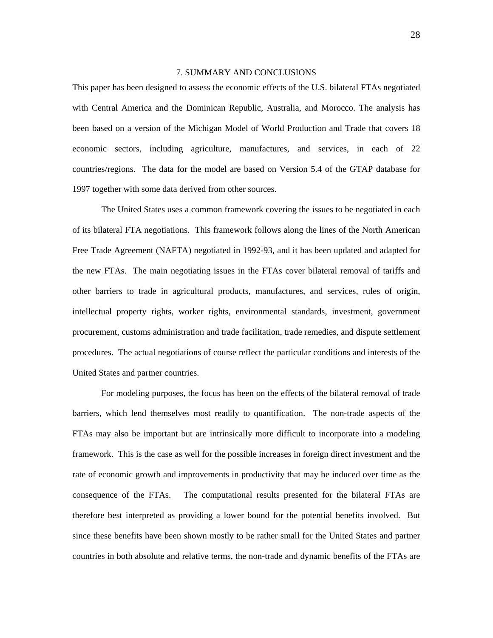#### 7. SUMMARY AND CONCLUSIONS

This paper has been designed to assess the economic effects of the U.S. bilateral FTAs negotiated with Central America and the Dominican Republic, Australia, and Morocco. The analysis has been based on a version of the Michigan Model of World Production and Trade that covers 18 economic sectors, including agriculture, manufactures, and services, in each of 22 countries/regions. The data for the model are based on Version 5.4 of the GTAP database for 1997 together with some data derived from other sources.

The United States uses a common framework covering the issues to be negotiated in each of its bilateral FTA negotiations. This framework follows along the lines of the North American Free Trade Agreement (NAFTA) negotiated in 1992-93, and it has been updated and adapted for the new FTAs. The main negotiating issues in the FTAs cover bilateral removal of tariffs and other barriers to trade in agricultural products, manufactures, and services, rules of origin, intellectual property rights, worker rights, environmental standards, investment, government procurement, customs administration and trade facilitation, trade remedies, and dispute settlement procedures. The actual negotiations of course reflect the particular conditions and interests of the United States and partner countries.

For modeling purposes, the focus has been on the effects of the bilateral removal of trade barriers, which lend themselves most readily to quantification. The non-trade aspects of the FTAs may also be important but are intrinsically more difficult to incorporate into a modeling framework. This is the case as well for the possible increases in foreign direct investment and the rate of economic growth and improvements in productivity that may be induced over time as the consequence of the FTAs. The computational results presented for the bilateral FTAs are therefore best interpreted as providing a lower bound for the potential benefits involved. But since these benefits have been shown mostly to be rather small for the United States and partner countries in both absolute and relative terms, the non-trade and dynamic benefits of the FTAs are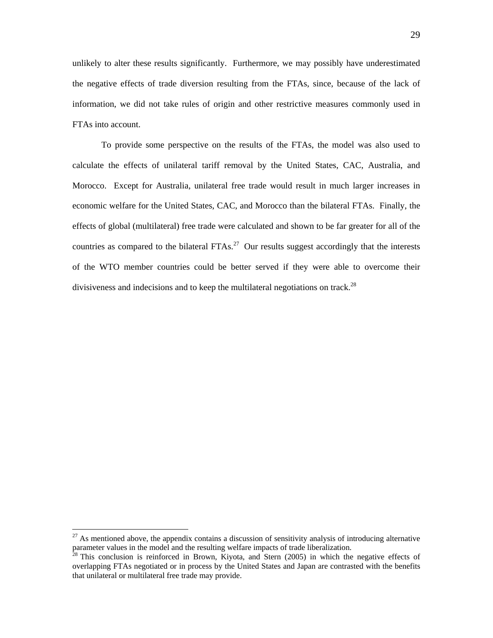unlikely to alter these results significantly. Furthermore, we may possibly have underestimated the negative effects of trade diversion resulting from the FTAs, since, because of the lack of information, we did not take rules of origin and other restrictive measures commonly used in FTAs into account.

 To provide some perspective on the results of the FTAs, the model was also used to calculate the effects of unilateral tariff removal by the United States, CAC, Australia, and Morocco. Except for Australia, unilateral free trade would result in much larger increases in economic welfare for the United States, CAC, and Morocco than the bilateral FTAs. Finally, the effects of global (multilateral) free trade were calculated and shown to be far greater for all of the countries as compared to the bilateral FTAs.<sup>27</sup> Our results suggest accordingly that the interests of the WTO member countries could be better served if they were able to overcome their divisiveness and indecisions and to keep the multilateral negotiations on track.<sup>28</sup>

 $\overline{a}$ 

<span id="page-30-0"></span> $27$  As mentioned above, the appendix contains a discussion of sensitivity analysis of introducing alternative parameter values in the model and the resulting welfare impacts of trade liberalization.

<span id="page-30-1"></span> $28$  This conclusion is reinforced in Brown, Kiyota, and Stern (2005) in which the negative effects of overlapping FTAs negotiated or in process by the United States and Japan are contrasted with the benefits that unilateral or multilateral free trade may provide.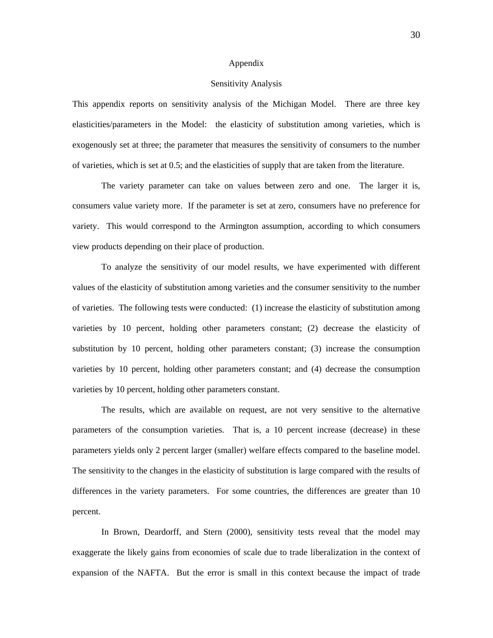#### Appendix

#### Sensitivity Analysis

This appendix reports on sensitivity analysis of the Michigan Model. There are three key elasticities/parameters in the Model: the elasticity of substitution among varieties, which is exogenously set at three; the parameter that measures the sensitivity of consumers to the number of varieties, which is set at 0.5; and the elasticities of supply that are taken from the literature.

 The variety parameter can take on values between zero and one. The larger it is, consumers value variety more. If the parameter is set at zero, consumers have no preference for variety. This would correspond to the Armington assumption, according to which consumers view products depending on their place of production.

 To analyze the sensitivity of our model results, we have experimented with different values of the elasticity of substitution among varieties and the consumer sensitivity to the number of varieties. The following tests were conducted: (1) increase the elasticity of substitution among varieties by 10 percent, holding other parameters constant; (2) decrease the elasticity of substitution by 10 percent, holding other parameters constant; (3) increase the consumption varieties by 10 percent, holding other parameters constant; and (4) decrease the consumption varieties by 10 percent, holding other parameters constant.

 The results, which are available on request, are not very sensitive to the alternative parameters of the consumption varieties. That is, a 10 percent increase (decrease) in these parameters yields only 2 percent larger (smaller) welfare effects compared to the baseline model. The sensitivity to the changes in the elasticity of substitution is large compared with the results of differences in the variety parameters. For some countries, the differences are greater than 10 percent.

 In Brown, Deardorff, and Stern (2000), sensitivity tests reveal that the model may exaggerate the likely gains from economies of scale due to trade liberalization in the context of expansion of the NAFTA. But the error is small in this context because the impact of trade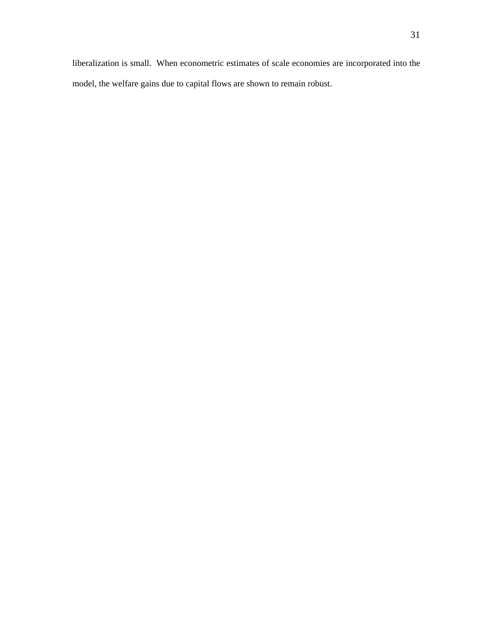liberalization is small. When econometric estimates of scale economies are incorporated into the model, the welfare gains due to capital flows are shown to remain robust.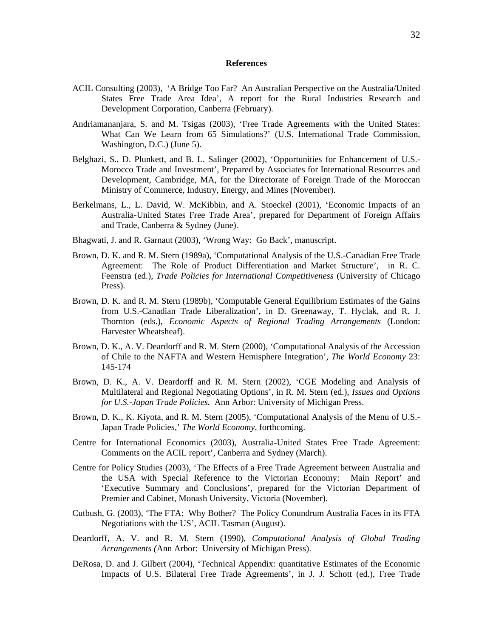#### **References**

- ACIL Consulting (2003), 'A Bridge Too Far? An Australian Perspective on the Australia/United States Free Trade Area Idea', A report for the Rural Industries Research and Development Corporation, Canberra (February).
- Andriamananjara, S. and M. Tsigas (2003), 'Free Trade Agreements with the United States: What Can We Learn from 65 Simulations?' (U.S. International Trade Commission, Washington, D.C.) (June 5).
- Belghazi, S., D. Plunkett, and B. L. Salinger (2002), 'Opportunities for Enhancement of U.S.- Morocco Trade and Investment', Prepared by Associates for International Resources and Development, Cambridge, MA, for the Directorate of Foreign Trade of the Moroccan Ministry of Commerce, Industry, Energy, and Mines (November).
- Berkelmans, L., L. David, W. McKibbin, and A. Stoeckel (2001), 'Economic Impacts of an Australia-United States Free Trade Area', prepared for Department of Foreign Affairs and Trade, Canberra & Sydney (June).
- Bhagwati, J. and R. Garnaut (2003), 'Wrong Way: Go Back', manuscript.
- Brown, D. K. and R. M. Stern (1989a), 'Computational Analysis of the U.S.-Canadian Free Trade Agreement: The Role of Product Differentiation and Market Structure', in R. C. Feenstra (ed.), *Trade Policies for International Competitiveness* (University of Chicago Press).
- Brown, D. K. and R. M. Stern (1989b), 'Computable General Equilibrium Estimates of the Gains from U.S.-Canadian Trade Liberalization', in D. Greenaway, T. Hyclak, and R. J. Thornton (eds.), *Economic Aspects of Regional Trading Arrangements* (London: Harvester Wheatsheaf).
- Brown, D. K., A. V. Deardorff and R. M. Stern (2000), 'Computational Analysis of the Accession of Chile to the NAFTA and Western Hemisphere Integration', *The World Economy* 23: 145-174
- Brown, D. K., A. V. Deardorff and R. M. Stern (2002), 'CGE Modeling and Analysis of Multilateral and Regional Negotiating Options', in R. M. Stern (ed.), *Issues and Options for U.S.-Japan Trade Policies.* Ann Arbor: University of Michigan Press.
- Brown, D. K., K. Kiyota, and R. M. Stern (2005), 'Computational Analysis of the Menu of U.S.- Japan Trade Policies,' *The World Economy*, forthcoming.
- Centre for International Economics (2003), Australia-United States Free Trade Agreement: Comments on the ACIL report', Canberra and Sydney (March).
- Centre for Policy Studies (2003), 'The Effects of a Free Trade Agreement between Australia and the USA with Special Reference to the Victorian Economy: Main Report' and 'Executive Summary and Conclusions', prepared for the Victorian Department of Premier and Cabinet, Monash University, Victoria (November).
- Cutbush, G. (2003), 'The FTA: Why Bother? The Policy Conundrum Australia Faces in its FTA Negotiations with the US', ACIL Tasman (August).
- Deardorff, A. V. and R. M. Stern (1990), *Computational Analysis of Global Trading Arrangements (*Ann Arbor: University of Michigan Press).
- DeRosa, D. and J. Gilbert (2004), 'Technical Appendix: quantitative Estimates of the Economic Impacts of U.S. Bilateral Free Trade Agreements', in J. J. Schott (ed.), Free Trade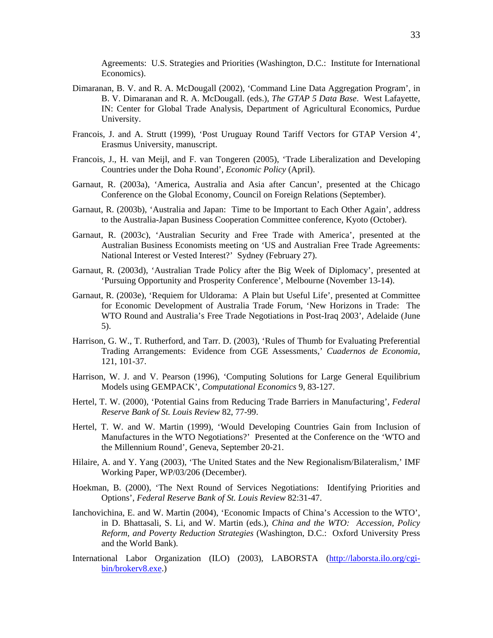Agreements: U.S. Strategies and Priorities (Washington, D.C.: Institute for International Economics).

- Dimaranan, B. V. and R. A. McDougall (2002), 'Command Line Data Aggregation Program', in B. V. Dimaranan and R. A. McDougall. (eds.), *The GTAP 5 Data Base*. West Lafayette, IN: Center for Global Trade Analysis, Department of Agricultural Economics, Purdue University.
- Francois, J. and A. Strutt (1999), 'Post Uruguay Round Tariff Vectors for GTAP Version 4', Erasmus University, manuscript.
- Francois, J., H. van Meijl, and F. van Tongeren (2005), 'Trade Liberalization and Developing Countries under the Doha Round', *Economic Policy* (April).
- Garnaut, R. (2003a), 'America, Australia and Asia after Cancun', presented at the Chicago Conference on the Global Economy, Council on Foreign Relations (September).
- Garnaut, R. (2003b), 'Australia and Japan: Time to be Important to Each Other Again', address to the Australia-Japan Business Cooperation Committee conference, Kyoto (October).
- Garnaut, R. (2003c), 'Australian Security and Free Trade with America', presented at the Australian Business Economists meeting on 'US and Australian Free Trade Agreements: National Interest or Vested Interest?' Sydney (February 27).
- Garnaut, R. (2003d), 'Australian Trade Policy after the Big Week of Diplomacy', presented at 'Pursuing Opportunity and Prosperity Conference', Melbourne (November 13-14).
- Garnaut, R. (2003e), 'Requiem for Uldorama: A Plain but Useful Life', presented at Committee for Economic Development of Australia Trade Forum, 'New Horizons in Trade: The WTO Round and Australia's Free Trade Negotiations in Post-Iraq 2003', Adelaide (June 5).
- Harrison, G. W., T. Rutherford, and Tarr. D. (2003), 'Rules of Thumb for Evaluating Preferential Trading Arrangements: Evidence from CGE Assessments,' *Cuadernos de Economia*, 121, 101-37.
- Harrison, W. J. and V. Pearson (1996), 'Computing Solutions for Large General Equilibrium Models using GEMPACK', *Computational Economics* 9, 83-127.
- Hertel, T. W. (2000), 'Potential Gains from Reducing Trade Barriers in Manufacturing', *Federal Reserve Bank of St. Louis Review* 82, 77-99.
- Hertel, T. W. and W. Martin (1999), 'Would Developing Countries Gain from Inclusion of Manufactures in the WTO Negotiations?' Presented at the Conference on the 'WTO and the Millennium Round', Geneva, September 20-21.
- Hilaire, A. and Y. Yang (2003), 'The United States and the New Regionalism/Bilateralism,' IMF Working Paper, WP/03/206 (December).
- Hoekman, B. (2000), 'The Next Round of Services Negotiations: Identifying Priorities and Options', *Federal Reserve Bank of St. Louis Review* 82:31-47.
- Ianchovichina, E. and W. Martin (2004), 'Economic Impacts of China's Accession to the WTO', in D. Bhattasali, S. Li, and W. Martin (eds.), *China and the WTO: Accession, Policy Reform, and Poverty Reduction Strategies* (Washington, D.C.: Oxford University Press and the World Bank).
- International Labor Organization (ILO) (2003), LABORSTA ([http://laborsta.ilo.org/cgi](http://laborsta.ilo.org/cgi-bin/brokerv8.exe)[bin/brokerv8.exe.](http://laborsta.ilo.org/cgi-bin/brokerv8.exe))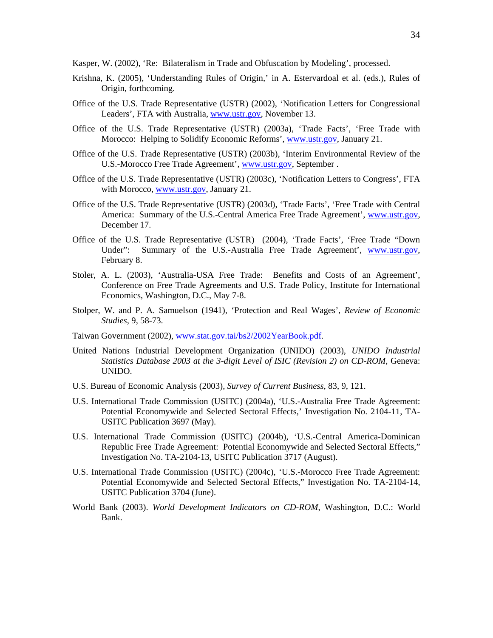Kasper, W. (2002), 'Re: Bilateralism in Trade and Obfuscation by Modeling', processed.

- Krishna, K. (2005), 'Understanding Rules of Origin,' in A. Estervardoal et al. (eds.), Rules of Origin, forthcoming.
- Office of the U.S. Trade Representative (USTR) (2002), 'Notification Letters for Congressional Leaders', FTA with Australia, [www.ustr.gov,](http://www.ustr.gov/) November 13.
- Office of the U.S. Trade Representative (USTR) (2003a), 'Trade Facts', 'Free Trade with Morocco: Helping to Solidify Economic Reforms', [www.ustr.gov,](http://www.ustr.gov/) January 21.
- Office of the U.S. Trade Representative (USTR) (2003b), 'Interim Environmental Review of the U.S.-Morocco Free Trade Agreement', [www.ustr.gov,](http://www.ustr.gov/) September .
- Office of the U.S. Trade Representative (USTR) (2003c), 'Notification Letters to Congress', FTA with Morocco, [www.ustr.gov,](http://www.ustr.gov/) January 21.
- Office of the U.S. Trade Representative (USTR) (2003d), 'Trade Facts', 'Free Trade with Central America: Summary of the U.S.-Central America Free Trade Agreement', [www.ustr.gov](http://www.ustr.gov/), December 17.
- Office of the U.S. Trade Representative (USTR) (2004), 'Trade Facts', 'Free Trade "Down Under": Summary of the U.S.-Australia Free Trade Agreement', [www.ustr.gov](http://www.ustr.gov/), February 8.
- Stoler, A. L. (2003), 'Australia-USA Free Trade: Benefits and Costs of an Agreement', Conference on Free Trade Agreements and U.S. Trade Policy, Institute for International Economics, Washington, D.C., May 7-8.
- Stolper, W. and P. A. Samuelson (1941), 'Protection and Real Wages', *Review of Economic Studies*, 9, 58-73.
- Taiwan Government (2002), [www.stat.gov.tai/bs2/2002YearBook.pdf](http://www.stat.gov.tai/bs2/2002YearBook.pdf).
- United Nations Industrial Development Organization (UNIDO) (2003), *UNIDO Industrial Statistics Database 2003 at the 3-digit Level of ISIC (Revision 2) on CD-ROM*, Geneva: UNIDO.
- U.S. Bureau of Economic Analysis (2003), *Survey of Current Business*, 83, 9, 121.
- U.S. International Trade Commission (USITC) (2004a), 'U.S.-Australia Free Trade Agreement: Potential Economywide and Selected Sectoral Effects,' Investigation No. 2104-11, TA-USITC Publication 3697 (May).
- U.S. International Trade Commission (USITC) (2004b), 'U.S.-Central America-Dominican Republic Free Trade Agreement: Potential Economywide and Selected Sectoral Effects," Investigation No. TA-2104-13, USITC Publication 3717 (August).
- U.S. International Trade Commission (USITC) (2004c), 'U.S.-Morocco Free Trade Agreement: Potential Economywide and Selected Sectoral Effects," Investigation No. TA-2104-14, USITC Publication 3704 (June).
- World Bank (2003). *World Development Indicators on CD-ROM*, Washington, D.C.: World Bank.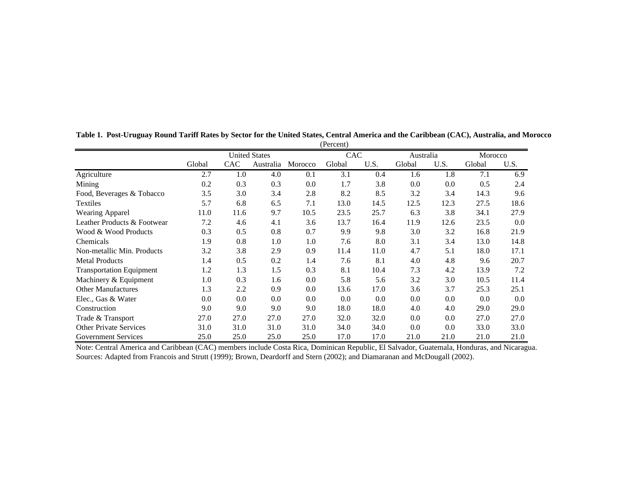|                                 |        |      |                      |         | (recin)    |      |           |         |         |      |
|---------------------------------|--------|------|----------------------|---------|------------|------|-----------|---------|---------|------|
|                                 |        |      | <b>United States</b> |         | <b>CAC</b> |      | Australia |         | Morocco |      |
|                                 | Global | CAC  | Australia            | Morocco | Global     | U.S. | Global    | U.S.    | Global  | U.S. |
| Agriculture                     | 2.7    | 1.0  | 4.0                  | 0.1     | 3.1        | 0.4  | 1.6       | 1.8     | 7.1     | 6.9  |
| Mining                          | 0.2    | 0.3  | 0.3                  | 0.0     | 1.7        | 3.8  | 0.0       | 0.0     | 0.5     | 2.4  |
| Food, Beverages & Tobacco       | 3.5    | 3.0  | 3.4                  | 2.8     | 8.2        | 8.5  | 3.2       | 3.4     | 14.3    | 9.6  |
| Textiles                        | 5.7    | 6.8  | 6.5                  | 7.1     | 13.0       | 14.5 | 12.5      | 12.3    | 27.5    | 18.6 |
| <b>Wearing Apparel</b>          | 11.0   | 11.6 | 9.7                  | 10.5    | 23.5       | 25.7 | 6.3       | 3.8     | 34.1    | 27.9 |
| Leather Products & Footwear     | 7.2    | 4.6  | 4.1                  | 3.6     | 13.7       | 16.4 | 11.9      | 12.6    | 23.5    | 0.0  |
| Wood & Wood Products            | 0.3    | 0.5  | 0.8                  | 0.7     | 9.9        | 9.8  | 3.0       | 3.2     | 16.8    | 21.9 |
| Chemicals                       | 1.9    | 0.8  | 1.0                  | 1.0     | 7.6        | 8.0  | 3.1       | 3.4     | 13.0    | 14.8 |
| Non-metallic Min. Products      | 3.2    | 3.8  | 2.9                  | 0.9     | 11.4       | 11.0 | 4.7       | 5.1     | 18.0    | 17.1 |
| <b>Metal Products</b>           | 1.4    | 0.5  | 0.2                  | 1.4     | 7.6        | 8.1  | 4.0       | 4.8     | 9.6     | 20.7 |
| <b>Transportation Equipment</b> | 1.2    | 1.3  | 1.5                  | 0.3     | 8.1        | 10.4 | 7.3       | 4.2     | 13.9    | 7.2  |
| Machinery & Equipment           | 1.0    | 0.3  | 1.6                  | 0.0     | 5.8        | 5.6  | 3.2       | 3.0     | 10.5    | 11.4 |
| <b>Other Manufactures</b>       | 1.3    | 2.2  | 0.9                  | 0.0     | 13.6       | 17.0 | 3.6       | 3.7     | 25.3    | 25.1 |
| Elec., Gas & Water              | 0.0    | 0.0  | 0.0                  | 0.0     | 0.0        | 0.0  | $0.0\,$   | $0.0\,$ | 0.0     | 0.0  |
| Construction                    | 9.0    | 9.0  | 9.0                  | 9.0     | 18.0       | 18.0 | 4.0       | 4.0     | 29.0    | 29.0 |
| Trade & Transport               | 27.0   | 27.0 | 27.0                 | 27.0    | 32.0       | 32.0 | 0.0       | 0.0     | 27.0    | 27.0 |
| <b>Other Private Services</b>   | 31.0   | 31.0 | 31.0                 | 31.0    | 34.0       | 34.0 | 0.0       | 0.0     | 33.0    | 33.0 |
| <b>Government Services</b>      | 25.0   | 25.0 | 25.0                 | 25.0    | 17.0       | 17.0 | 21.0      | 21.0    | 21.0    | 21.0 |

**Table 1. Post-Uruguay Round Tariff Rates by Sector for the United States, Central America and the Caribbean (CAC), Australia, and Morocco**  $(Darcant)$ 

Note: Central America and Caribbean (CAC) members include Costa Rica, Dominican Republic, El Salvador, Guatemala, Honduras, and Nicaragua. Sources: Adapted from Francois and Strutt (1999); Brown, Deardorff and Stern (2002); and Diamaranan and McDougall (2002).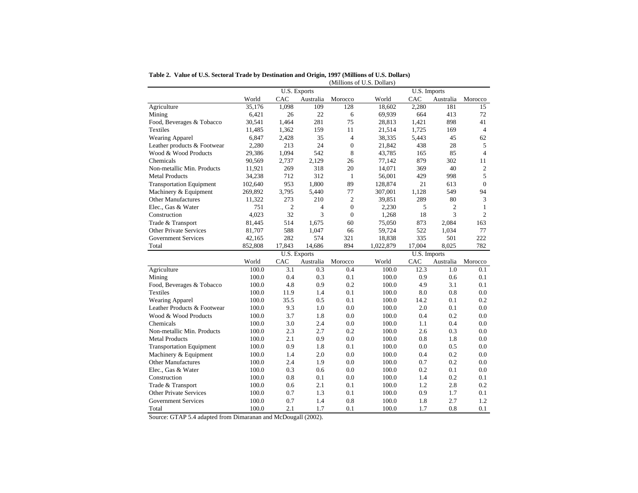|                                 |         |                |                     |                | (Millions of U.S. Dollars) |              |                |                |
|---------------------------------|---------|----------------|---------------------|----------------|----------------------------|--------------|----------------|----------------|
|                                 |         |                | <b>U.S. Exports</b> |                |                            | U.S. Imports |                |                |
|                                 | World   | CAC            | Australia           | Morocco        | World                      | CAC          | Australia      | Morocco        |
| Agriculture                     | 35,176  | 1,098          | 109                 | 128            | 18,602                     | 2,280        | 181            | 15             |
| Mining                          | 6,421   | 26             | 22                  | 6              | 69,939                     | 664          | 413            | 72             |
| Food, Beverages & Tobacco       | 30,541  | 1,464          | 281                 | 75             | 28,813                     | 1,421        | 898            | 41             |
| Textiles                        | 11,485  | 1,362          | 159                 | 11             | 21,514                     | 1,725        | 169            | $\overline{4}$ |
| Wearing Apparel                 | 6,847   | 2,428          | 35                  | $\overline{4}$ | 38,335                     | 5,443        | 45             | 62             |
| Leather products & Footwear     | 2,280   | 213            | 24                  | $\overline{0}$ | 21,842                     | 438          | 28             | 5              |
| Wood & Wood Products            | 29,386  | 1,094          | 542                 | 8              | 43,785                     | 165          | 85             | $\overline{4}$ |
| Chemicals                       | 90,569  | 2,737          | 2,129               | 26             | 77,142                     | 879          | 302            | 11             |
| Non-metallic Min. Products      | 11,921  | 269            | 318                 | 20             | 14,071                     | 369          | 40             | $\overline{2}$ |
| <b>Metal Products</b>           | 34,238  | 712            | 312                 | $\mathbf{1}$   | 56,001                     | 429          | 998            | 5              |
| <b>Transportation Equipment</b> | 102,640 | 953            | 1,800               | 89             | 128,874                    | 21           | 613            | $\mathbf{0}$   |
| Machinery & Equipment           | 269,892 | 3,795          | 5,440               | 77             | 307,001                    | 1,128        | 549            | 94             |
| <b>Other Manufactures</b>       | 11,322  | 273            | 210                 | $\overline{c}$ | 39,851                     | 289          | 80             | 3              |
| Elec., Gas & Water              | 751     | $\overline{c}$ | $\overline{4}$      | $\Omega$       | 2,230                      | 5            | $\overline{c}$ | $\mathbf{1}$   |
| Construction                    | 4,023   | 32             | 3                   | $\Omega$       | 1,268                      | 18           | 3              | $\overline{2}$ |
| Trade & Transport               | 81,445  | 514            | 1,675               | 60             | 75,050                     | 873          | 2,084          | 163            |
| <b>Other Private Services</b>   | 81,707  | 588            | 1,047               | 66             | 59,724                     | 522          | 1,034          | 77             |
| <b>Government Services</b>      | 42,165  | 282            | 574                 | 321            | 18,838                     | 335          | 501            | 222            |
| Total                           | 852,808 | 17,843         | 14.686              | 894            | 1,022,879                  | 17,004       | 8.025          | 782            |
|                                 |         |                | <b>U.S. Exports</b> |                |                            | U.S. Imports |                |                |
|                                 | World   | CAC            | Australia           | Morocco        | World                      | CAC          | Australia      | Morocco        |
| Agriculture                     | 100.0   | 3.1            | 0.3                 | 0.4            | 100.0                      | 12.3         | 1.0            | 0.1            |
| Mining                          | 100.0   | 0.4            | 0.3                 | 0.1            | 100.0                      | 0.9          | 0.6            | 0.1            |
| Food, Beverages & Tobacco       | 100.0   | 4.8            | 0.9                 | 0.2            | 100.0                      | 4.9          | 3.1            | 0.1            |
| Textiles                        | 100.0   | 11.9           | 1.4                 | 0.1            | 100.0                      | 8.0          | 0.8            | 0.0            |
| <b>Wearing Apparel</b>          | 100.0   | 35.5           | 0.5                 | 0.1            | 100.0                      | 14.2         | 0.1            | 0.2            |
| Leather Products & Footwear     | 100.0   | 9.3            | 1.0                 | 0.0            | 100.0                      | 2.0          | 0.1            | 0.0            |
| Wood & Wood Products            | 100.0   | 3.7            | 1.8                 | 0.0            | 100.0                      | 0.4          | 0.2            | 0.0            |
| Chemicals                       | 100.0   | 3.0            | 2.4                 | 0.0            | 100.0                      | 1.1          | 0.4            | 0.0            |
| Non-metallic Min. Products      | 100.0   | 2.3            | 2.7                 | 0.2            | 100.0                      | 2.6          | 0.3            | 0.0            |
| <b>Metal Products</b>           | 100.0   | 2.1            | 0.9                 | 0.0            | 100.0                      | 0.8          | 1.8            | 0.0            |
| <b>Transportation Equipment</b> | 100.0   | 0.9            | 1.8                 | 0.1            | 100.0                      | 0.0          | 0.5            | 0.0            |
| Machinery & Equipment           | 100.0   | 1.4            | 2.0                 | 0.0            | 100.0                      | 0.4          | 0.2            | 0.0            |
| <b>Other Manufactures</b>       | 100.0   | 2.4            | 1.9                 | 0.0            | 100.0                      | 0.7          | 0.2            | 0.0            |
| Elec., Gas & Water              | 100.0   | 0.3            | 0.6                 | 0.0            | 100.0                      | 0.2          | 0.1            | 0.0            |
| Construction                    | 100.0   | 0.8            | 0.1                 | 0.0            | 100.0                      | 1.4          | 0.2            | 0.1            |
| Trade & Transport               | 100.0   | 0.6            | 2.1                 | 0.1            | 100.0                      | 1.2          | 2.8            | 0.2            |
| <b>Other Private Services</b>   | 100.0   | 0.7            | 1.3                 | 0.1            | 100.0                      | 0.9          | 1.7            | 0.1            |
| <b>Government Services</b>      | 100.0   | 0.7            | 1.4                 | 0.8            | 100.0                      | 1.8          | 2.7            | 1.2            |
| Total                           | 100.0   | 2.1            | 1.7                 | 0.1            | 100.0                      | 1.7          | 0.8            | 0.1            |

**Table 2. Value of U.S. Sectoral Trade by Destination and Origin, 1997 (Millions of U.S. Dollars)**

Source: GTAP 5.4 adapted from Dimaranan and McDougall (2002).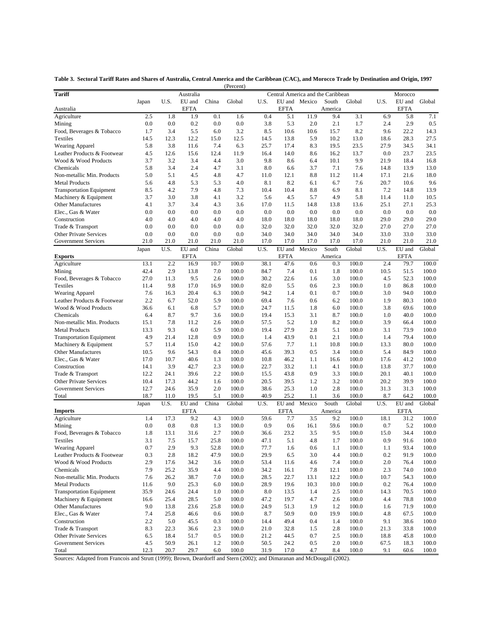| <b>Tariff</b>                       |             |      | Australia             |       |                |              |                     |               | Central America and the Caribbean |                |             | Morocco               |        |
|-------------------------------------|-------------|------|-----------------------|-------|----------------|--------------|---------------------|---------------|-----------------------------------|----------------|-------------|-----------------------|--------|
| Australia                           | Japan       | U.S. | EU and<br><b>EFTA</b> | China | Global         | U.S.         | <b>EFTA</b>         | EU and Mexico | South<br>America                  | Global         | U.S.        | EU and<br><b>EFTA</b> | Global |
| Agriculture                         | 2.5         | 1.8  | 1.9                   | 0.1   | 1.6            | 0.4          | 5.1                 | 11.9          | 9.4                               | 3.1            | 6.9         | 5.8                   | 7.1    |
| Mining                              | 0.0         | 0.0  | 0.2                   | 0.0   | 0.0            | 3.8          | 5.3                 | 2.0           | 2.1                               | 1.7            | 2.4         | 2.9                   | 0.5    |
| Food, Beverages & Tobacco           | 1.7         | 3.4  | 5.5                   | 6.0   | 3.2            | 8.5          | 10.6                | 10.6          | 15.7                              | 8.2            | 9.6         | 22.2                  | 14.3   |
| Textiles                            | 14.5        | 12.3 | 12.2                  | 15.0  | 12.5           | 14.5         | 13.8                | 5.9           | 10.2                              | 13.0           | 18.6        | 28.3                  | 27.5   |
| Wearing Apparel                     | 5.8         | 3.8  | 11.6                  | 7.4   | 6.3            | 25.7         | 17.4                | 8.3           | 19.5                              | 23.5           | 27.9        | 34.5                  | 34.1   |
| Leather Products & Footwear         | 4.5         | 12.6 | 15.6                  | 12.4  | 11.9           | 16.4         | 14.0                | 8.6           | 16.2                              | 13.7           | 0.0         | 23.7                  | 23.5   |
| Wood & Wood Products                | 3.7         | 3.2  | 3.4                   | 4.4   | 3.0            | 9.8          | 8.6                 | 6.4           | 10.1                              | 9.9            | 21.9        | 18.4                  | 16.8   |
| Chemicals                           | 5.8         | 3.4  | 2.4                   | 4.7   | 3.1            | 8.0          | 6.6                 | 3.7           | 7.1                               | 7.6            | 14.8        | 13.9                  | 13.0   |
| Non-metallic Min. Products          | 5.0         | 5.1  | 4.5                   | 4.8   | 4.7            | 11.0         | 12.1                | 8.8           | 11.2                              | 11.4           | 17.1        | 21.6                  | 18.0   |
| <b>Metal Products</b>               | 5.6         | 4.8  | 5.3                   | 5.3   | 4.0            | 8.1          | 8.2                 | 6.1           | 6.7                               | 7.6            | 20.7        | 10.6                  | 9.6    |
| <b>Transportation Equipment</b>     | 8.5         | 4.2  | 7.9                   | 4.8   | 7.3            | 10.4         | 10.4                | 8.8           | 6.9                               | 8.1            | 7.2         | 14.8                  | 13.9   |
| Machinery & Equipment               | 3.7         | 3.0  | 3.8                   | 4.1   | 3.2            | 5.6          | 4.5                 | 5.7           | 4.9                               | 5.8            | 11.4        | 11.0                  | 10.5   |
| <b>Other Manufactures</b>           | 4.1         | 3.7  | 3.4                   | 4.3   | 3.6            | 17.0         | 11.5                | 14.8          | 13.8                              | 13.6           | 25.1        | 27.1                  | 25.3   |
| Elec., Gas & Water                  | 0.0         | 0.0  | 0.0                   | 0.0   | 0.0            | 0.0          | 0.0                 | 0.0           | 0.0                               | 0.0            | 0.0         | 0.0                   | 0.0    |
| Construction                        | 4.0         | 4.0  | 4.0                   | 4.0   | 4.0            | 18.0         | 18.0                | 18.0          | 18.0                              | 18.0           | 29.0        | 29.0                  | 29.0   |
| Trade & Transport                   | 0.0         | 0.0  | 0.0                   | 0.0   | 0.0            | 32.0         | 32.0                | 32.0          | 32.0                              | 32.0           | 27.0        | 27.0                  | 27.0   |
| Other Private Services              | 0.0         | 0.0  | 0.0                   | 0.0   | 0.0            | 34.0         | 34.0                | 34.0          | 34.0                              | 34.0           | 33.0        | 33.0                  | 33.0   |
| Government Services                 | 21.0        | 21.0 | 21.0                  | 21.0  | 21.0           | 17.0         | 17.0                | 17.0          | 17.0                              | 17.0           | 21.0        | 21.0                  | 21.0   |
|                                     | Japan       | U.S. | EU and                | China | Global         | U.S.         | EU and              | Mexico        | South                             | Global         | U.S.        | EU and                | Global |
| <b>Exports</b>                      | 13.1        | 2.2  | <b>EFTA</b><br>16.9   | 10.7  | 100.0          | 38.1         | <b>EFTA</b><br>47.6 |               | America                           |                | 2.4         | <b>EFTA</b><br>79.7   | 100.0  |
| Agriculture                         | 42.4        | 2.9  | 13.8                  | 7.0   | 100.0          | 84.7         | 7.4                 | 0.6<br>0.1    | 0.3<br>1.8                        | 100.0<br>100.0 | 10.5        | 51.5                  | 100.0  |
| Mining<br>Food, Beverages & Tobacco | 27.0        | 11.3 | 9.5                   | 2.6   | 100.0          | 30.2         | 22.6                | 1.6           | 3.0                               | 100.0          | 4.5         | 52.3                  | 100.0  |
| Textiles                            | 11.4        | 9.8  | 17.0                  | 16.9  | 100.0          | 82.0         | 5.5                 | 0.6           | 2.3                               | 100.0          | 1.0         | 86.8                  | 100.0  |
| <b>Wearing Apparel</b>              | 7.6         | 16.3 | 20.4                  | 6.3   | 100.0          | 94.2         | 1.4                 | 0.1           | 0.7                               | 100.0          | 3.0         | 94.0                  | 100.0  |
| Leather Products & Footwear         | 2.2         | 6.7  | 52.0                  | 5.9   | 100.0          | 69.4         | 7.6                 | 0.6           | 6.2                               | 100.0          | 1.9         | 80.3                  | 100.0  |
| Wood & Wood Products                | 36.6        | 6.1  | 6.8                   | 5.7   | 100.0          | 24.7         | 11.5                | 1.8           | 6.0                               | 100.0          | 3.8         | 69.6                  | 100.0  |
| Chemicals                           | 6.4         | 8.7  | 9.7                   | 3.6   | 100.0          | 19.4         | 15.3                | 3.1           | 8.7                               | 100.0          | 1.0         | 40.0                  | 100.0  |
| Non-metallic Min. Products          | 15.1        | 7.8  | 11.2                  | 2.6   | 100.0          | 57.5         | 5.2                 | 1.0           | 8.2                               | 100.0          | 3.9         | 66.4                  | 100.0  |
| <b>Metal Products</b>               | 13.3        | 9.3  | 6.0                   | 5.9   | 100.0          | 19.4         | 27.9                | 2.8           | 5.1                               | 100.0          | 3.1         | 73.9                  | 100.0  |
| <b>Transportation Equipment</b>     | 4.9         | 21.4 | 12.8                  | 0.9   | 100.0          | 1.4          | 43.9                | 0.1           | 2.1                               | 100.0          | 1.4         | 79.4                  | 100.0  |
| Machinery & Equipment               | 5.7         | 11.4 | 15.0                  | 4.2   | 100.0          | 57.6         | 7.7                 | 1.1           | 10.8                              | 100.0          | 13.3        | 80.0                  | 100.0  |
| <b>Other Manufactures</b>           | 10.5        | 9.6  | 54.3                  | 0.4   | 100.0          | 45.6         | 39.3                | 0.5           | 3.4                               | 100.0          | 5.4         | 84.9                  | 100.0  |
| Elec., Gas & Water                  | 17.0        | 10.7 | 40.6                  | 1.3   | 100.0          | 10.8         | 46.2                | 1.1           | 16.6                              | 100.0          | 17.6        | 41.2                  | 100.0  |
| Construction                        | 14.1        | 3.9  | 42.7                  | 2.3   | 100.0          | 22.7         | 33.2                | 1.1           | 4.1                               | 100.0          | 13.8        | 37.7                  | 100.0  |
| Trade & Transport                   | 12.2        | 24.1 | 39.6                  | 2.2   | 100.0          | 15.5         | 43.8                | 0.9           | 3.3                               | 100.0          | 20.1        | 40.1                  | 100.0  |
| <b>Other Private Services</b>       | 10.4        | 17.3 | 44.2                  | 1.6   | 100.0          | 20.5         | 39.5                | 1.2           | 3.2                               | 100.0          | 20.2        | 39.9                  | 100.0  |
| Government Services                 | 12.7        | 24.6 | 35.9                  | 2.0   | 100.0          | 38.6         | 25.3                | 1.0           | 2.8                               | 100.0          | 31.3        | 31.3                  | 100.0  |
| Total                               | 18.7        | 11.0 | 19.5                  | 5.1   | 100.0          | 40.9         | 25.2                | 1.1           | 3.6                               | 100.0          | 8.7         | 64.2                  | 100.0  |
|                                     | Japan       | U.S. | EU and                | China | Global         | U.S.         | EU and              | Mexico        | South                             | Global         | U.S.        | EU and                | Global |
| <b>Imports</b>                      |             |      | <b>EFTA</b>           |       |                |              | <b>EFTA</b>         |               | America                           |                |             | <b>EFTA</b>           |        |
| Agriculture                         | 1.4         | 17.3 | 9.2                   | 4.3   | 100.0          | 59.6         | 7.7                 | 3.5           | 9.2                               | 100.0          | 18.1        | 31.2                  | 100.0  |
| Mining                              | 0.0         | 0.8  | 0.8                   | 1.3   | 100.0          | 0.9          | 0.6                 | 16.1          | 59.6                              | 100.0          | 0.7         | 5.2                   | 100.0  |
| Food, Beverages & Tobacco           | 1.8         | 13.1 | 31.6                  | 2.7   | 100.0          | 36.6         | 23.2                | 3.5           | 9.5                               | 100.0          | 15.0        | 34.4                  | 100.0  |
| <b>Textiles</b>                     | 3.1         | 7.5  | 15.7                  | 25.8  | 100.0          | 47.1         | 5.1                 | 4.8           | 1.7                               | 100.0          | 0.9         | 91.6                  | 100.0  |
| <b>Wearing Apparel</b>              | 0.7         | 2.9  | 9.3                   | 52.8  | 100.0          | 77.7         | 1.6                 | 0.6           | 1.1                               | 100.0          | 1.1         | 93.4                  | 100.0  |
| Leather Products & Footwear         | 0.3         | 2.8  | 18.2                  | 47.9  | 100.0          | 29.9         | 6.5                 | 3.0           | 4.4                               | 100.0          | 0.2         | 91.9                  | 100.0  |
| Wood & Wood Products                | 2.9         | 17.6 | 34.2                  | 3.6   | 100.0          | 53.4         | 11.6                | 4.6           | 7.4                               | 100.0          | 2.0         | 76.4                  | 100.0  |
| Chemicals                           | 7.9         | 25.2 | 35.9                  | 4.4   | 100.0          | 34.2         | 16.1                | 7.8           | 12.1                              | 100.0          | 2.3         | 74.0                  | 100.0  |
| Non-metallic Min. Products          | 7.6         | 26.2 | 38.7                  | 7.0   | 100.0          | 28.5         | 22.7                | 13.1          | 12.2                              | 100.0          | 10.7        | 54.3                  | 100.0  |
| <b>Metal Products</b>               | 11.6        | 9.0  | 25.3                  | 6.0   | 100.0          | 28.9         | 19.6                | 10.3          | 10.0                              | 100.0          | 0.2         | 76.4                  | 100.0  |
| <b>Transportation Equipment</b>     | 35.9        | 24.6 | 24.4                  | 1.0   | 100.0          | 8.0          | 13.5                | 1.4           | 2.5                               | 100.0          | 14.3        | 70.5                  | 100.0  |
| Machinery & Equipment               | 16.6        | 25.4 | 28.5                  | 5.0   | 100.0          | 47.2         | 19.7                | 4.7           | 2.6                               | 100.0          | 4.4         | 78.8                  | 100.0  |
| Other Manufactures                  | 9.0         | 13.8 | 23.6                  | 25.8  | 100.0          | 24.9         | 51.3                | 1.9           | 1.2                               | 100.0          | 1.6         | 71.9                  | 100.0  |
| Elec., Gas & Water                  | 7.4         | 25.8 | 46.6                  | 0.6   | 100.0          | 8.7          | 50.9                | 0.0           | 19.9                              | 100.0          | 4.8         | 67.5                  | 100.0  |
| Construction                        | 2.2         | 5.0  | 45.5                  | 0.3   | 100.0          | 14.4         | 49.4                | 0.4           | 1.4                               | 100.0          | 9.1         | 38.6                  | 100.0  |
| Trade & Transport                   | 8.3         | 22.3 | 36.6                  | 2.3   | 100.0          | 21.0         | 32.8                | 1.5           | 2.8                               | 100.0          | 21.3        | 33.8                  | 100.0  |
| Other Private Services              | 6.5         | 18.4 | 51.7                  | 0.5   | 100.0          | 21.2         | 44.5                | 0.7           | 2.5                               | 100.0          | 18.8        | 45.8                  | 100.0  |
| <b>Government Services</b>          | 4.5<br>12.3 | 50.9 | 26.1<br>29.7          | 1.2   | 100.0<br>100.0 | 50.5<br>31.9 | 24.2<br>17.0        | 0.5<br>4.7    | 2.0                               | 100.0<br>100.0 | 67.5<br>9.1 | 18.3                  | 100.0  |
| Total                               |             | 20.7 |                       | 6.0   |                |              |                     |               | 8.4                               |                |             | 60.6                  | 100.0  |

**Table 3. Sectoral Tariff Rates and Shares of Australia, Central America and the Caribbean (CAC), and Morocco Trade by Destination and Origin, 1997** (Percent)

Sources: Adapted from Francois and Strutt (1999); Brown, Deardorff and Stern (2002); and Dimaranan and McDougall (2002).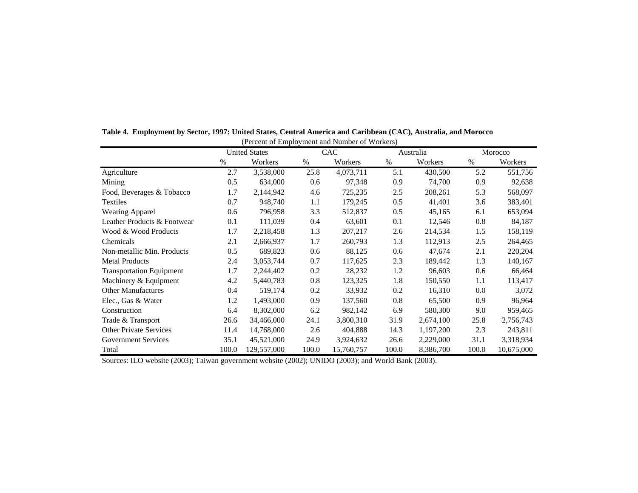|                                 |       | <b>United States</b> |       | CAC        |       | Australia |         | Morocco    |
|---------------------------------|-------|----------------------|-------|------------|-------|-----------|---------|------------|
|                                 | $\%$  | Workers              | $\%$  | Workers    | $\%$  | Workers   | $\%$    | Workers    |
| Agriculture                     | 2.7   | 3,538,000            | 25.8  | 4,073,711  | 5.1   | 430,500   | 5.2     | 551,756    |
| Mining                          | 0.5   | 634,000              | 0.6   | 97,348     | 0.9   | 74,700    | 0.9     | 92,638     |
| Food, Beverages & Tobacco       | 1.7   | 2,144,942            | 4.6   | 725,235    | 2.5   | 208,261   | 5.3     | 568,097    |
| <b>Textiles</b>                 | 0.7   | 948,740              | 1.1   | 179,245    | 0.5   | 41,401    | 3.6     | 383,401    |
| <b>Wearing Apparel</b>          | 0.6   | 796,958              | 3.3   | 512,837    | 0.5   | 45,165    | 6.1     | 653,094    |
| Leather Products & Footwear     | 0.1   | 111,039              | 0.4   | 63,601     | 0.1   | 12,546    | 0.8     | 84,187     |
| Wood & Wood Products            | 1.7   | 2,218,458            | 1.3   | 207,217    | 2.6   | 214,534   | 1.5     | 158,119    |
| Chemicals                       | 2.1   | 2,666,937            | 1.7   | 260,793    | 1.3   | 112,913   | 2.5     | 264,465    |
| Non-metallic Min. Products      | 0.5   | 689,823              | 0.6   | 88,125     | 0.6   | 47,674    | 2.1     | 220,204    |
| <b>Metal Products</b>           | 2.4   | 3,053,744            | 0.7   | 117,625    | 2.3   | 189,442   | 1.3     | 140,167    |
| <b>Transportation Equipment</b> | 1.7   | 2,244,402            | 0.2   | 28,232     | 1.2   | 96,603    | 0.6     | 66,464     |
| Machinery & Equipment           | 4.2   | 5,440,783            | 0.8   | 123,325    | 1.8   | 150,550   | 1.1     | 113,417    |
| <b>Other Manufactures</b>       | 0.4   | 519,174              | 0.2   | 33,932     | 0.2   | 16,310    | $0.0\,$ | 3,072      |
| Elec., Gas & Water              | 1.2   | 1,493,000            | 0.9   | 137,560    | 0.8   | 65,500    | 0.9     | 96,964     |
| Construction                    | 6.4   | 8,302,000            | 6.2   | 982,142    | 6.9   | 580,300   | 9.0     | 959,465    |
| Trade & Transport               | 26.6  | 34,466,000           | 24.1  | 3,800,310  | 31.9  | 2,674,100 | 25.8    | 2,756,743  |
| <b>Other Private Services</b>   | 11.4  | 14,768,000           | 2.6   | 404,888    | 14.3  | 1,197,200 | 2.3     | 243,811    |
| <b>Government Services</b>      | 35.1  | 45,521,000           | 24.9  | 3,924,632  | 26.6  | 2,229,000 | 31.1    | 3,318,934  |
| Total                           | 100.0 | 129,557,000          | 100.0 | 15,760,757 | 100.0 | 8,386,700 | 100.0   | 10,675,000 |

**Table 4. Employment by Sector, 1997: United States, Central America and Caribbean (CAC), Australia, and Morocco** (Percent of Employment and Number of Workers)

Sources: ILO website (2003); Taiwan government website (2002); UNIDO (2003); and World Bank (2003).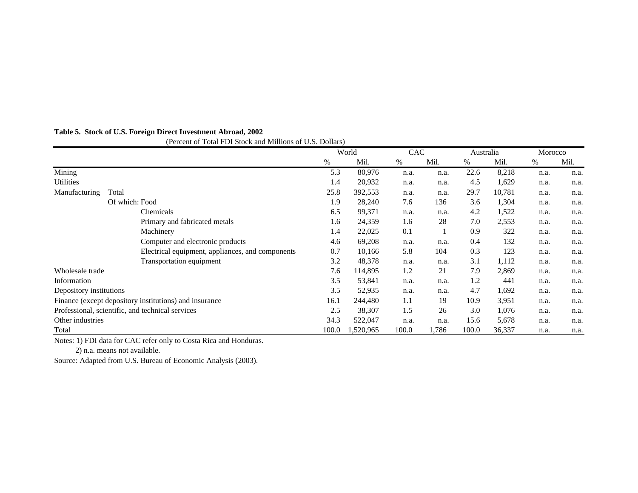|                                                  |                                                        |       | World     | CAC   |       | Australia |        | Morocco |      |
|--------------------------------------------------|--------------------------------------------------------|-------|-----------|-------|-------|-----------|--------|---------|------|
|                                                  |                                                        | $\%$  | Mil.      | %     | Mil.  | %         | Mil.   | %       | Mil. |
| Mining                                           |                                                        | 5.3   | 80,976    | n.a.  | n.a.  | 22.6      | 8,218  | n.a.    | n.a. |
| Utilities                                        |                                                        | 1.4   | 20,932    | n.a.  | n.a.  | 4.5       | 1,629  | n.a.    | n.a. |
| Manufacturing                                    | Total                                                  | 25.8  | 392,553   | n.a.  | n.a.  | 29.7      | 10,781 | n.a.    | n.a. |
|                                                  | Of which: Food                                         | 1.9   | 28,240    | 7.6   | 136   | 3.6       | 1,304  | n.a.    | n.a. |
|                                                  | Chemicals                                              | 6.5   | 99,371    | n.a.  | n.a.  | 4.2       | 1,522  | n.a.    | n.a. |
|                                                  | Primary and fabricated metals                          | 1.6   | 24,359    | 1.6   | 28    | 7.0       | 2,553  | n.a.    | n.a. |
|                                                  | Machinery                                              | 1.4   | 22,025    | 0.1   |       | 0.9       | 322    | n.a.    | n.a. |
|                                                  | Computer and electronic products                       | 4.6   | 69,208    | n.a.  | n.a.  | 0.4       | 132    | n.a.    | n.a. |
|                                                  | Electrical equipment, appliances, and components       | 0.7   | 10,166    | 5.8   | 104   | 0.3       | 123    | n.a.    | n.a. |
|                                                  | Transportation equipment                               | 3.2   | 48,378    | n.a.  | n.a.  | 3.1       | 1,112  | n.a.    | n.a. |
| Wholesale trade                                  |                                                        | 7.6   | 114,895   | 1.2   | 21    | 7.9       | 2,869  | n.a.    | n.a. |
| Information                                      |                                                        | 3.5   | 53,841    | n.a.  | n.a.  | 1.2       | 441    | n.a.    | n.a. |
| Depository institutions                          |                                                        | 3.5   | 52,935    | n.a.  | n.a.  | 4.7       | 1,692  | n.a.    | n.a. |
|                                                  | Finance (except depository institutions) and insurance | 16.1  | 244,480   | 1.1   | 19    | 10.9      | 3,951  | n.a.    | n.a. |
| Professional, scientific, and technical services |                                                        | 2.5   | 38,307    | 1.5   | 26    | 3.0       | 1,076  | n.a.    | n.a. |
| Other industries                                 |                                                        | 34.3  | 522,047   | n.a.  | n.a.  | 15.6      | 5,678  | n.a.    | n.a. |
| Total                                            |                                                        | 100.0 | 1,520,965 | 100.0 | 1,786 | 100.0     | 36,337 | n.a.    | n.a. |

# **Table 5. Stock of U.S. Foreign Direct Investment Abroad, 2002**

(Percent of Total FDI Stock and Millions of U.S. Dollars)

Notes: 1) FDI data for CAC refer only to Costa Rica and Honduras.

2) n.a. means not available.

Source: Adapted from U.S. Bureau of Economic Analysis (2003).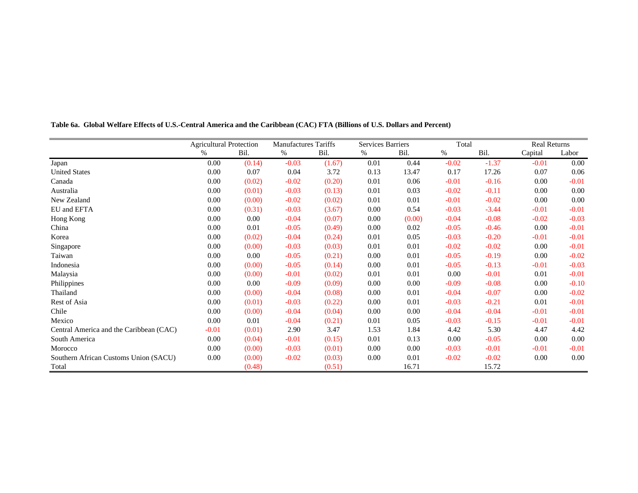|                                         | <b>Agricultural Protection</b> |          | <b>Manufactures Tariffs</b> |        | Services Barriers |        | Total   |         | Real Returns |          |
|-----------------------------------------|--------------------------------|----------|-----------------------------|--------|-------------------|--------|---------|---------|--------------|----------|
|                                         | $\%$                           | Bil.     | $\%$                        | Bil.   | %                 | Bil.   | $\%$    | Bil.    | Capital      | Labor    |
| Japan                                   | $0.00\,$                       | (0.14)   | $-0.03$                     | (1.67) | 0.01              | 0.44   | $-0.02$ | $-1.37$ | $-0.01$      | $0.00\,$ |
| <b>United States</b>                    | 0.00                           | 0.07     | 0.04                        | 3.72   | 0.13              | 13.47  | 0.17    | 17.26   | 0.07         | 0.06     |
| Canada                                  | 0.00                           | (0.02)   | $-0.02$                     | (0.20) | 0.01              | 0.06   | $-0.01$ | $-0.16$ | 0.00         | $-0.01$  |
| Australia                               | 0.00                           | (0.01)   | $-0.03$                     | (0.13) | 0.01              | 0.03   | $-0.02$ | $-0.11$ | 0.00         | 0.00     |
| New Zealand                             | 0.00                           | (0.00)   | $-0.02$                     | (0.02) | 0.01              | 0.01   | $-0.01$ | $-0.02$ | 0.00         | $0.00\,$ |
| EU and EFTA                             | 0.00                           | (0.31)   | $-0.03$                     | (3.67) | 0.00              | 0.54   | $-0.03$ | $-3.44$ | $-0.01$      | $-0.01$  |
| Hong Kong                               | 0.00                           | 0.00     | $-0.04$                     | (0.07) | 0.00              | (0.00) | $-0.04$ | $-0.08$ | $-0.02$      | $-0.03$  |
| China                                   | 0.00                           | 0.01     | $-0.05$                     | (0.49) | 0.00              | 0.02   | $-0.05$ | $-0.46$ | 0.00         | $-0.01$  |
| Korea                                   | 0.00                           | (0.02)   | $-0.04$                     | (0.24) | 0.01              | 0.05   | $-0.03$ | $-0.20$ | $-0.01$      | $-0.01$  |
| Singapore                               | 0.00                           | (0.00)   | $-0.03$                     | (0.03) | 0.01              | 0.01   | $-0.02$ | $-0.02$ | 0.00         | $-0.01$  |
| Taiwan                                  | 0.00                           | 0.00     | $-0.05$                     | (0.21) | 0.00              | 0.01   | $-0.05$ | $-0.19$ | 0.00         | $-0.02$  |
| Indonesia                               | 0.00                           | (0.00)   | $-0.05$                     | (0.14) | 0.00              | 0.01   | $-0.05$ | $-0.13$ | $-0.01$      | $-0.03$  |
| Malaysia                                | 0.00                           | (0.00)   | $-0.01$                     | (0.02) | 0.01              | 0.01   | 0.00    | $-0.01$ | 0.01         | $-0.01$  |
| Philippines                             | 0.00                           | 0.00     | $-0.09$                     | (0.09) | 0.00              | 0.00   | $-0.09$ | $-0.08$ | 0.00         | $-0.10$  |
| Thailand                                | 0.00                           | (0.00)   | $-0.04$                     | (0.08) | 0.00              | 0.01   | $-0.04$ | $-0.07$ | 0.00         | $-0.02$  |
| Rest of Asia                            | 0.00                           | (0.01)   | $-0.03$                     | (0.22) | 0.00              | 0.01   | $-0.03$ | $-0.21$ | 0.01         | $-0.01$  |
| Chile                                   | 0.00                           | (0.00)   | $-0.04$                     | (0.04) | 0.00              | 0.00   | $-0.04$ | $-0.04$ | $-0.01$      | $-0.01$  |
| Mexico                                  | 0.00                           | $0.01\,$ | $-0.04$                     | (0.21) | 0.01              | 0.05   | $-0.03$ | $-0.15$ | $-0.01$      | $-0.01$  |
| Central America and the Caribbean (CAC) | $-0.01$                        | (0.01)   | 2.90                        | 3.47   | 1.53              | 1.84   | 4.42    | 5.30    | 4.47         | 4.42     |
| South America                           | 0.00                           | (0.04)   | $-0.01$                     | (0.15) | 0.01              | 0.13   | 0.00    | $-0.05$ | 0.00         | $0.00\,$ |
| Morocco                                 | 0.00                           | (0.00)   | $-0.03$                     | (0.01) | 0.00              | 0.00   | $-0.03$ | $-0.01$ | $-0.01$      | $-0.01$  |
| Southern African Customs Union (SACU)   | 0.00                           | (0.00)   | $-0.02$                     | (0.03) | 0.00              | 0.01   | $-0.02$ | $-0.02$ | 0.00         | $0.00\,$ |
| Total                                   |                                | (0.48)   |                             | (0.51) |                   | 16.71  |         | 15.72   |              |          |

**Table 6a. Global Welfare Effects of U.S.-Central America and the Caribbean (CAC) FTA (Billions of U.S. Dollars and Percent)**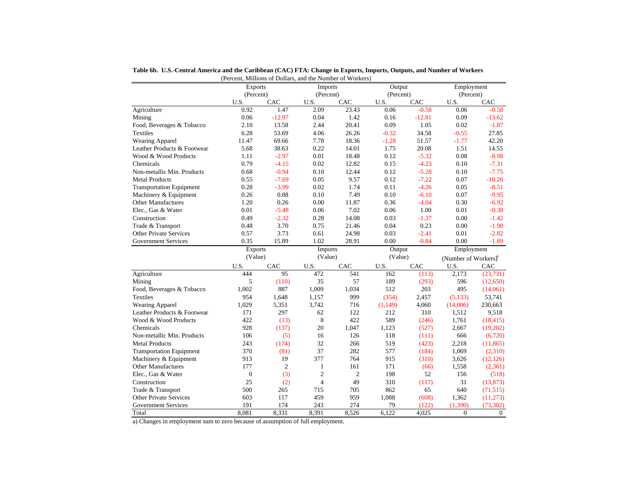| Employment<br><b>Exports</b><br>Output<br><b>Imports</b><br>(Percent)<br>(Percent)<br>(Percent)<br>(Percent)<br>U.S.<br>CAC<br>CAC<br>U.S.<br>CAC<br>CAC<br>U.S.<br>U.S.<br>2.09<br>0.92<br>1.47<br>23.43<br>0.06<br>$-0.58$<br>0.06<br>$-0.58$<br>Agriculture<br>$-12.97$<br>0.04<br>$-12.81$<br>0.09<br>$-13.62$<br>0.06<br>1.42<br>0.16<br>Mining<br>2.10<br>2.44<br>20.41<br>0.09<br>1.05<br>0.02<br>$-1.87$<br>Food, Beverages & Tobacco<br>13.58<br>6.28<br>53.69<br>4.06<br>26.26<br>$-0.32$<br>$-0.55$<br>27.85<br>Textiles<br>34.58<br>69.66<br>7.78<br>18.36<br>$-1.28$<br>51.57<br>$-1.77$<br>42.20<br><b>Wearing Apparel</b><br>11.47<br>Leather Products & Footwear<br>0.22<br>1.75<br>5.68<br>38.63<br>14.01<br>20.08<br>1.51<br>14.55<br>$-2.97$<br>$-8.98$<br>Wood & Wood Products<br>0.01<br>18.48<br>0.12<br>$-5.32$<br>0.08<br>1.11<br>0.79<br>$-4.15$<br>0.02<br>12.82<br>0.15<br>$-4.23$<br>0.10<br>$-7.31$<br>Chemicals<br>0.12<br>$-5.28$<br>$-7.75$<br>Non-metallic Min. Products<br>0.68<br>$-0.94$<br>0.10<br>12.44<br>0.10<br>9.57<br>$-7.22$<br>$-10.20$<br><b>Metal Products</b><br>0.55<br>$-7.69$<br>0.05<br>0.12<br>0.07<br>0.28<br>$-4.26$<br>$-3.99$<br>0.02<br>1.74<br>0.11<br>0.05<br>$-8.51$<br><b>Transportation Equipment</b><br>$-6.10$<br>$-9.95$<br>Machinery & Equipment<br>0.26<br>0.88<br>0.10<br>7.49<br>0.10<br>0.07<br><b>Other Manufactures</b><br>1.20<br>0.26<br>0.00<br>11.87<br>0.36<br>$-4.04$<br>0.30<br>$-6.92$<br>0.01<br>$-5.48$<br>0.06<br>7.02<br>1.00<br>$-0.38$<br>Elec., Gas & Water<br>0.06<br>0.01<br>0.49<br>$-2.32$<br>$-1.42$<br>Construction<br>0.28<br>14.08<br>0.03<br>$-1.37$<br>0.00<br>3.70<br>0.75<br>0.23<br>0.00<br>$-1.90$<br>Trade & Transport<br>0.48<br>21.46<br>0.04<br><b>Other Private Services</b><br>0.57<br>3.73<br>24.98<br>$-2.41$<br>$-2.82$<br>0.61<br>0.03<br>0.01<br>0.35<br>15.89<br>1.02<br>28.91<br>$-0.84$<br>0.00<br>$-1.89$<br><b>Government Services</b><br>0.00<br><b>Exports</b><br>Imports<br>Employment<br>Output<br>(Value)<br>(Value)<br>(Value)<br>(Number of Workers) $^a$<br>U.S.<br>CAC<br>U.S.<br>CAC<br>U.S.<br>CAC<br>U.S.<br>CAC<br>95<br>541<br>Agriculture<br>444<br>472<br>2,173<br>(23, 731)<br>162<br>(113)<br>5<br>57<br>(110)<br>35<br>189<br>596<br>Mining<br>(293)<br>(12,650)<br>887<br>512<br>Food, Beverages & Tobacco<br>1,002<br>1,009<br>1,034<br>203<br>495<br>(14,061)<br><b>Textiles</b><br>954<br>999<br>1,648<br>1,157<br>(354)<br>2,457<br>(5, 133)<br>53,741<br>1,029<br>716<br>4,060<br><b>Wearing Apparel</b><br>5,351<br>3,742<br>(1,149)<br>(14,006)<br>230,663<br>Leather Products & Footwear<br>171<br>297<br>62<br>122<br>212<br>310<br>9,518<br>1,512<br>8<br>589<br>Wood & Wood Products<br>422<br>422<br>(13)<br>(246)<br>1,761<br>(18, 415)<br>Chemicals<br>928<br>20<br>(137)<br>1,047<br>1,123<br>(527)<br>2,667<br>(19,202)<br>Non-metallic Min. Products<br>106<br>(5)<br>16<br>126<br>118<br>(111)<br>666<br>(6,720)<br>32<br>519<br>2,218<br><b>Metal Products</b><br>243<br>(174)<br>(423)<br>(11, 865)<br>266<br>37<br>577<br><b>Transportation Equipment</b><br>370<br>(81)<br>282<br>(184)<br>1,069<br>(2,310)<br>19<br>377<br>Machinery & Equipment<br>913<br>764<br>915<br>3,626<br>(310)<br>(12, 126)<br>$\overline{c}$<br><b>Other Manufactures</b><br>177<br>$\mathbf{1}$<br>161<br>171<br>1,558<br>(2,361)<br>(66)<br>$\overline{2}$<br>$\overline{2}$<br>198<br>Elec., Gas & Water<br>$\mathbf{0}$<br>(3)<br>52<br>156<br>(518)<br>25<br>$\overline{4}$<br>49<br>Construction<br>(2)<br>310<br>31<br>(13, 873)<br>(117)<br>500<br>862<br>Trade & Transport<br>265<br>715<br>705<br>65<br>640<br>(71, 515)<br><b>Other Private Services</b><br>603<br>117<br>459<br>959<br>1,088<br>(608)<br>1,362<br>(11, 273)<br>191<br>274<br>79<br>(122)<br>(1,390)<br>(73, 302)<br><b>Government Services</b><br>174<br>243 | $\alpha$ or $\alpha$ . The compact of $\alpha$ or $\alpha$ and $\alpha$ and $\alpha$ and $\alpha$ or $\alpha$ or $\alpha$ |  |  |  |  |
|-------------------------------------------------------------------------------------------------------------------------------------------------------------------------------------------------------------------------------------------------------------------------------------------------------------------------------------------------------------------------------------------------------------------------------------------------------------------------------------------------------------------------------------------------------------------------------------------------------------------------------------------------------------------------------------------------------------------------------------------------------------------------------------------------------------------------------------------------------------------------------------------------------------------------------------------------------------------------------------------------------------------------------------------------------------------------------------------------------------------------------------------------------------------------------------------------------------------------------------------------------------------------------------------------------------------------------------------------------------------------------------------------------------------------------------------------------------------------------------------------------------------------------------------------------------------------------------------------------------------------------------------------------------------------------------------------------------------------------------------------------------------------------------------------------------------------------------------------------------------------------------------------------------------------------------------------------------------------------------------------------------------------------------------------------------------------------------------------------------------------------------------------------------------------------------------------------------------------------------------------------------------------------------------------------------------------------------------------------------------------------------------------------------------------------------------------------------------------------------------------------------------------------------------------------------------------------------------------------------------------------------------------------------------------------------------------------------------------------------------------------------------------------------------------------------------------------------------------------------------------------------------------------------------------------------------------------------------------------------------------------------------------------------------------------------------------------------------------------------------------------------------------------------------------------------------------------------------------------------------------------------------------------------------------------------------------------------------------------------------------------------------------------------------------------------------------------------------------------------------------------------------------------------------------------------------------------------------------------------------------------------------------------------------------------------------------------------------------------------------------------------------------------------------------------------------------------------------------------------------------------------|---------------------------------------------------------------------------------------------------------------------------|--|--|--|--|
|                                                                                                                                                                                                                                                                                                                                                                                                                                                                                                                                                                                                                                                                                                                                                                                                                                                                                                                                                                                                                                                                                                                                                                                                                                                                                                                                                                                                                                                                                                                                                                                                                                                                                                                                                                                                                                                                                                                                                                                                                                                                                                                                                                                                                                                                                                                                                                                                                                                                                                                                                                                                                                                                                                                                                                                                                                                                                                                                                                                                                                                                                                                                                                                                                                                                                                                                                                                                                                                                                                                                                                                                                                                                                                                                                                                                                                                                                     |                                                                                                                           |  |  |  |  |
|                                                                                                                                                                                                                                                                                                                                                                                                                                                                                                                                                                                                                                                                                                                                                                                                                                                                                                                                                                                                                                                                                                                                                                                                                                                                                                                                                                                                                                                                                                                                                                                                                                                                                                                                                                                                                                                                                                                                                                                                                                                                                                                                                                                                                                                                                                                                                                                                                                                                                                                                                                                                                                                                                                                                                                                                                                                                                                                                                                                                                                                                                                                                                                                                                                                                                                                                                                                                                                                                                                                                                                                                                                                                                                                                                                                                                                                                                     |                                                                                                                           |  |  |  |  |
|                                                                                                                                                                                                                                                                                                                                                                                                                                                                                                                                                                                                                                                                                                                                                                                                                                                                                                                                                                                                                                                                                                                                                                                                                                                                                                                                                                                                                                                                                                                                                                                                                                                                                                                                                                                                                                                                                                                                                                                                                                                                                                                                                                                                                                                                                                                                                                                                                                                                                                                                                                                                                                                                                                                                                                                                                                                                                                                                                                                                                                                                                                                                                                                                                                                                                                                                                                                                                                                                                                                                                                                                                                                                                                                                                                                                                                                                                     |                                                                                                                           |  |  |  |  |
|                                                                                                                                                                                                                                                                                                                                                                                                                                                                                                                                                                                                                                                                                                                                                                                                                                                                                                                                                                                                                                                                                                                                                                                                                                                                                                                                                                                                                                                                                                                                                                                                                                                                                                                                                                                                                                                                                                                                                                                                                                                                                                                                                                                                                                                                                                                                                                                                                                                                                                                                                                                                                                                                                                                                                                                                                                                                                                                                                                                                                                                                                                                                                                                                                                                                                                                                                                                                                                                                                                                                                                                                                                                                                                                                                                                                                                                                                     |                                                                                                                           |  |  |  |  |
|                                                                                                                                                                                                                                                                                                                                                                                                                                                                                                                                                                                                                                                                                                                                                                                                                                                                                                                                                                                                                                                                                                                                                                                                                                                                                                                                                                                                                                                                                                                                                                                                                                                                                                                                                                                                                                                                                                                                                                                                                                                                                                                                                                                                                                                                                                                                                                                                                                                                                                                                                                                                                                                                                                                                                                                                                                                                                                                                                                                                                                                                                                                                                                                                                                                                                                                                                                                                                                                                                                                                                                                                                                                                                                                                                                                                                                                                                     |                                                                                                                           |  |  |  |  |
|                                                                                                                                                                                                                                                                                                                                                                                                                                                                                                                                                                                                                                                                                                                                                                                                                                                                                                                                                                                                                                                                                                                                                                                                                                                                                                                                                                                                                                                                                                                                                                                                                                                                                                                                                                                                                                                                                                                                                                                                                                                                                                                                                                                                                                                                                                                                                                                                                                                                                                                                                                                                                                                                                                                                                                                                                                                                                                                                                                                                                                                                                                                                                                                                                                                                                                                                                                                                                                                                                                                                                                                                                                                                                                                                                                                                                                                                                     |                                                                                                                           |  |  |  |  |
|                                                                                                                                                                                                                                                                                                                                                                                                                                                                                                                                                                                                                                                                                                                                                                                                                                                                                                                                                                                                                                                                                                                                                                                                                                                                                                                                                                                                                                                                                                                                                                                                                                                                                                                                                                                                                                                                                                                                                                                                                                                                                                                                                                                                                                                                                                                                                                                                                                                                                                                                                                                                                                                                                                                                                                                                                                                                                                                                                                                                                                                                                                                                                                                                                                                                                                                                                                                                                                                                                                                                                                                                                                                                                                                                                                                                                                                                                     |                                                                                                                           |  |  |  |  |
|                                                                                                                                                                                                                                                                                                                                                                                                                                                                                                                                                                                                                                                                                                                                                                                                                                                                                                                                                                                                                                                                                                                                                                                                                                                                                                                                                                                                                                                                                                                                                                                                                                                                                                                                                                                                                                                                                                                                                                                                                                                                                                                                                                                                                                                                                                                                                                                                                                                                                                                                                                                                                                                                                                                                                                                                                                                                                                                                                                                                                                                                                                                                                                                                                                                                                                                                                                                                                                                                                                                                                                                                                                                                                                                                                                                                                                                                                     |                                                                                                                           |  |  |  |  |
|                                                                                                                                                                                                                                                                                                                                                                                                                                                                                                                                                                                                                                                                                                                                                                                                                                                                                                                                                                                                                                                                                                                                                                                                                                                                                                                                                                                                                                                                                                                                                                                                                                                                                                                                                                                                                                                                                                                                                                                                                                                                                                                                                                                                                                                                                                                                                                                                                                                                                                                                                                                                                                                                                                                                                                                                                                                                                                                                                                                                                                                                                                                                                                                                                                                                                                                                                                                                                                                                                                                                                                                                                                                                                                                                                                                                                                                                                     |                                                                                                                           |  |  |  |  |
|                                                                                                                                                                                                                                                                                                                                                                                                                                                                                                                                                                                                                                                                                                                                                                                                                                                                                                                                                                                                                                                                                                                                                                                                                                                                                                                                                                                                                                                                                                                                                                                                                                                                                                                                                                                                                                                                                                                                                                                                                                                                                                                                                                                                                                                                                                                                                                                                                                                                                                                                                                                                                                                                                                                                                                                                                                                                                                                                                                                                                                                                                                                                                                                                                                                                                                                                                                                                                                                                                                                                                                                                                                                                                                                                                                                                                                                                                     |                                                                                                                           |  |  |  |  |
|                                                                                                                                                                                                                                                                                                                                                                                                                                                                                                                                                                                                                                                                                                                                                                                                                                                                                                                                                                                                                                                                                                                                                                                                                                                                                                                                                                                                                                                                                                                                                                                                                                                                                                                                                                                                                                                                                                                                                                                                                                                                                                                                                                                                                                                                                                                                                                                                                                                                                                                                                                                                                                                                                                                                                                                                                                                                                                                                                                                                                                                                                                                                                                                                                                                                                                                                                                                                                                                                                                                                                                                                                                                                                                                                                                                                                                                                                     |                                                                                                                           |  |  |  |  |
|                                                                                                                                                                                                                                                                                                                                                                                                                                                                                                                                                                                                                                                                                                                                                                                                                                                                                                                                                                                                                                                                                                                                                                                                                                                                                                                                                                                                                                                                                                                                                                                                                                                                                                                                                                                                                                                                                                                                                                                                                                                                                                                                                                                                                                                                                                                                                                                                                                                                                                                                                                                                                                                                                                                                                                                                                                                                                                                                                                                                                                                                                                                                                                                                                                                                                                                                                                                                                                                                                                                                                                                                                                                                                                                                                                                                                                                                                     |                                                                                                                           |  |  |  |  |
|                                                                                                                                                                                                                                                                                                                                                                                                                                                                                                                                                                                                                                                                                                                                                                                                                                                                                                                                                                                                                                                                                                                                                                                                                                                                                                                                                                                                                                                                                                                                                                                                                                                                                                                                                                                                                                                                                                                                                                                                                                                                                                                                                                                                                                                                                                                                                                                                                                                                                                                                                                                                                                                                                                                                                                                                                                                                                                                                                                                                                                                                                                                                                                                                                                                                                                                                                                                                                                                                                                                                                                                                                                                                                                                                                                                                                                                                                     |                                                                                                                           |  |  |  |  |
|                                                                                                                                                                                                                                                                                                                                                                                                                                                                                                                                                                                                                                                                                                                                                                                                                                                                                                                                                                                                                                                                                                                                                                                                                                                                                                                                                                                                                                                                                                                                                                                                                                                                                                                                                                                                                                                                                                                                                                                                                                                                                                                                                                                                                                                                                                                                                                                                                                                                                                                                                                                                                                                                                                                                                                                                                                                                                                                                                                                                                                                                                                                                                                                                                                                                                                                                                                                                                                                                                                                                                                                                                                                                                                                                                                                                                                                                                     |                                                                                                                           |  |  |  |  |
|                                                                                                                                                                                                                                                                                                                                                                                                                                                                                                                                                                                                                                                                                                                                                                                                                                                                                                                                                                                                                                                                                                                                                                                                                                                                                                                                                                                                                                                                                                                                                                                                                                                                                                                                                                                                                                                                                                                                                                                                                                                                                                                                                                                                                                                                                                                                                                                                                                                                                                                                                                                                                                                                                                                                                                                                                                                                                                                                                                                                                                                                                                                                                                                                                                                                                                                                                                                                                                                                                                                                                                                                                                                                                                                                                                                                                                                                                     |                                                                                                                           |  |  |  |  |
|                                                                                                                                                                                                                                                                                                                                                                                                                                                                                                                                                                                                                                                                                                                                                                                                                                                                                                                                                                                                                                                                                                                                                                                                                                                                                                                                                                                                                                                                                                                                                                                                                                                                                                                                                                                                                                                                                                                                                                                                                                                                                                                                                                                                                                                                                                                                                                                                                                                                                                                                                                                                                                                                                                                                                                                                                                                                                                                                                                                                                                                                                                                                                                                                                                                                                                                                                                                                                                                                                                                                                                                                                                                                                                                                                                                                                                                                                     |                                                                                                                           |  |  |  |  |
|                                                                                                                                                                                                                                                                                                                                                                                                                                                                                                                                                                                                                                                                                                                                                                                                                                                                                                                                                                                                                                                                                                                                                                                                                                                                                                                                                                                                                                                                                                                                                                                                                                                                                                                                                                                                                                                                                                                                                                                                                                                                                                                                                                                                                                                                                                                                                                                                                                                                                                                                                                                                                                                                                                                                                                                                                                                                                                                                                                                                                                                                                                                                                                                                                                                                                                                                                                                                                                                                                                                                                                                                                                                                                                                                                                                                                                                                                     |                                                                                                                           |  |  |  |  |
|                                                                                                                                                                                                                                                                                                                                                                                                                                                                                                                                                                                                                                                                                                                                                                                                                                                                                                                                                                                                                                                                                                                                                                                                                                                                                                                                                                                                                                                                                                                                                                                                                                                                                                                                                                                                                                                                                                                                                                                                                                                                                                                                                                                                                                                                                                                                                                                                                                                                                                                                                                                                                                                                                                                                                                                                                                                                                                                                                                                                                                                                                                                                                                                                                                                                                                                                                                                                                                                                                                                                                                                                                                                                                                                                                                                                                                                                                     |                                                                                                                           |  |  |  |  |
|                                                                                                                                                                                                                                                                                                                                                                                                                                                                                                                                                                                                                                                                                                                                                                                                                                                                                                                                                                                                                                                                                                                                                                                                                                                                                                                                                                                                                                                                                                                                                                                                                                                                                                                                                                                                                                                                                                                                                                                                                                                                                                                                                                                                                                                                                                                                                                                                                                                                                                                                                                                                                                                                                                                                                                                                                                                                                                                                                                                                                                                                                                                                                                                                                                                                                                                                                                                                                                                                                                                                                                                                                                                                                                                                                                                                                                                                                     |                                                                                                                           |  |  |  |  |
|                                                                                                                                                                                                                                                                                                                                                                                                                                                                                                                                                                                                                                                                                                                                                                                                                                                                                                                                                                                                                                                                                                                                                                                                                                                                                                                                                                                                                                                                                                                                                                                                                                                                                                                                                                                                                                                                                                                                                                                                                                                                                                                                                                                                                                                                                                                                                                                                                                                                                                                                                                                                                                                                                                                                                                                                                                                                                                                                                                                                                                                                                                                                                                                                                                                                                                                                                                                                                                                                                                                                                                                                                                                                                                                                                                                                                                                                                     |                                                                                                                           |  |  |  |  |
|                                                                                                                                                                                                                                                                                                                                                                                                                                                                                                                                                                                                                                                                                                                                                                                                                                                                                                                                                                                                                                                                                                                                                                                                                                                                                                                                                                                                                                                                                                                                                                                                                                                                                                                                                                                                                                                                                                                                                                                                                                                                                                                                                                                                                                                                                                                                                                                                                                                                                                                                                                                                                                                                                                                                                                                                                                                                                                                                                                                                                                                                                                                                                                                                                                                                                                                                                                                                                                                                                                                                                                                                                                                                                                                                                                                                                                                                                     |                                                                                                                           |  |  |  |  |
|                                                                                                                                                                                                                                                                                                                                                                                                                                                                                                                                                                                                                                                                                                                                                                                                                                                                                                                                                                                                                                                                                                                                                                                                                                                                                                                                                                                                                                                                                                                                                                                                                                                                                                                                                                                                                                                                                                                                                                                                                                                                                                                                                                                                                                                                                                                                                                                                                                                                                                                                                                                                                                                                                                                                                                                                                                                                                                                                                                                                                                                                                                                                                                                                                                                                                                                                                                                                                                                                                                                                                                                                                                                                                                                                                                                                                                                                                     |                                                                                                                           |  |  |  |  |
|                                                                                                                                                                                                                                                                                                                                                                                                                                                                                                                                                                                                                                                                                                                                                                                                                                                                                                                                                                                                                                                                                                                                                                                                                                                                                                                                                                                                                                                                                                                                                                                                                                                                                                                                                                                                                                                                                                                                                                                                                                                                                                                                                                                                                                                                                                                                                                                                                                                                                                                                                                                                                                                                                                                                                                                                                                                                                                                                                                                                                                                                                                                                                                                                                                                                                                                                                                                                                                                                                                                                                                                                                                                                                                                                                                                                                                                                                     |                                                                                                                           |  |  |  |  |
|                                                                                                                                                                                                                                                                                                                                                                                                                                                                                                                                                                                                                                                                                                                                                                                                                                                                                                                                                                                                                                                                                                                                                                                                                                                                                                                                                                                                                                                                                                                                                                                                                                                                                                                                                                                                                                                                                                                                                                                                                                                                                                                                                                                                                                                                                                                                                                                                                                                                                                                                                                                                                                                                                                                                                                                                                                                                                                                                                                                                                                                                                                                                                                                                                                                                                                                                                                                                                                                                                                                                                                                                                                                                                                                                                                                                                                                                                     |                                                                                                                           |  |  |  |  |
|                                                                                                                                                                                                                                                                                                                                                                                                                                                                                                                                                                                                                                                                                                                                                                                                                                                                                                                                                                                                                                                                                                                                                                                                                                                                                                                                                                                                                                                                                                                                                                                                                                                                                                                                                                                                                                                                                                                                                                                                                                                                                                                                                                                                                                                                                                                                                                                                                                                                                                                                                                                                                                                                                                                                                                                                                                                                                                                                                                                                                                                                                                                                                                                                                                                                                                                                                                                                                                                                                                                                                                                                                                                                                                                                                                                                                                                                                     |                                                                                                                           |  |  |  |  |
|                                                                                                                                                                                                                                                                                                                                                                                                                                                                                                                                                                                                                                                                                                                                                                                                                                                                                                                                                                                                                                                                                                                                                                                                                                                                                                                                                                                                                                                                                                                                                                                                                                                                                                                                                                                                                                                                                                                                                                                                                                                                                                                                                                                                                                                                                                                                                                                                                                                                                                                                                                                                                                                                                                                                                                                                                                                                                                                                                                                                                                                                                                                                                                                                                                                                                                                                                                                                                                                                                                                                                                                                                                                                                                                                                                                                                                                                                     |                                                                                                                           |  |  |  |  |
|                                                                                                                                                                                                                                                                                                                                                                                                                                                                                                                                                                                                                                                                                                                                                                                                                                                                                                                                                                                                                                                                                                                                                                                                                                                                                                                                                                                                                                                                                                                                                                                                                                                                                                                                                                                                                                                                                                                                                                                                                                                                                                                                                                                                                                                                                                                                                                                                                                                                                                                                                                                                                                                                                                                                                                                                                                                                                                                                                                                                                                                                                                                                                                                                                                                                                                                                                                                                                                                                                                                                                                                                                                                                                                                                                                                                                                                                                     |                                                                                                                           |  |  |  |  |
|                                                                                                                                                                                                                                                                                                                                                                                                                                                                                                                                                                                                                                                                                                                                                                                                                                                                                                                                                                                                                                                                                                                                                                                                                                                                                                                                                                                                                                                                                                                                                                                                                                                                                                                                                                                                                                                                                                                                                                                                                                                                                                                                                                                                                                                                                                                                                                                                                                                                                                                                                                                                                                                                                                                                                                                                                                                                                                                                                                                                                                                                                                                                                                                                                                                                                                                                                                                                                                                                                                                                                                                                                                                                                                                                                                                                                                                                                     |                                                                                                                           |  |  |  |  |
|                                                                                                                                                                                                                                                                                                                                                                                                                                                                                                                                                                                                                                                                                                                                                                                                                                                                                                                                                                                                                                                                                                                                                                                                                                                                                                                                                                                                                                                                                                                                                                                                                                                                                                                                                                                                                                                                                                                                                                                                                                                                                                                                                                                                                                                                                                                                                                                                                                                                                                                                                                                                                                                                                                                                                                                                                                                                                                                                                                                                                                                                                                                                                                                                                                                                                                                                                                                                                                                                                                                                                                                                                                                                                                                                                                                                                                                                                     |                                                                                                                           |  |  |  |  |
|                                                                                                                                                                                                                                                                                                                                                                                                                                                                                                                                                                                                                                                                                                                                                                                                                                                                                                                                                                                                                                                                                                                                                                                                                                                                                                                                                                                                                                                                                                                                                                                                                                                                                                                                                                                                                                                                                                                                                                                                                                                                                                                                                                                                                                                                                                                                                                                                                                                                                                                                                                                                                                                                                                                                                                                                                                                                                                                                                                                                                                                                                                                                                                                                                                                                                                                                                                                                                                                                                                                                                                                                                                                                                                                                                                                                                                                                                     |                                                                                                                           |  |  |  |  |
|                                                                                                                                                                                                                                                                                                                                                                                                                                                                                                                                                                                                                                                                                                                                                                                                                                                                                                                                                                                                                                                                                                                                                                                                                                                                                                                                                                                                                                                                                                                                                                                                                                                                                                                                                                                                                                                                                                                                                                                                                                                                                                                                                                                                                                                                                                                                                                                                                                                                                                                                                                                                                                                                                                                                                                                                                                                                                                                                                                                                                                                                                                                                                                                                                                                                                                                                                                                                                                                                                                                                                                                                                                                                                                                                                                                                                                                                                     |                                                                                                                           |  |  |  |  |
|                                                                                                                                                                                                                                                                                                                                                                                                                                                                                                                                                                                                                                                                                                                                                                                                                                                                                                                                                                                                                                                                                                                                                                                                                                                                                                                                                                                                                                                                                                                                                                                                                                                                                                                                                                                                                                                                                                                                                                                                                                                                                                                                                                                                                                                                                                                                                                                                                                                                                                                                                                                                                                                                                                                                                                                                                                                                                                                                                                                                                                                                                                                                                                                                                                                                                                                                                                                                                                                                                                                                                                                                                                                                                                                                                                                                                                                                                     |                                                                                                                           |  |  |  |  |
|                                                                                                                                                                                                                                                                                                                                                                                                                                                                                                                                                                                                                                                                                                                                                                                                                                                                                                                                                                                                                                                                                                                                                                                                                                                                                                                                                                                                                                                                                                                                                                                                                                                                                                                                                                                                                                                                                                                                                                                                                                                                                                                                                                                                                                                                                                                                                                                                                                                                                                                                                                                                                                                                                                                                                                                                                                                                                                                                                                                                                                                                                                                                                                                                                                                                                                                                                                                                                                                                                                                                                                                                                                                                                                                                                                                                                                                                                     |                                                                                                                           |  |  |  |  |
|                                                                                                                                                                                                                                                                                                                                                                                                                                                                                                                                                                                                                                                                                                                                                                                                                                                                                                                                                                                                                                                                                                                                                                                                                                                                                                                                                                                                                                                                                                                                                                                                                                                                                                                                                                                                                                                                                                                                                                                                                                                                                                                                                                                                                                                                                                                                                                                                                                                                                                                                                                                                                                                                                                                                                                                                                                                                                                                                                                                                                                                                                                                                                                                                                                                                                                                                                                                                                                                                                                                                                                                                                                                                                                                                                                                                                                                                                     |                                                                                                                           |  |  |  |  |
|                                                                                                                                                                                                                                                                                                                                                                                                                                                                                                                                                                                                                                                                                                                                                                                                                                                                                                                                                                                                                                                                                                                                                                                                                                                                                                                                                                                                                                                                                                                                                                                                                                                                                                                                                                                                                                                                                                                                                                                                                                                                                                                                                                                                                                                                                                                                                                                                                                                                                                                                                                                                                                                                                                                                                                                                                                                                                                                                                                                                                                                                                                                                                                                                                                                                                                                                                                                                                                                                                                                                                                                                                                                                                                                                                                                                                                                                                     |                                                                                                                           |  |  |  |  |
|                                                                                                                                                                                                                                                                                                                                                                                                                                                                                                                                                                                                                                                                                                                                                                                                                                                                                                                                                                                                                                                                                                                                                                                                                                                                                                                                                                                                                                                                                                                                                                                                                                                                                                                                                                                                                                                                                                                                                                                                                                                                                                                                                                                                                                                                                                                                                                                                                                                                                                                                                                                                                                                                                                                                                                                                                                                                                                                                                                                                                                                                                                                                                                                                                                                                                                                                                                                                                                                                                                                                                                                                                                                                                                                                                                                                                                                                                     |                                                                                                                           |  |  |  |  |
|                                                                                                                                                                                                                                                                                                                                                                                                                                                                                                                                                                                                                                                                                                                                                                                                                                                                                                                                                                                                                                                                                                                                                                                                                                                                                                                                                                                                                                                                                                                                                                                                                                                                                                                                                                                                                                                                                                                                                                                                                                                                                                                                                                                                                                                                                                                                                                                                                                                                                                                                                                                                                                                                                                                                                                                                                                                                                                                                                                                                                                                                                                                                                                                                                                                                                                                                                                                                                                                                                                                                                                                                                                                                                                                                                                                                                                                                                     |                                                                                                                           |  |  |  |  |
|                                                                                                                                                                                                                                                                                                                                                                                                                                                                                                                                                                                                                                                                                                                                                                                                                                                                                                                                                                                                                                                                                                                                                                                                                                                                                                                                                                                                                                                                                                                                                                                                                                                                                                                                                                                                                                                                                                                                                                                                                                                                                                                                                                                                                                                                                                                                                                                                                                                                                                                                                                                                                                                                                                                                                                                                                                                                                                                                                                                                                                                                                                                                                                                                                                                                                                                                                                                                                                                                                                                                                                                                                                                                                                                                                                                                                                                                                     |                                                                                                                           |  |  |  |  |
|                                                                                                                                                                                                                                                                                                                                                                                                                                                                                                                                                                                                                                                                                                                                                                                                                                                                                                                                                                                                                                                                                                                                                                                                                                                                                                                                                                                                                                                                                                                                                                                                                                                                                                                                                                                                                                                                                                                                                                                                                                                                                                                                                                                                                                                                                                                                                                                                                                                                                                                                                                                                                                                                                                                                                                                                                                                                                                                                                                                                                                                                                                                                                                                                                                                                                                                                                                                                                                                                                                                                                                                                                                                                                                                                                                                                                                                                                     |                                                                                                                           |  |  |  |  |
|                                                                                                                                                                                                                                                                                                                                                                                                                                                                                                                                                                                                                                                                                                                                                                                                                                                                                                                                                                                                                                                                                                                                                                                                                                                                                                                                                                                                                                                                                                                                                                                                                                                                                                                                                                                                                                                                                                                                                                                                                                                                                                                                                                                                                                                                                                                                                                                                                                                                                                                                                                                                                                                                                                                                                                                                                                                                                                                                                                                                                                                                                                                                                                                                                                                                                                                                                                                                                                                                                                                                                                                                                                                                                                                                                                                                                                                                                     |                                                                                                                           |  |  |  |  |
|                                                                                                                                                                                                                                                                                                                                                                                                                                                                                                                                                                                                                                                                                                                                                                                                                                                                                                                                                                                                                                                                                                                                                                                                                                                                                                                                                                                                                                                                                                                                                                                                                                                                                                                                                                                                                                                                                                                                                                                                                                                                                                                                                                                                                                                                                                                                                                                                                                                                                                                                                                                                                                                                                                                                                                                                                                                                                                                                                                                                                                                                                                                                                                                                                                                                                                                                                                                                                                                                                                                                                                                                                                                                                                                                                                                                                                                                                     |                                                                                                                           |  |  |  |  |
|                                                                                                                                                                                                                                                                                                                                                                                                                                                                                                                                                                                                                                                                                                                                                                                                                                                                                                                                                                                                                                                                                                                                                                                                                                                                                                                                                                                                                                                                                                                                                                                                                                                                                                                                                                                                                                                                                                                                                                                                                                                                                                                                                                                                                                                                                                                                                                                                                                                                                                                                                                                                                                                                                                                                                                                                                                                                                                                                                                                                                                                                                                                                                                                                                                                                                                                                                                                                                                                                                                                                                                                                                                                                                                                                                                                                                                                                                     |                                                                                                                           |  |  |  |  |
| 8,331<br>8,391<br>8,526<br>6.122<br>Total<br>8,081<br>4,025<br>$\mathbf{0}$<br>$\Omega$                                                                                                                                                                                                                                                                                                                                                                                                                                                                                                                                                                                                                                                                                                                                                                                                                                                                                                                                                                                                                                                                                                                                                                                                                                                                                                                                                                                                                                                                                                                                                                                                                                                                                                                                                                                                                                                                                                                                                                                                                                                                                                                                                                                                                                                                                                                                                                                                                                                                                                                                                                                                                                                                                                                                                                                                                                                                                                                                                                                                                                                                                                                                                                                                                                                                                                                                                                                                                                                                                                                                                                                                                                                                                                                                                                                             |                                                                                                                           |  |  |  |  |

**Table 6b. U.S.-Central America and the Caribbean (CAC) FTA: Change in Exports, Imports, Outputs, and Number of Workers** (Percent, Millions of Dollars, and the Number of Workers)

a) Changes in employment sum to zero because of assumption of full employment.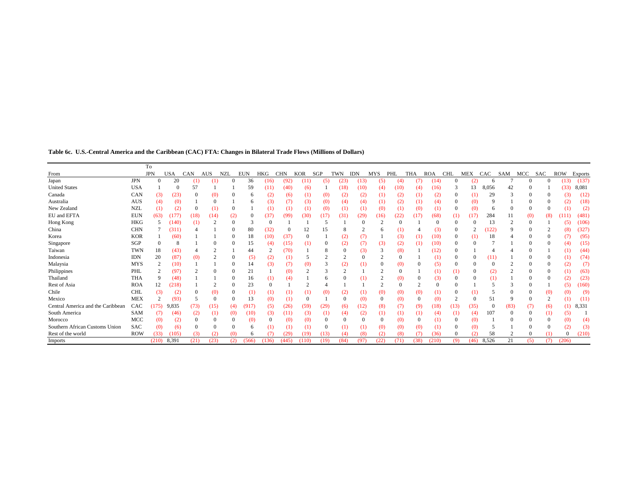**Table 6c. U.S.-Central America and the Caribbean (CAC) FTA: Changes in Bilateral Trade Flows (Millions of Dollars)**

|                                   |            | To         |            |                  |                     |            |            |            |          |                  |                   |                     |                  |            |                  |                    |                  |          |                  |                  |      |          |                     |                  |                |
|-----------------------------------|------------|------------|------------|------------------|---------------------|------------|------------|------------|----------|------------------|-------------------|---------------------|------------------|------------|------------------|--------------------|------------------|----------|------------------|------------------|------|----------|---------------------|------------------|----------------|
| From                              |            | <b>JPN</b> | <b>USA</b> | <b>CAN</b>       | AUS                 | <b>NZL</b> | <b>EUN</b> | <b>HKG</b> | CHN      | <b>KOR</b>       | SGP               | TWN                 | IDN              | <b>MYS</b> | PHL              | <b>THA</b>         | <b>ROA</b>       | CHL      | <b>MEX</b>       | <b>CAC</b>       | SAM  | MCC      | SAC                 | <b>ROW</b>       | <b>Exports</b> |
| Japan                             | <b>JPN</b> |            | 20         | (1)              | $\scriptstyle{(1)}$ |            | 36         | (16)       | (92)     | (11)             | (5)               | (23)                | (13)             | (5)        | (4)              | (7)                | (14)             | $\Omega$ |                  | 6                |      | $^{0}$   |                     | (13)             | (137)          |
| <b>United States</b>              | <b>USA</b> |            | 0          | 57               |                     |            | 59         | (11)       | (40)     | (6)              |                   | (18)                | (10)             | (4)        | (10)             | (4)                | (16)             |          | 13               | 8,056            | 42   | $^{0}$   |                     | (33)             | 8,081          |
| Canada                            | CAN        | (3)        | (23)       | $\theta$         | (0)                 |            | 6          | (2)        | (6)      | (1)              | (0)               | (2)                 | (2)              | (1)        | (2)              | $\left(1\right)$   | (2)              | $\theta$ | $\left(1\right)$ | 29               |      | $\Omega$ |                     | (3)              | (12)           |
| Australia                         | <b>AUS</b> | (4)        | (0)        |                  |                     |            |            | (3)        | (7)      | (3)              | (0)               | (4)                 | (4)              | (1)        | (2)              | $\left(1\right)$   | (4)              |          | (0)              |                  |      | $\Omega$ |                     | (2)              | (18)           |
| New Zealand                       | <b>NZL</b> | (1)        | (2)        | $\theta$         | (1)                 |            |            | (1)        | (1)      | (1)              | (0)               | (1)                 | (1)              | (0)        | (1)              | (0)                | (1)              | $\theta$ | (U)              | 6                |      | 0        |                     | Œ                | (2)            |
| EU and EFTA                       | <b>EUN</b> | (63)       | (177)      | (18)             | (14)                | (2)        |            | (37)       | (99)     | (30)             | (17)              | (31)                | (29)             | (16)       | (22)             | (17)               | (68)             | (1)      | (17)             | 284              |      | (0)      | (8)                 |                  | (481)          |
| Hong Kong                         | HKG        |            | (140)      | $\left(1\right)$ |                     |            |            |            |          |                  |                   |                     | $\Omega$         |            |                  |                    |                  |          |                  | 13               |      | 0        |                     | (5               | (106)          |
| China                             | <b>CHN</b> |            | (311)      |                  |                     |            | 80         | (32)       | $\Omega$ | 12               | 15                | 8                   |                  | 6          | $\left(1\right)$ |                    | (3)              |          |                  | (122)            |      | $\theta$ |                     | 68               | (327)          |
| Korea                             | <b>KOR</b> |            | (60)       |                  |                     |            | 18         | (10)       | (37)     |                  |                   | (2)                 | (7)              |            | (3)              | $\left(1\right)$   | (10)             |          | (1)              | 18               |      | $\Omega$ |                     | (7)              | (95)           |
| Singapore                         | SGP        |            | 8          |                  |                     |            | 15         | (4)        | (15)     | $\left(1\right)$ |                   | (2)                 | (7)              | (3)        | (2)              | $\left(1\right)$   | (10)             |          |                  |                  |      | $^{0}$   |                     | (4)              | (15)           |
| Taiwan                            | <b>TWN</b> | 18         | (43)       |                  |                     |            | 44         |            | (70)     |                  |                   |                     | (3)              | 3          | (8)              |                    | (12)             |          |                  |                  |      | $\Omega$ |                     | (1               | (44)           |
| Indonesia                         | <b>IDN</b> | 20         | (87)       | (0)              |                     |            | (5)        | (2)        | (1)      |                  |                   |                     | $\Omega$         |            |                  |                    | (1)              |          |                  | (11              |      | $\theta$ |                     | Œ                | (74)           |
| Malaysia                          | MYS        |            | (10)       |                  |                     |            | 14         | (3)        | (7)      | (0)              |                   | (2)                 | $\left(1\right)$ |            | (0)              |                    | (5)              |          |                  |                  |      | 0        |                     | (2)              | (7)            |
| Philippines                       | PHL        |            | (97)       |                  |                     |            | 21         |            | (0)      |                  |                   |                     |                  |            | $\Omega$         |                    |                  | (1)      |                  |                  |      | $\Omega$ |                     | Œ                | (63)           |
| Thailand                          | THA        |            | (48)       |                  |                     |            | 16         | (1)        | (4)      |                  |                   | 0                   | $\left(1\right)$ |            | (0)              |                    | (3)              |          |                  | Œ                |      | $^{0}$   |                     | (2               | (23)           |
| Rest of Asia                      | <b>ROA</b> | 12         | (218)      |                  | 2                   |            | 23         |            |          |                  |                   |                     |                  | $\sim$     |                  | $\mathcal{L}$      |                  |          |                  |                  |      | $\Omega$ |                     | (5)              | (160)          |
| Chile                             | <b>CHL</b> | (3)        | (2)        | 0                | $\left( 0\right)$   | $\bf{0}$   | (1)        | (1)        | (1)      | $\left(1\right)$ | $\left( 0\right)$ | (2)                 | $\left(1\right)$ | (0)        | (0)              | $\left( 0 \right)$ | (1)              |          | u                |                  |      | $^{0}$   | (0)                 | (0)              | (9)            |
| Mexico                            | <b>MEX</b> |            | (93)       |                  |                     |            | 13         | (0)        | (1)      |                  |                   |                     | (0)              |            | (0)              |                    | (0)              |          |                  | 51               |      | $^{0}$   |                     | (1               | (11)           |
| Central America and the Caribbean | CAC        | (175)      | 9,835      | (73)             | (15)                | (4)        | (917)      | (5)        | (26)     | (59)             | (29)              | (6)                 | (12)             | (8)        | (7)              | (9)                | (18)             | (13)     | (35)             | $\boldsymbol{0}$ | (83) | (7)      | (6)                 | $\left(1\right)$ | 8,331          |
| South America                     | <b>SAM</b> | (7)        | (46)       | (2)              | (1)                 | (0)        | (10)       | (3)        | (11)     | (3)              | $\left(1\right)$  | (4)                 | (2)              | (1)        | $\left(1\right)$ | $^{(1)}$           | (4)              | (1)      | (4)              | 107              |      | $^{0}$   | $\scriptstyle{(1)}$ | (5)              |                |
| Morocco                           | MCC        | (0)        | (2)        | $\Omega$         | $\theta$            | $\Omega$   | (0)        | $\Omega$   | (0)      | (0)              |                   | $\theta$            | $\Omega$         | 0          | (0)              | $\theta$           | $\left(1\right)$ | $\Omega$ | (U)              |                  |      | $\theta$ |                     | (0)              | (4)            |
| Southern African Customs Union    | <b>SAC</b> | (0)        | (6)        | $\Omega$         |                     | $\Omega$   | 6          |            | (1)      | -61)             | $\boldsymbol{0}$  | $\scriptstyle{(1)}$ | (1)              | (0)        | (0)              | (0)                | (1)              |          | (0)              |                  |      | $\Omega$ |                     | (2)              | (3)            |
| Rest of the world                 | <b>ROW</b> | (33)       | (105)      | (3)              | (2)                 | (0)        | 6          |            | (29)     | (19)             | (13)              | (4)                 | (8)              | (2)        | (8)              | (7)                | (36)             | $\theta$ |                  | 58               |      | $\Omega$ | (1)                 | $\Omega$         | (210)          |
| Imports                           |            | (210)      | 8,391      | (21)             | (23)                | (2)        | (566)      | (136)      | (445)    | (110)            | (19)              | (84)                | (97)             | (22)       | (71)             | (38)               | (210)            | (9)      | (46)             | 8,526            | 21   | (5)      | (7)                 | (206)            |                |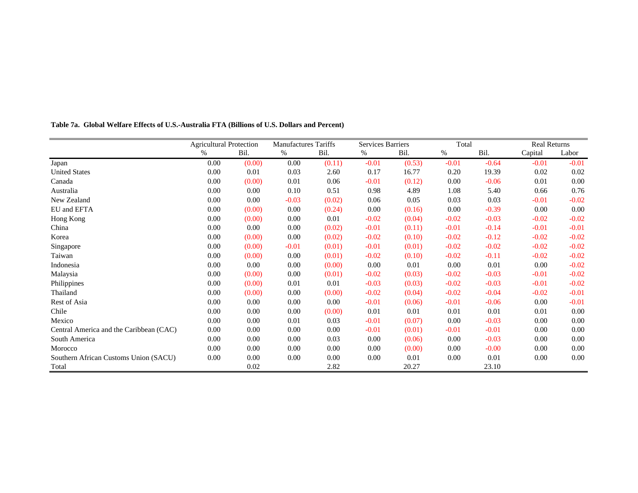|                                         | <b>Agricultural Protection</b> |          | <b>Manufactures Tariffs</b> |        | Services Barriers |        | Total    |         | <b>Real Returns</b> |          |
|-----------------------------------------|--------------------------------|----------|-----------------------------|--------|-------------------|--------|----------|---------|---------------------|----------|
|                                         | $\%$                           | Bil.     | $\%$                        | Bil.   | %                 | Bil.   | $\%$     | Bil.    | Capital             | Labor    |
| Japan                                   | 0.00                           | (0.00)   | $0.00\,$                    | (0.11) | $-0.01$           | (0.53) | $-0.01$  | $-0.64$ | $-0.01$             | $-0.01$  |
| <b>United States</b>                    | 0.00                           | 0.01     | 0.03                        | 2.60   | 0.17              | 16.77  | 0.20     | 19.39   | 0.02                | 0.02     |
| Canada                                  | 0.00                           | (0.00)   | $0.01\,$                    | 0.06   | $-0.01$           | (0.12) | $0.00\,$ | $-0.06$ | 0.01                | $0.00\,$ |
| Australia                               | 0.00                           | 0.00     | 0.10                        | 0.51   | 0.98              | 4.89   | 1.08     | 5.40    | 0.66                | 0.76     |
| New Zealand                             | 0.00                           | 0.00     | $-0.03$                     | (0.02) | 0.06              | 0.05   | 0.03     | 0.03    | $-0.01$             | $-0.02$  |
| EU and EFTA                             | 0.00                           | (0.00)   | 0.00                        | (0.24) | 0.00              | (0.16) | 0.00     | $-0.39$ | 0.00                | 0.00     |
| Hong Kong                               | 0.00                           | (0.00)   | 0.00                        | 0.01   | $-0.02$           | (0.04) | $-0.02$  | $-0.03$ | $-0.02$             | $-0.02$  |
| China                                   | 0.00                           | 0.00     | 0.00                        | (0.02) | $-0.01$           | (0.11) | $-0.01$  | $-0.14$ | $-0.01$             | $-0.01$  |
| Korea                                   | 0.00                           | (0.00)   | 0.00                        | (0.02) | $-0.02$           | (0.10) | $-0.02$  | $-0.12$ | $-0.02$             | $-0.02$  |
| Singapore                               | 0.00                           | (0.00)   | $-0.01$                     | (0.01) | $-0.01$           | (0.01) | $-0.02$  | $-0.02$ | $-0.02$             | $-0.02$  |
| Taiwan                                  | 0.00                           | (0.00)   | $0.00\,$                    | (0.01) | $-0.02$           | (0.10) | $-0.02$  | $-0.11$ | $-0.02$             | $-0.02$  |
| Indonesia                               | 0.00                           | 0.00     | 0.00                        | (0.00) | 0.00              | 0.01   | 0.00     | 0.01    | 0.00                | $-0.02$  |
| Malaysia                                | 0.00                           | (0.00)   | 0.00                        | (0.01) | $-0.02$           | (0.03) | $-0.02$  | $-0.03$ | $-0.01$             | $-0.02$  |
| Philippines                             | 0.00                           | (0.00)   | 0.01                        | 0.01   | $-0.03$           | (0.03) | $-0.02$  | $-0.03$ | $-0.01$             | $-0.02$  |
| Thailand                                | 0.00                           | (0.00)   | 0.00                        | (0.00) | $-0.02$           | (0.04) | $-0.02$  | $-0.04$ | $-0.02$             | $-0.01$  |
| Rest of Asia                            | 0.00                           | 0.00     | 0.00                        | 0.00   | $-0.01$           | (0.06) | $-0.01$  | $-0.06$ | 0.00                | $-0.01$  |
| Chile                                   | 0.00                           | 0.00     | 0.00                        | (0.00) | 0.01              | 0.01   | 0.01     | 0.01    | 0.01                | 0.00     |
| Mexico                                  | $0.00\,$                       | $0.00\,$ | 0.01                        | 0.03   | $-0.01$           | (0.07) | $0.00\,$ | $-0.03$ | $0.00\,$            | $0.00\,$ |
| Central America and the Caribbean (CAC) | 0.00                           | 0.00     | $0.00\,$                    | 0.00   | $-0.01$           | (0.01) | $-0.01$  | $-0.01$ | 0.00                | 0.00     |
| South America                           | 0.00                           | $0.00\,$ | $0.00\,$                    | 0.03   | 0.00              | (0.06) | $0.00\,$ | $-0.03$ | 0.00                | 0.00     |
| Morocco                                 | $0.00\,$                       | 0.00     | 0.00                        | 0.00   | 0.00              | (0.00) | 0.00     | $-0.00$ | 0.00                | 0.00     |
| Southern African Customs Union (SACU)   | 0.00                           | 0.00     | 0.00                        | 0.00   | 0.00              | 0.01   | 0.00     | 0.01    | 0.00                | $0.00\,$ |
| Total                                   |                                | 0.02     |                             | 2.82   |                   | 20.27  |          | 23.10   |                     |          |

**Table 7a. Global Welfare Effects of U.S.-Australia FTA (Billions of U.S. Dollars and Percent)**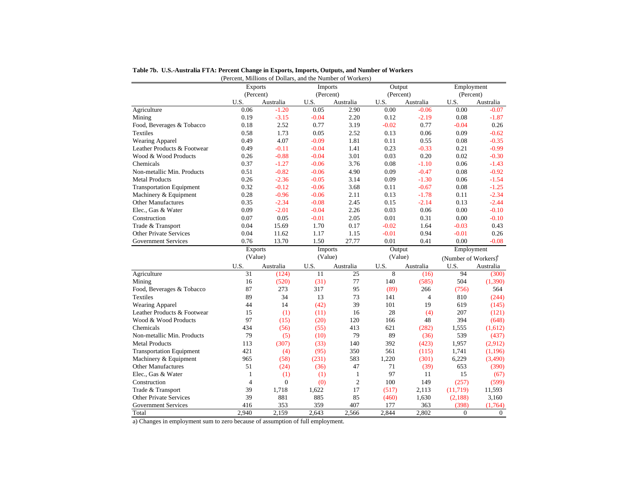|                                 |                | (Percent, Millions of Dollars, and the Number of Workers) |           |                |           |           |                          |           |
|---------------------------------|----------------|-----------------------------------------------------------|-----------|----------------|-----------|-----------|--------------------------|-----------|
|                                 | Exports        |                                                           | Imports   |                | Output    |           | Employment               |           |
|                                 | (Percent)      |                                                           | (Percent) |                | (Percent) |           | (Percent)                |           |
|                                 | U.S.           | Australia                                                 | U.S.      | Australia      | U.S.      | Australia | U.S.                     | Australia |
| Agriculture                     | 0.06           | $-1.20$                                                   | 0.05      | 2.90           | 0.00      | $-0.06$   | 0.00                     | $-0.07$   |
| Mining                          | 0.19           | $-3.15$                                                   | $-0.04$   | 2.20           | 0.12      | $-2.19$   | 0.08                     | $-1.87$   |
| Food, Beverages & Tobacco       | 0.18           | 2.52                                                      | 0.77      | 3.19           | $-0.02$   | 0.77      | $-0.04$                  | 0.26      |
| Textiles                        | 0.58           | 1.73                                                      | 0.05      | 2.52           | 0.13      | 0.06      | 0.09                     | $-0.62$   |
| <b>Wearing Apparel</b>          | 0.49           | 4.07                                                      | $-0.09$   | 1.81           | 0.11      | 0.55      | 0.08                     | $-0.35$   |
| Leather Products & Footwear     | 0.49           | $-0.11$                                                   | $-0.04$   | 1.41           | 0.23      | $-0.33$   | 0.21                     | $-0.99$   |
| Wood & Wood Products            | 0.26           | $-0.88$                                                   | $-0.04$   | 3.01           | 0.03      | 0.20      | 0.02                     | $-0.30$   |
| Chemicals                       | 0.37           | $-1.27$                                                   | $-0.06$   | 3.76           | 0.08      | $-1.10$   | 0.06                     | $-1.43$   |
| Non-metallic Min. Products      | 0.51           | $-0.82$                                                   | $-0.06$   | 4.90           | 0.09      | $-0.47$   | 0.08                     | $-0.92$   |
| <b>Metal Products</b>           | 0.26           | $-2.36$                                                   | $-0.05$   | 3.14           | 0.09      | $-1.30$   | 0.06                     | $-1.54$   |
| <b>Transportation Equipment</b> | 0.32           | $-0.12$                                                   | $-0.06$   | 3.68           | 0.11      | $-0.67$   | 0.08                     | $-1.25$   |
| Machinery & Equipment           | 0.28           | $-0.96$                                                   | $-0.06$   | 2.11           | 0.13      | $-1.78$   | 0.11                     | $-2.34$   |
| <b>Other Manufactures</b>       | 0.35           | $-2.34$                                                   | $-0.08$   | 2.45           | 0.15      | $-2.14$   | 0.13                     | $-2.44$   |
| Elec., Gas & Water              | 0.09           | $-2.01$                                                   | $-0.04$   | 2.26           | 0.03      | 0.06      | 0.00                     | $-0.10$   |
| Construction                    | 0.07           | 0.05                                                      | $-0.01$   | 2.05           | 0.01      | 0.31      | 0.00                     | $-0.10$   |
| Trade & Transport               | 0.04           | 15.69                                                     | 1.70      | 0.17           | $-0.02$   | 1.64      | $-0.03$                  | 0.43      |
| <b>Other Private Services</b>   | 0.04           | 11.62                                                     | 1.17      | 1.15           | $-0.01$   | 0.94      | $-0.01$                  | 0.26      |
| <b>Government Services</b>      | 0.76           | 13.70                                                     | 1.50      | 27.77          | 0.01      | 0.41      | 0.00                     | $-0.08$   |
|                                 | <b>Exports</b> |                                                           | Imports   |                | Output    |           | Employment               |           |
|                                 | (Value)        |                                                           | (Value)   |                | (Value)   |           | (Number of Workers) $^a$ |           |
|                                 | U.S.           | Australia                                                 | U.S.      | Australia      | U.S.      | Australia | U.S.                     | Australia |
| Agriculture                     | 31             | (124)                                                     | 11        | 25             | 8         | (16)      | 94                       | (300)     |
| Mining                          | 16             | (520)                                                     | (31)      | 77             | 140       | (585)     | 504                      | (1, 390)  |
| Food, Beverages & Tobacco       | 87             | 273                                                       | 317       | 95             | (89)      | 266       | (756)                    | 564       |
| Textiles                        | 89             | 34                                                        | 13        | 73             | 141       | 4         | 810                      | (244)     |
| <b>Wearing Apparel</b>          | 44             | 14                                                        | (42)      | 39             | 101       | 19        | 619                      | (145)     |
| Leather Products & Footwear     | 15             | (1)                                                       | (11)      | 16             | 28        | (4)       | 207                      | (121)     |
| Wood & Wood Products            | 97             | (15)                                                      | (20)      | 120            | 166       | 48        | 394                      | (648)     |
| Chemicals                       | 434            | (56)                                                      | (55)      | 413            | 621       | (282)     | 1,555                    | (1,612)   |
| Non-metallic Min. Products      | 79             | (5)                                                       | (10)      | 79             | 89        | (36)      | 539                      | (437)     |
| <b>Metal Products</b>           | 113            | (307)                                                     | (33)      | 140            | 392       | (423)     | 1,957                    | (2,912)   |
| <b>Transportation Equipment</b> | 421            | (4)                                                       | (95)      | 350            | 561       | (115)     | 1,741                    | (1,196)   |
| Machinery & Equipment           | 965            | (58)                                                      | (231)     | 583            | 1,220     | (301)     | 6,229                    | (3,490)   |
| <b>Other Manufactures</b>       | 51             | (24)                                                      | (36)      | 47             | 71        | (39)      | 653                      | (390)     |
| Elec., Gas & Water              | $\mathbf{1}$   | (1)                                                       | (1)       | 1              | 97        | 11        | 15                       | (67)      |
| Construction                    | $\overline{4}$ | $\Omega$                                                  | (0)       | $\overline{2}$ | 100       | 149       | (257)                    | (599)     |
| Trade & Transport               | 39             | 1,718                                                     | 1,622     | 17             | (517)     | 2,113     | (11,719)                 | 11,593    |
| <b>Other Private Services</b>   | 39             | 881                                                       | 885       | 85             | (460)     | 1,630     | (2,188)                  | 3,160     |
| <b>Government Services</b>      |                | 353                                                       | 359       |                |           | 363       | (398)                    | (1,764)   |
|                                 | 416            |                                                           |           | 407            | 177       |           |                          |           |

**Table 7b. U.S.-Australia FTA: Percent Change in Exports, Imports, Outputs, and Number of Workers**

a) Changes in employment sum to zero because of assumption of full employment.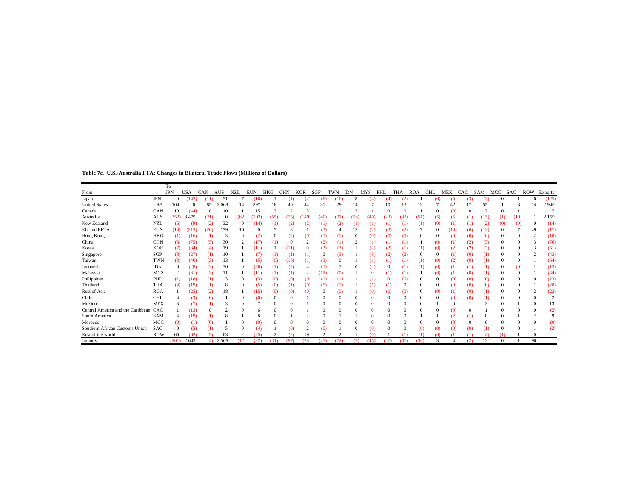**Table 7c. U.S.-Australia FTA: Changes in Bilateral Trade Flows (Millions of Dollars)**

|                                   |            | To         |            |                     |       |          |         |                  |                   |                    |                   |                  |            |                    |          |                   |                  |          |                  |                  |                   |     |          |          |         |
|-----------------------------------|------------|------------|------------|---------------------|-------|----------|---------|------------------|-------------------|--------------------|-------------------|------------------|------------|--------------------|----------|-------------------|------------------|----------|------------------|------------------|-------------------|-----|----------|----------|---------|
| From                              |            | <b>JPN</b> | <b>USA</b> | CAN                 | AUS   | NZL      | EUN     | <b>HKG</b>       | CHN               | <b>KOR</b>         | SGP               | <b>TWN</b>       | <b>IDN</b> | <b>MYS</b>         | PHL      | <b>THA</b>        | <b>ROA</b>       | CHL      | <b>MEX</b>       | CAC              | SAM               | MCC | SAC      | ROW      | Exports |
| Japan                             | <b>JPN</b> | $\theta$   | (142)      | -611)               | 51    |          | (10)    |                  | $\left( 1\right)$ | (2)                | (6)               | (10)             | 8          | (4)                | (4)      | (2)               |                  | (0)      | (5)              | (3)              | (3)               |     |          | 6        | (129)   |
| <b>United States</b>              | <b>USA</b> | 104        |            | 85                  | 2,068 |          | 297     | 18               |                   |                    | 31                | 29               | 14         |                    | 10       | 13                |                  |          | 42               |                  | 55                |     |          |          | 2,940   |
| Canada                            | CAN        | 10         | (44)       | 0                   | 10    |          | 15      |                  |                   |                    |                   |                  |            |                    | $\theta$ |                   |                  |          | (0)              |                  |                   |     |          |          |         |
| Australia                         | AUS        | (352)      | 3,479      | (21)                |       | (62      | 203     | (55)             | (95)              | (149)              | (40)              | (97              | (56)       | (40)               | (23)     | (32)              | 651              | $\circ$  | (5)              |                  | (15)              |     | (19)     |          | 2,159   |
| New Zealand                       | <b>NZL</b> | (6)        | (9)        | (2)                 | 32    | $\Omega$ | (14)    | (1)              | (2)               | (2)                |                   | (2)              | $_{(1)}$   | $\left(1\right)$   | (1)      | (1)               | (1)              | (0)      | $\left(1\right)$ | <b>CE</b>        | (2)               | (0) | (0)      |          | (14)    |
| EU and EFTA                       | <b>EUN</b> | (14)       | (219)      | (26)                | 179   | 16       |         |                  |                   |                    | (3)               |                  | 13         | (2)                | (3)      | (2)               |                  |          | (14)             | (6)              | (13)              |     |          | 49       | (17)    |
| Hong Kong                         | <b>HKG</b> | (1)        | (16)       | $\scriptstyle{(1)}$ | 3     | $\Omega$ | (2)     |                  | $^{(2)}$          | $\left( 0\right)$  | $\left(1\right)$  | $\left(1\right)$ |            | (0)                | (0)      | (0)               | $^{()}$          |          | (0)              | (0)              | (0)               |     |          |          | (18)    |
| China                             | <b>CHN</b> | (8)        | (75)       | (5)                 | 30    |          | (17)    | (1)              |                   | ∠                  | (2)               | (1)              |            | $\left(1\right)$   | (1)      | $\left(1\right)$  |                  | (0)      | (1)              | (2)              | (3)               |     |          |          | (76)    |
| Korea                             | <b>KOR</b> | (7)        | (34)       | (4)                 | 19    |          | (11)    |                  | (11)              |                    | (3)               | (3)              |            | (2)                | (2)      | Œ                 | $\left(1\right)$ | (0)      | (2)              | (2)              | (3)               |     |          |          | (61)    |
| Singapore                         | SGP        | (3)        | (27)       | (1)                 | 10    |          | O)      | $\left(1\right)$ | -01               | $\left(1\right)$   | 0                 | (3)              |            | (8)                | (2)      | (2)               | $\bf{0}$         | $\theta$ | (1)              | (0)              | $\left(1\right)$  |     |          |          | (43)    |
| Taiwan                            | TWN        | (3)        | (40)       | (3)                 | 13    |          | $\circ$ | (0)              | (16)              | $\left(1\right)$   | (3)               | $\theta$         |            | Œ                  | (1)      | $\left(1\right)$  | (1)              | (0)      | (2)              | (0)              | $\left(1\right)$  |     | $\Omega$ |          | (64)    |
| Indonesia                         | <b>IDN</b> | 6          | (28)       | (2)                 | 30    | $\theta$ | (20)    | (1)              | (2)               |                    | $\left(1\right)$  |                  |            | (2)                | $\bf{0}$ | $\left(1\right)$  | (1)              | (0)      | (1)              | -01              | $\left(1\right)$  |     | (0)      |          | (13)    |
| Malaysia                          | <b>MYS</b> |            | (31)       | (3)                 | 11    |          | (11)    | $\left(1\right)$ | Œ                 |                    | (12)              | (0)              |            |                    | (1)      | Œ                 |                  | (0)      | (1)              | (0)              | $\left(1\right)$  |     |          |          | (44)    |
| Philippines                       | PHL        | (1)        | (18)       | $\scriptstyle{(1)}$ |       | $\theta$ | (3)     | (0)              | (0)               | $\left( 0\right)$  | (1)               | $\left(1\right)$ |            | Œ                  | $\bf{0}$ | $\left( 0\right)$ | O                |          | (0)              | (0)              | (0)               |     |          |          | (23)    |
| Thailand                          | <b>THA</b> | (4)        | (19)       | $\scriptstyle{(1)}$ | ð     | $_{0}$   | (5)     | (0)              | $\left(1\right)$  | (0)                | (5)               | (1)              |            | (1)                | (1)      |                   | $_{0}$           | $\Omega$ | (0)              | (0)              | (0)               |     | $\Omega$ |          | (28)    |
| Rest of Asia                      | <b>ROA</b> |            | (25)       | (2)                 | 18    |          | (15)    | (0)              | (0)               | $\left( 0 \right)$ | $^{(1)}$          | (0)              |            | (0)                | (0)      | (0)               | $\theta$         | (0)      | (1)              | (0)              | (1)               |     |          |          | (23)    |
| Chile                             | <b>CHL</b> |            | (3)        | (0)                 |       | $\theta$ | (0)     |                  |                   |                    |                   | $\Omega$         |            | $\theta$           | $\theta$ |                   | 0                |          | (0)              | (0)              | $\left( 1\right)$ |     |          |          |         |
| Mexico                            | <b>MEX</b> |            | (7         | (1)                 |       | $\theta$ |         |                  |                   |                    |                   |                  |            |                    |          |                   |                  |          |                  |                  |                   |     |          |          | 13      |
| Central America and the Caribbean | CAC        |            | (13)       | 0                   |       |          |         |                  |                   |                    |                   | $\Omega$         |            |                    |          |                   |                  |          | (0)              |                  |                   |     |          |          | (2)     |
| South America                     | SAM        |            | (19)       | $\left(1\right)$    |       |          |         |                  |                   |                    |                   |                  |            |                    |          |                   |                  |          | (2)              |                  |                   |     |          |          | q       |
| Morocco                           | MCC        | (0)        | (1)        | (0)                 |       |          | (0)     |                  |                   |                    |                   |                  |            |                    |          |                   |                  |          | (0)              |                  |                   |     |          |          | (0)     |
| Southern African Customs Union    | <b>SAC</b> |            | (5)        | (1)                 |       | $\Omega$ | (4)     |                  | (0)               |                    | $\left( 0\right)$ |                  |            | $\left( 0 \right)$ |          |                   | (0)              | (0)      | (0)              | (0)              | $\left( 1\right)$ |     |          |          | (2)     |
| Rest of the world                 | <b>ROW</b> | 66         | (62)       | (5)                 | 63    |          | (25)    |                  | (2)               | 19                 | Δ                 |                  |            | (0)                |          | (1)               | (1)              | (0)      | (1)              | $\left(1\right)$ | (4)               | (1) |          | $\Omega$ |         |
| Imports                           |            | (201)      | 2,643      | (4)                 | 2,566 | (12)     | (22)    | (31)             | (87)              | (74)               | (43)              | (72)             | (9)        | (45)               | (27)     | (31)              | (30)             |          |                  | (2)              | 12                |     |          | 90       |         |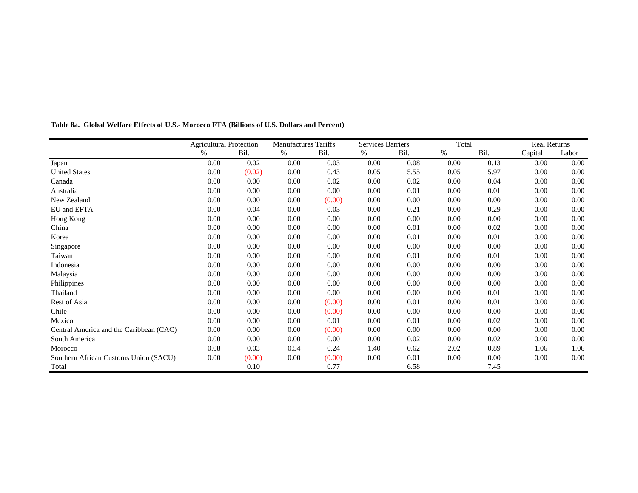|                                         | <b>Agricultural Protection</b> |          | Manufactures Tariffs |        | Services Barriers |      | Total    |          | <b>Real Returns</b> |          |
|-----------------------------------------|--------------------------------|----------|----------------------|--------|-------------------|------|----------|----------|---------------------|----------|
|                                         | $\%$                           | Bil.     | $\%$                 | Bil.   | %                 | Bil. | $\%$     | Bil.     | Capital             | Labor    |
| Japan                                   | 0.00                           | $0.02\,$ | 0.00                 | 0.03   | 0.00              | 0.08 | 0.00     | 0.13     | 0.00                | $0.00\,$ |
| <b>United States</b>                    | 0.00                           | (0.02)   | 0.00                 | 0.43   | 0.05              | 5.55 | 0.05     | 5.97     | 0.00                | 0.00     |
| Canada                                  | 0.00                           | 0.00     | 0.00                 | 0.02   | 0.00              | 0.02 | $0.00\,$ | $0.04\,$ | 0.00                | 0.00     |
| Australia                               | $0.00\,$                       | $0.00\,$ | $0.00\,$             | 0.00   | $0.00\,$          | 0.01 | $0.00\,$ | 0.01     | 0.00                | $0.00\,$ |
| New Zealand                             | 0.00                           | 0.00     | 0.00                 | (0.00) | 0.00              | 0.00 | $0.00\,$ | 0.00     | 0.00                | 0.00     |
| EU and EFTA                             | 0.00                           | 0.04     | 0.00                 | 0.03   | 0.00              | 0.21 | 0.00     | 0.29     | 0.00                | 0.00     |
| Hong Kong                               | 0.00                           | 0.00     | 0.00                 | 0.00   | 0.00              | 0.00 | 0.00     | 0.00     | 0.00                | 0.00     |
| China                                   | 0.00                           | 0.00     | 0.00                 | 0.00   | 0.00              | 0.01 | 0.00     | 0.02     | 0.00                | 0.00     |
| Korea                                   | 0.00                           | 0.00     | 0.00                 | 0.00   | 0.00              | 0.01 | 0.00     | 0.01     | 0.00                | 0.00     |
| Singapore                               | 0.00                           | 0.00     | 0.00                 | 0.00   | 0.00              | 0.00 | 0.00     | 0.00     | 0.00                | 0.00     |
| Taiwan                                  | 0.00                           | 0.00     | 0.00                 | 0.00   | 0.00              | 0.01 | 0.00     | 0.01     | 0.00                | 0.00     |
| Indonesia                               | 0.00                           | 0.00     | 0.00                 | 0.00   | 0.00              | 0.00 | 0.00     | 0.00     | 0.00                | 0.00     |
| Malaysia                                | 0.00                           | 0.00     | 0.00                 | 0.00   | 0.00              | 0.00 | 0.00     | 0.00     | 0.00                | 0.00     |
| Philippines                             | 0.00                           | $0.00\,$ | 0.00                 | 0.00   | 0.00              | 0.00 | 0.00     | 0.00     | 0.00                | 0.00     |
| Thailand                                | 0.00                           | 0.00     | 0.00                 | 0.00   | 0.00              | 0.00 | 0.00     | 0.01     | 0.00                | 0.00     |
| Rest of Asia                            | 0.00                           | 0.00     | 0.00                 | (0.00) | 0.00              | 0.01 | 0.00     | 0.01     | 0.00                | $0.00\,$ |
| Chile                                   | 0.00                           | 0.00     | 0.00                 | (0.00) | 0.00              | 0.00 | 0.00     | 0.00     | 0.00                | 0.00     |
| Mexico                                  | $0.00\,$                       | $0.00\,$ | $0.00\,$             | 0.01   | $0.00\,$          | 0.01 | $0.00\,$ | $0.02\,$ | 0.00                | $0.00\,$ |
| Central America and the Caribbean (CAC) | 0.00                           | 0.00     | 0.00                 | (0.00) | 0.00              | 0.00 | 0.00     | 0.00     | 0.00                | 0.00     |
| South America                           | 0.00                           | $0.00\,$ | $0.00\,$             | 0.00   | 0.00              | 0.02 | $0.00\,$ | $0.02\,$ | 0.00                | $0.00\,$ |
| Morocco                                 | $0.08\,$                       | 0.03     | 0.54                 | 0.24   | 1.40              | 0.62 | 2.02     | 0.89     | 1.06                | 1.06     |
| Southern African Customs Union (SACU)   | 0.00                           | (0.00)   | 0.00                 | (0.00) | 0.00              | 0.01 | 0.00     | 0.00     | 0.00                | 0.00     |
| Total                                   |                                | 0.10     |                      | 0.77   |                   | 6.58 |          | 7.45     |                     |          |

# **Table 8a. Global Welfare Effects of U.S.- Morocco FTA (Billions of U.S. Dollars and Percent)**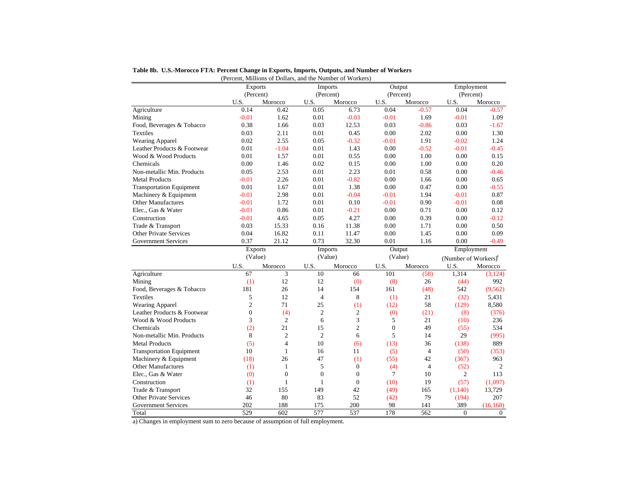| (Percent, Millions of Dollars, and the Number of Workers) |                |                |                |                |                |                         |                          |                |  |  |  |  |
|-----------------------------------------------------------|----------------|----------------|----------------|----------------|----------------|-------------------------|--------------------------|----------------|--|--|--|--|
|                                                           | Exports        |                | Imports        |                | Output         |                         | Employment               |                |  |  |  |  |
|                                                           | (Percent)      |                |                | (Percent)      | (Percent)      |                         | (Percent)                |                |  |  |  |  |
|                                                           | U.S.           | Morocco        | U.S.           | Morocco        | U.S.           | Morocco                 | U.S.                     | Morocco        |  |  |  |  |
| Agriculture                                               | 0.14           | 0.42           | 0.05           | 6.73           | 0.04           | $-0.57$                 | 0.04                     | $-0.57$        |  |  |  |  |
| Mining                                                    | $-0.01$        | 1.62           | 0.01           | $-0.03$        | $-0.01$        | 1.69                    | $-0.01$                  | 1.09           |  |  |  |  |
| Food, Beverages & Tobacco                                 | 0.38           | 1.66           | 0.03           | 12.53          | 0.03           | $-0.86$                 | 0.03                     | $-1.67$        |  |  |  |  |
| Textiles                                                  | 0.03           | 2.11           | 0.01           | 0.45           | 0.00           | 2.02                    | 0.00                     | 1.30           |  |  |  |  |
| <b>Wearing Apparel</b>                                    | 0.02           | 2.55           | 0.05           | $-0.32$        | $-0.01$        | 1.91                    | $-0.02$                  | 1.24           |  |  |  |  |
| Leather Products & Footwear                               | 0.01           | $-1.04$        | 0.01           | 1.43           | 0.00           | $-0.52$                 | $-0.01$                  | $-0.45$        |  |  |  |  |
| Wood & Wood Products                                      | 0.01           | 1.57           | 0.01           | 0.55           | 0.00           | 1.00                    | 0.00                     | 0.15           |  |  |  |  |
| Chemicals                                                 | 0.00           | 1.46           | 0.02           | 0.15           | 0.00           | 1.00                    | 0.00                     | 0.20           |  |  |  |  |
| Non-metallic Min. Products                                | 0.05           | 2.53           | 0.01           | 2.23           | 0.01           | 0.58                    | 0.00                     | $-0.46$        |  |  |  |  |
| <b>Metal Products</b>                                     | $-0.01$        | 2.26           | 0.01           | $-0.82$        | 0.00           | 1.66                    | 0.00                     | 0.65           |  |  |  |  |
| <b>Transportation Equipment</b>                           | 0.01           | 1.67           | 0.01           | 1.38           | 0.00           | 0.47                    | 0.00                     | $-0.55$        |  |  |  |  |
| Machinery & Equipment                                     | $-0.01$        | 2.98           | 0.01           | $-0.04$        | $-0.01$        | 1.94                    | $-0.01$                  | 0.87           |  |  |  |  |
| <b>Other Manufactures</b>                                 | $-0.01$        | 1.72           | 0.01           | 0.10           | $-0.01$        | 0.90                    | $-0.01$                  | 0.08           |  |  |  |  |
| Elec., Gas & Water                                        | $-0.01$        | 0.86           | 0.01           | $-0.21$        | 0.00           | 0.71                    | 0.00                     | 0.12           |  |  |  |  |
| Construction                                              | $-0.01$        | 4.65           | 0.05           | 4.27           | 0.00           | 0.39                    | 0.00                     | $-0.12$        |  |  |  |  |
| Trade & Transport                                         | 0.03           | 15.33          | 0.16           | 11.38          | 0.00           | 1.71                    | 0.00                     | 0.50           |  |  |  |  |
| <b>Other Private Services</b>                             | 0.04           | 16.82          | 0.11           | 11.47          | 0.00           | 1.45                    | 0.00                     | 0.09           |  |  |  |  |
| <b>Government Services</b>                                | 0.37           | 21.12          | 0.73           | 32.30          | 0.01           | 1.16                    | 0.00                     | $-0.49$        |  |  |  |  |
|                                                           | Exports        |                | Imports        |                | Output         |                         | Employment               |                |  |  |  |  |
|                                                           | (Value)        |                | (Value)        |                | (Value)        |                         | (Number of Workers) $^a$ |                |  |  |  |  |
|                                                           | U.S.           | Morocco        | U.S.           | Morocco        | U.S.           | Morocco                 | U.S.                     | Morocco        |  |  |  |  |
| Agriculture                                               | 67             | 3              | 10             | 66             | 101            | (58)                    | 1,314                    | (3, 124)       |  |  |  |  |
| Mining                                                    | (1)            | 12             | 12             | (0)            | (8)            | 26                      | (44)                     | 992            |  |  |  |  |
| Food, Beverages & Tobacco                                 | 181            | 26             | 14             | 154            | 161            | (48)                    | 542                      | (9,562)        |  |  |  |  |
| Textiles                                                  | 5              | 12             | $\overline{4}$ | 8              | (1)            | 21                      | (32)                     | 5,431          |  |  |  |  |
| <b>Wearing Apparel</b>                                    | $\overline{2}$ | 71             | 25             | (1)            | (12)           | 58                      | (129)                    | 8,580          |  |  |  |  |
| Leather Products & Footwear                               | $\overline{0}$ | (4)            | $\overline{2}$ | 2              | (0)            | (21)                    | (8)                      | (376)          |  |  |  |  |
| Wood & Wood Products                                      | 3              | $\overline{c}$ | 6              | 3              | 5              | 21                      | (10)                     | 236            |  |  |  |  |
| Chemicals                                                 | (2)            | 21             | 15             | $\overline{2}$ | $\overline{0}$ | 49                      | (55)                     | 534            |  |  |  |  |
| Non-metallic Min. Products                                | 8              | $\overline{c}$ | $\overline{2}$ | 6              | 5              | 14                      | 29                       | (995)          |  |  |  |  |
| <b>Metal Products</b>                                     | (5)            | $\overline{4}$ | 10             | (6)            | (13)           | 36                      | (138)                    | 889            |  |  |  |  |
| <b>Transportation Equipment</b>                           | 10             | 1              | 16             | 11             | (5)            | $\overline{\mathbf{4}}$ | (50)                     | (353)          |  |  |  |  |
| Machinery & Equipment                                     | (18)           | 26             | 47             | (1)            | (55)           | 42                      | (367)                    | 963            |  |  |  |  |
| <b>Other Manufactures</b>                                 | (1)            | 1              | 5              | $\mathbf{0}$   | (4)            | $\overline{4}$          | (52)                     | $\overline{2}$ |  |  |  |  |
| Elec., Gas & Water                                        | (0)            | $\overline{0}$ | $\mathbf{0}$   | $\overline{0}$ | 7              | 10                      | $\mathfrak{2}$           | 113            |  |  |  |  |
| Construction                                              | (1)            | 1              | 1              | $\overline{0}$ | (10)           | 19                      | (57)                     | (1,097)        |  |  |  |  |
| Trade & Transport                                         | 32             | 155            | 149            | 42             | (49)           | 165                     | (1,140)                  | 13,729         |  |  |  |  |
| <b>Other Private Services</b>                             | 46             | 80             | 83             | 52             | (42)           | 79                      | (194)                    | 207            |  |  |  |  |
| <b>Government Services</b>                                | 202            | 188            | 175            | 200            | 98             | 141                     | 389                      | (16, 168)      |  |  |  |  |
| Total                                                     | 529            | 602            | 577            | 537            | 178            | 562                     | $\theta$                 | $\Omega$       |  |  |  |  |

**Table 8b. U.S.-Morocco FTA: Percent Change in Exports, Imports, Outputs, and Number of Workers**

a) Changes in employment sum to zero because of assumption of full employment.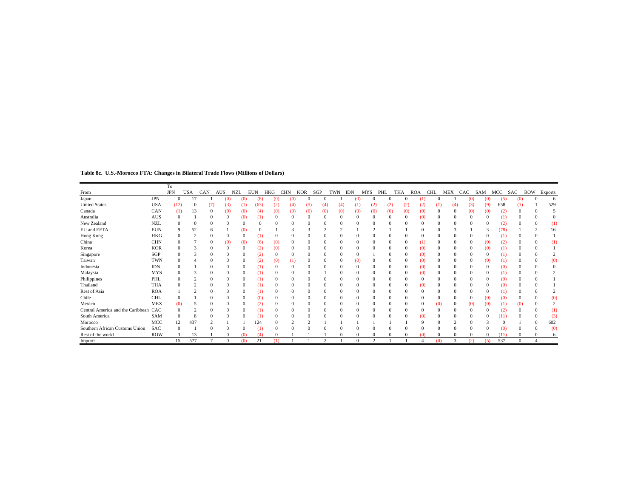**Table 8c. U.S.-Morocco FTA: Changes in Bilateral Trade Flows (Millions of Dollars)**

|                                   |            | Тo           |            |            |                   |            |                  |                   |            |              |            |            |                  |            |         |                   |                  |                   |            |          |     |                     |              |            |                     |
|-----------------------------------|------------|--------------|------------|------------|-------------------|------------|------------------|-------------------|------------|--------------|------------|------------|------------------|------------|---------|-------------------|------------------|-------------------|------------|----------|-----|---------------------|--------------|------------|---------------------|
| From                              |            | <b>JPN</b>   | <b>USA</b> | <b>CAN</b> | AUS               | <b>NZL</b> | <b>EUN</b>       | <b>HKG</b>        | <b>CHN</b> | <b>KOR</b>   | SGP        | <b>TWN</b> | IDN              | <b>MYS</b> | PHL     | <b>THA</b>        | <b>ROA</b>       | <b>CHL</b>        | MEX        | CAC      | SAM | MCC                 | SAC          | <b>ROW</b> | <b>Exports</b>      |
| Japan                             | <b>JPN</b> | $\mathbf{0}$ | 17         |            | $\left( 0\right)$ | (0)        | (8)              | (0)               | (0)        | $\mathbf{0}$ | $\theta$   |            | (0)              | $\bf{0}$   | 0       | 0                 | $\left(1\right)$ | $\mathbf{0}$      |            | (0)      | (0) | (5)                 | (0)          |            | 6                   |
| <b>United States</b>              | <b>USA</b> | (12)         | $\Omega$   | O)         | (3)               | Œ          | (63)             | (2)               | (4)        | (5)          | (4)        | (4)        | $\left(1\right)$ | (2)        | (2)     | (2)               | $^{(2)}$         |                   | (4)        | (3)      | (9) | 658                 | (1)          |            | 529                 |
| Canada                            | CAN        | (1)          | 13         | $\Omega$   | (0)               | (0)        | (4)              | (0)               | (0)        | (0)          | (0)        | (0)        | (0)              | (0)        | (0)     | $\left( 0\right)$ | (0)              | $_{0}$            | $\Omega$   | (0)      | (0) | $^{(2)}$            |              |            |                     |
| Australia                         | <b>AUS</b> | $\Omega$     |            | $\Omega$   | $\Omega$          | (0)        | (1)              |                   | $\theta$   | $^{(1)}$     | $\Omega$   |            |                  |            | 0       |                   | (0)              | $_{0}$            | $\Omega$   | $\Omega$ |     | $\left(1\right)$    |              |            |                     |
| New Zealand                       | <b>NZL</b> |              | $\Omega$   |            |                   |            | $\Omega$         |                   |            |              |            |            |                  |            |         |                   |                  |                   | $\Omega$   |          |     | (2)                 |              |            | (1)                 |
| EU and EFTA                       | <b>EUN</b> | 9            | 52         | 6          |                   | (0)        | $\Omega$         |                   | 3          |              |            |            |                  |            |         |                   |                  | 0                 |            |          | 3   | (78)                |              |            | 16                  |
| Hong Kong                         | <b>HKG</b> |              | $\sim$     |            |                   |            | $\left(1\right)$ |                   |            |              |            |            |                  |            |         |                   |                  |                   |            |          |     | $\left( 1\right)$   |              |            |                     |
| China                             | <b>CHN</b> |              |            | $\Omega$   | $\left( 0\right)$ | (0)        | (6)              | $\left( 0\right)$ | 0          |              | $^{\circ}$ |            |                  |            |         |                   | (1)              | $_{0}$            | $\Omega$   |          | (0) | (2)                 |              |            | (1)                 |
| Korea                             | <b>KOR</b> |              |            |            |                   |            | (2)              | $\left( 0\right)$ |            |              |            |            |                  |            |         |                   | (0)              | $_{0}$            | $\theta$   |          | (0) | $\left(1\right)$    |              |            |                     |
| Singapore                         | <b>SGP</b> |              |            |            |                   | $^{(1)}$   | (2)              |                   |            |              | $^{\circ}$ |            |                  |            |         |                   | (0)              | 0                 | $^{\circ}$ |          |     | $\scriptstyle{(1)}$ |              |            |                     |
| Taiwan                            | <b>TWN</b> |              |            | $\Omega$   |                   |            | (2)              | $\left( 0\right)$ | (1)        |              |            |            | (0)              |            |         |                   | (0)              |                   | $\theta$   | $\Omega$ | (0) | $\scriptstyle{(1)}$ |              |            | (0)                 |
| Indonesia                         | <b>IDN</b> |              |            | $\Omega$   |                   | $^{(1)}$   | (1)              |                   |            |              |            |            |                  |            |         |                   | (0)              |                   | $\theta$   |          |     | (0)                 |              |            |                     |
| Malaysia                          | <b>MYS</b> | $\theta$     |            | $\Omega$   | $\Omega$          | $\Omega$   | (1)              |                   |            |              |            |            |                  |            | $^{()}$ |                   | (0)              | $_{0}$            | $\Omega$   | $\Omega$ |     | $\left(1\right)$    |              |            |                     |
| Philippines                       | PHL        |              |            |            |                   |            | (1)              |                   |            |              |            |            |                  |            |         |                   |                  |                   | $\Omega$   |          |     | (0)                 |              |            |                     |
| Thailand                          | <b>THA</b> |              |            |            | $\Omega$          | $\Omega$   | (1)              |                   |            |              | $\Omega$   |            |                  |            | 0       |                   | (0)              | 0                 | $\Omega$   | $\Omega$ |     | (0)                 |              |            |                     |
| Rest of Asia                      | <b>ROA</b> |              |            |            |                   |            | (1)              |                   |            |              |            |            |                  |            |         |                   |                  |                   |            |          |     | $\left( 1\right)$   |              |            |                     |
| Chile                             | <b>CHL</b> |              |            |            |                   | $\Omega$   | (0)              |                   |            |              | $\Omega$   |            |                  |            |         |                   |                  | 0                 | $\Omega$   | $\Omega$ | (0) | (0)                 |              |            | (0)                 |
| Mexico                            | <b>MEX</b> | (0)          |            |            |                   |            | (2)              |                   |            |              |            |            |                  |            |         |                   |                  | $\left( 0\right)$ | $\theta$   | (0)      | (U) | (1)                 | (0)          |            |                     |
| Central America and the Caribbean | CAC        |              |            |            |                   | $^{(1)}$   | (1)              |                   |            |              | $\theta$   |            |                  |            |         |                   |                  |                   | $\theta$   |          |     | (2)                 |              |            | $\scriptstyle{(1)}$ |
| South America                     | SAM        |              | 8          |            |                   |            | $\left(1\right)$ |                   |            |              |            |            |                  |            |         |                   | (0)              |                   |            | $\Omega$ |     | (11)                |              |            | (3)                 |
| Morocco                           | MCC        | 12           | 437        |            |                   |            | 124              |                   |            |              |            |            |                  |            |         |                   |                  |                   |            |          |     |                     |              |            | 602                 |
| Southern African Customs Union    | SAC        |              |            |            |                   |            | $\left(1\right)$ |                   |            |              |            |            |                  |            |         |                   |                  |                   |            | $\Omega$ |     | (0)                 |              |            | (0)                 |
| Rest of the world                 | <b>ROW</b> | 3            | 13         |            | $\Omega$          | (0)        | (4)              |                   |            |              |            |            |                  |            | 0       |                   | (0)              | $\Omega$          | $\Omega$   | $\Omega$ |     | (11)                | $\Omega$     |            |                     |
| Imports                           |            | 15           | 577        |            | $\Omega$          | (0)        | 21               | Œ                 |            |              | $\Omega$   |            | $\Omega$         | ◠          |         |                   |                  | (0)               |            | (2)      | (5) | 537                 | $\mathbf{0}$ |            |                     |